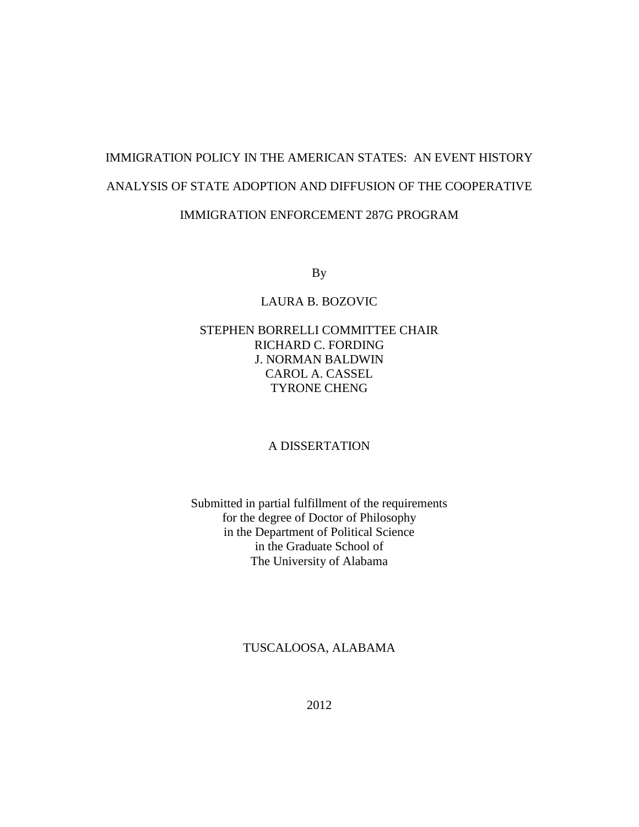# IMMIGRATION POLICY IN THE AMERICAN STATES: AN EVENT HISTORY ANALYSIS OF STATE ADOPTION AND DIFFUSION OF THE COOPERATIVE IMMIGRATION ENFORCEMENT 287G PROGRAM

By

# LAURA B. BOZOVIC

# STEPHEN BORRELLI COMMITTEE CHAIR RICHARD C. FORDING J. NORMAN BALDWIN CAROL A. CASSEL TYRONE CHENG

# A DISSERTATION

# Submitted in partial fulfillment of the requirements for the degree of Doctor of Philosophy in the Department of Political Science in the Graduate School of The University of Alabama

## TUSCALOOSA, ALABAMA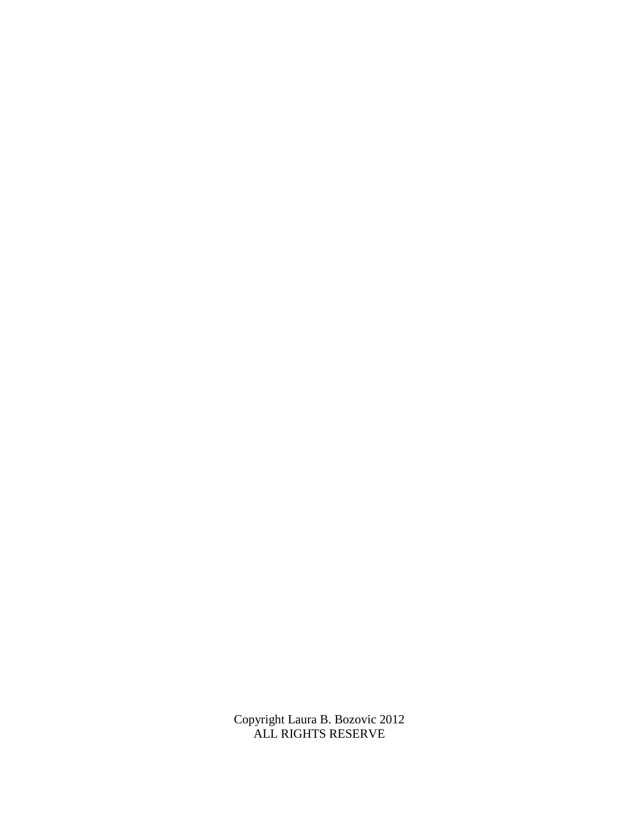Copyright Laura B. Bozovic 2012 ALL RIGHTS RESERVE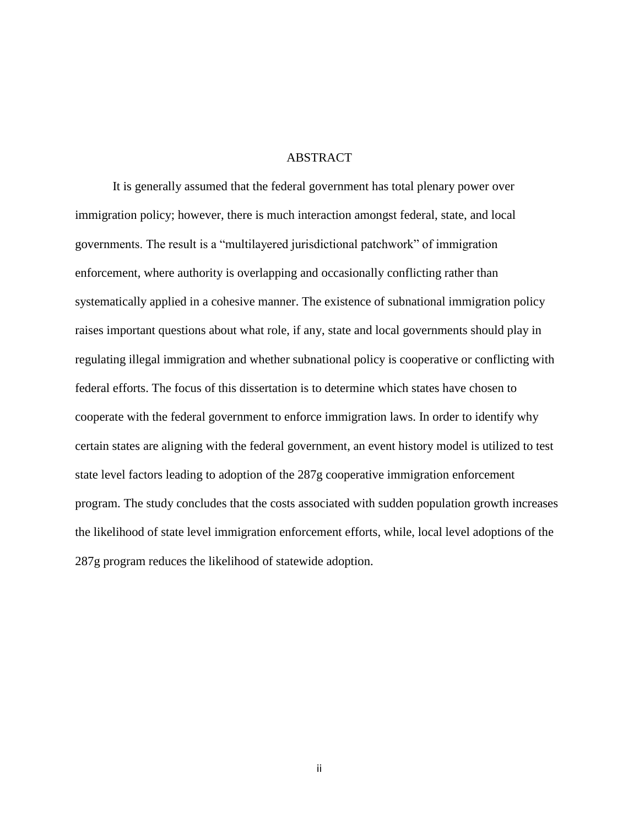### **ABSTRACT**

It is generally assumed that the federal government has total plenary power over immigration policy; however, there is much interaction amongst federal, state, and local governments. The result is a "multilayered jurisdictional patchwork" of immigration enforcement, where authority is overlapping and occasionally conflicting rather than systematically applied in a cohesive manner. The existence of subnational immigration policy raises important questions about what role, if any, state and local governments should play in regulating illegal immigration and whether subnational policy is cooperative or conflicting with federal efforts. The focus of this dissertation is to determine which states have chosen to cooperate with the federal government to enforce immigration laws. In order to identify why certain states are aligning with the federal government, an event history model is utilized to test state level factors leading to adoption of the 287g cooperative immigration enforcement program. The study concludes that the costs associated with sudden population growth increases the likelihood of state level immigration enforcement efforts, while, local level adoptions of the 287g program reduces the likelihood of statewide adoption.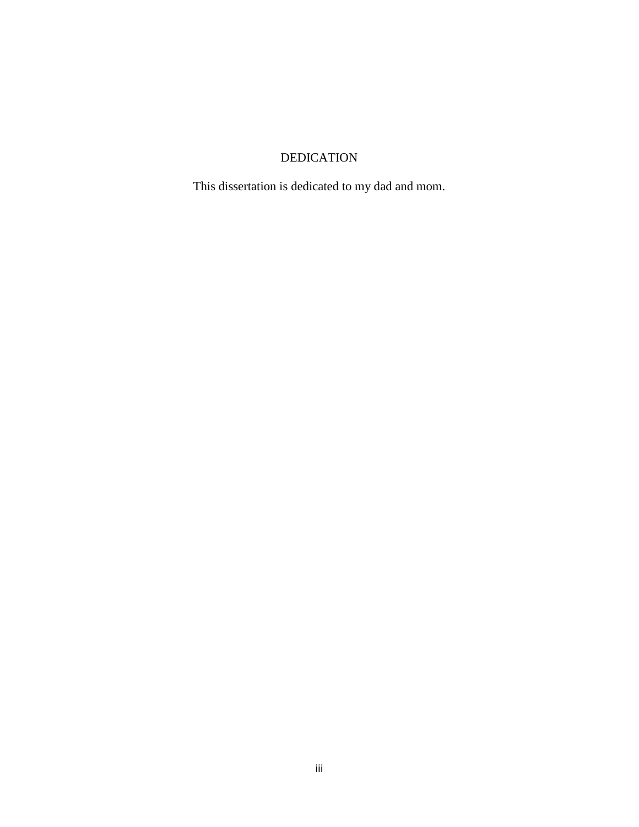# DEDICATION

This dissertation is dedicated to my dad and mom.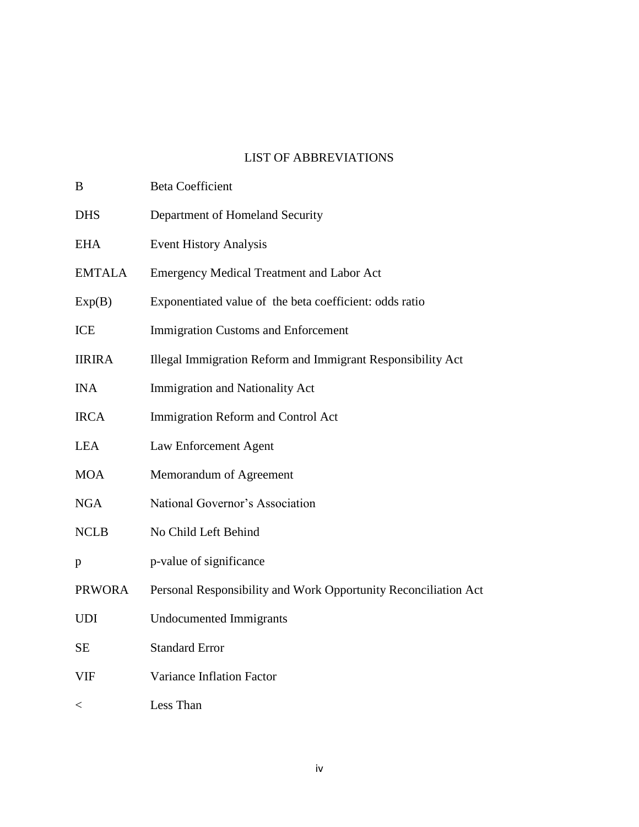### LIST OF ABBREVIATIONS

B Beta Coefficient

DHS Department of Homeland Security EHA Event History Analysis EMTALA Emergency Medical Treatment and Labor Act Exp(B) Exponentiated value of the beta coefficient: odds ratio ICE Immigration Customs and Enforcement IIRIRA Illegal Immigration Reform and Immigrant Responsibility Act INA Immigration and Nationality Act IRCA Immigration Reform and Control Act LEA Law Enforcement Agent MOA Memorandum of Agreement NGA National Governor's Association NCLB No Child Left Behind p p-value of significance PRWORA Personal Responsibility and Work Opportunity Reconciliation Act UDI Undocumented Immigrants SE Standard Error VIF Variance Inflation Factor < Less Than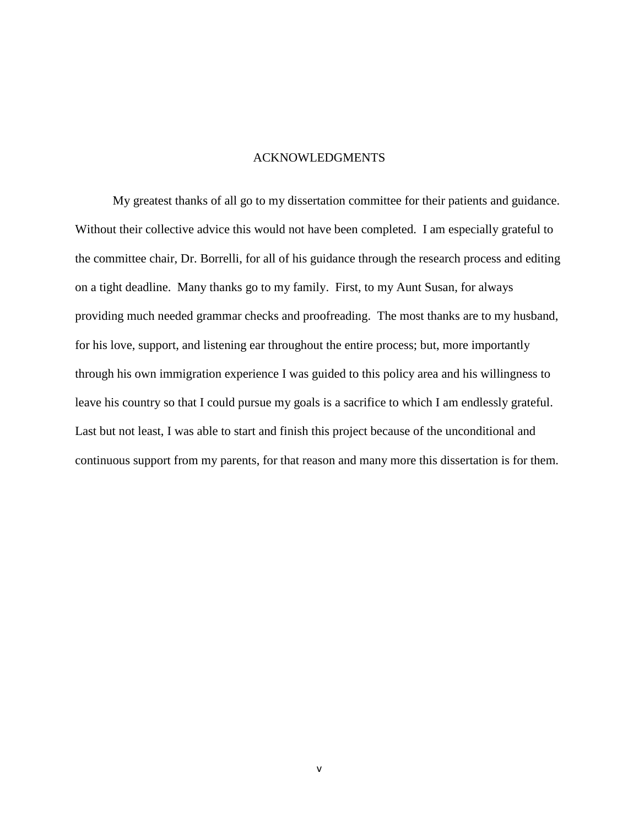### ACKNOWLEDGMENTS

My greatest thanks of all go to my dissertation committee for their patients and guidance. Without their collective advice this would not have been completed. I am especially grateful to the committee chair, Dr. Borrelli, for all of his guidance through the research process and editing on a tight deadline. Many thanks go to my family. First, to my Aunt Susan, for always providing much needed grammar checks and proofreading. The most thanks are to my husband, for his love, support, and listening ear throughout the entire process; but, more importantly through his own immigration experience I was guided to this policy area and his willingness to leave his country so that I could pursue my goals is a sacrifice to which I am endlessly grateful. Last but not least, I was able to start and finish this project because of the unconditional and continuous support from my parents, for that reason and many more this dissertation is for them.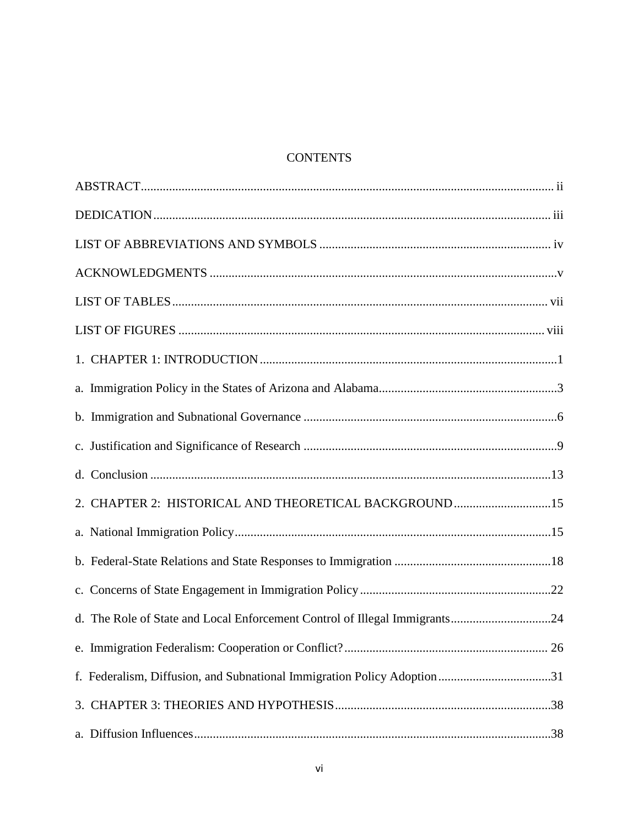# **CONTENTS**

| 2. CHAPTER 2: HISTORICAL AND THEORETICAL BACKGROUND15                      |  |
|----------------------------------------------------------------------------|--|
|                                                                            |  |
|                                                                            |  |
|                                                                            |  |
| d. The Role of State and Local Enforcement Control of Illegal Immigrants24 |  |
|                                                                            |  |
| f. Federalism, Diffusion, and Subnational Immigration Policy Adoption 31   |  |
|                                                                            |  |
|                                                                            |  |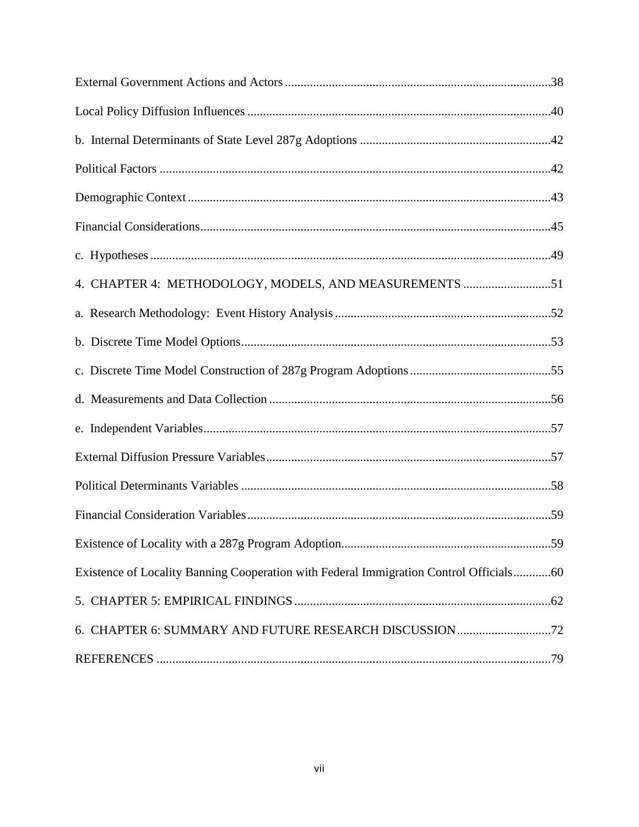| 4. CHAPTER 4: METHODOLOGY, MODELS, AND MEASUREMENTS 51                                 |  |
|----------------------------------------------------------------------------------------|--|
|                                                                                        |  |
|                                                                                        |  |
|                                                                                        |  |
|                                                                                        |  |
|                                                                                        |  |
|                                                                                        |  |
|                                                                                        |  |
|                                                                                        |  |
|                                                                                        |  |
| Existence of Locality Banning Cooperation with Federal Immigration Control Officials60 |  |
|                                                                                        |  |
|                                                                                        |  |
|                                                                                        |  |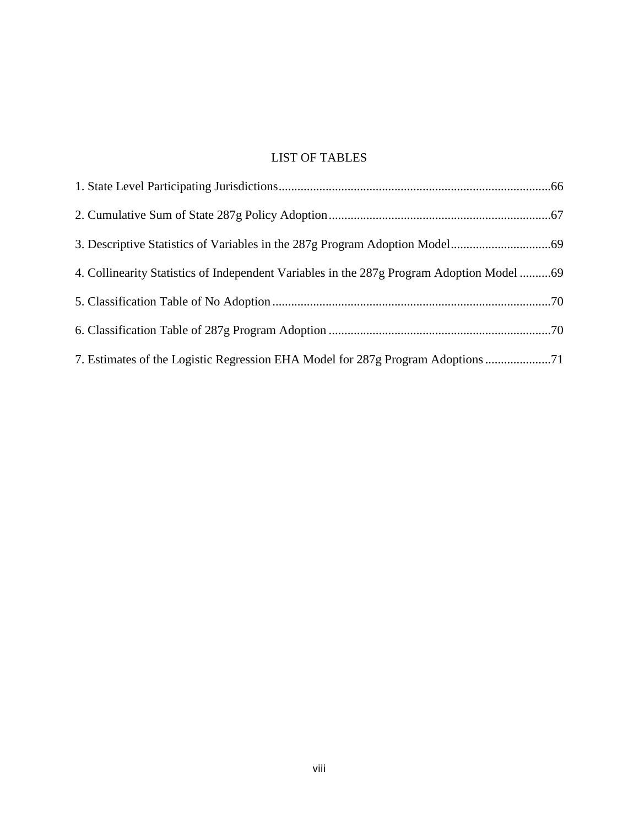# LIST OF TABLES

| 4. Collinearity Statistics of Independent Variables in the 287g Program Adoption Model 69 |  |
|-------------------------------------------------------------------------------------------|--|
|                                                                                           |  |
|                                                                                           |  |
| 7. Estimates of the Logistic Regression EHA Model for 287g Program Adoptions              |  |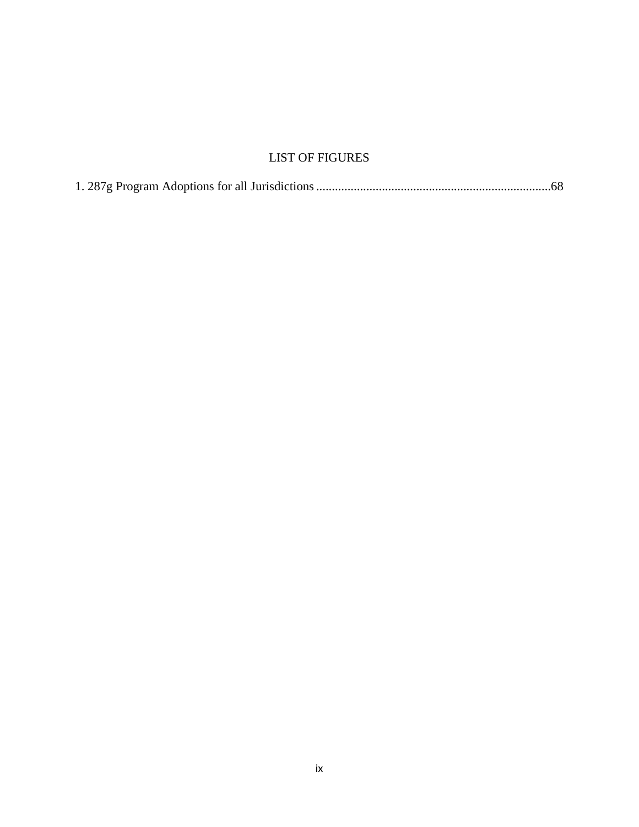# LIST OF FIGURES

|--|--|--|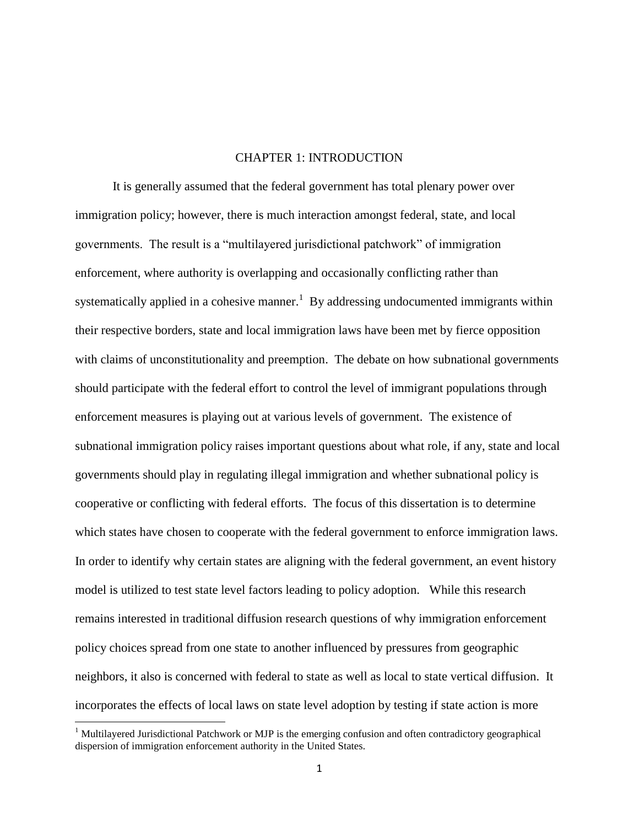### CHAPTER 1: INTRODUCTION

It is generally assumed that the federal government has total plenary power over immigration policy; however, there is much interaction amongst federal, state, and local governments. The result is a "multilayered jurisdictional patchwork" of immigration enforcement, where authority is overlapping and occasionally conflicting rather than systematically applied in a cohesive manner.<sup>1</sup> By addressing undocumented immigrants within their respective borders, state and local immigration laws have been met by fierce opposition with claims of unconstitutionality and preemption. The debate on how subnational governments should participate with the federal effort to control the level of immigrant populations through enforcement measures is playing out at various levels of government. The existence of subnational immigration policy raises important questions about what role, if any, state and local governments should play in regulating illegal immigration and whether subnational policy is cooperative or conflicting with federal efforts. The focus of this dissertation is to determine which states have chosen to cooperate with the federal government to enforce immigration laws. In order to identify why certain states are aligning with the federal government, an event history model is utilized to test state level factors leading to policy adoption. While this research remains interested in traditional diffusion research questions of why immigration enforcement policy choices spread from one state to another influenced by pressures from geographic neighbors, it also is concerned with federal to state as well as local to state vertical diffusion. It incorporates the effects of local laws on state level adoption by testing if state action is more

<sup>&</sup>lt;sup>1</sup> Multilayered Jurisdictional Patchwork or MJP is the emerging confusion and often contradictory geographical dispersion of immigration enforcement authority in the United States.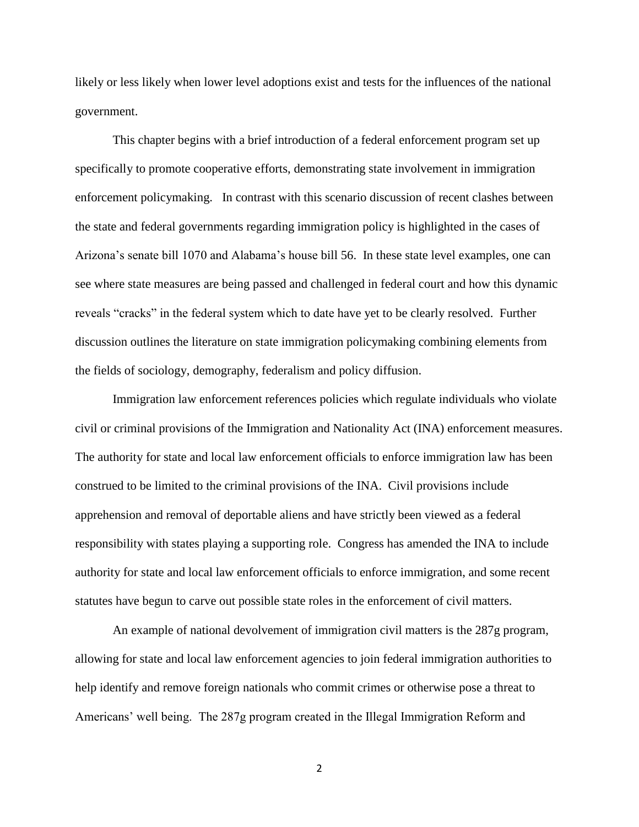likely or less likely when lower level adoptions exist and tests for the influences of the national government.

This chapter begins with a brief introduction of a federal enforcement program set up specifically to promote cooperative efforts, demonstrating state involvement in immigration enforcement policymaking. In contrast with this scenario discussion of recent clashes between the state and federal governments regarding immigration policy is highlighted in the cases of Arizona's senate bill 1070 and Alabama's house bill 56. In these state level examples, one can see where state measures are being passed and challenged in federal court and how this dynamic reveals "cracks" in the federal system which to date have yet to be clearly resolved. Further discussion outlines the literature on state immigration policymaking combining elements from the fields of sociology, demography, federalism and policy diffusion.

Immigration law enforcement references policies which regulate individuals who violate civil or criminal provisions of the Immigration and Nationality Act (INA) enforcement measures. The authority for state and local law enforcement officials to enforce immigration law has been construed to be limited to the criminal provisions of the INA. Civil provisions include apprehension and removal of deportable aliens and have strictly been viewed as a federal responsibility with states playing a supporting role. Congress has amended the INA to include authority for state and local law enforcement officials to enforce immigration, and some recent statutes have begun to carve out possible state roles in the enforcement of civil matters.

An example of national devolvement of immigration civil matters is the 287g program, allowing for state and local law enforcement agencies to join federal immigration authorities to help identify and remove foreign nationals who commit crimes or otherwise pose a threat to Americans' well being. The 287g program created in the Illegal Immigration Reform and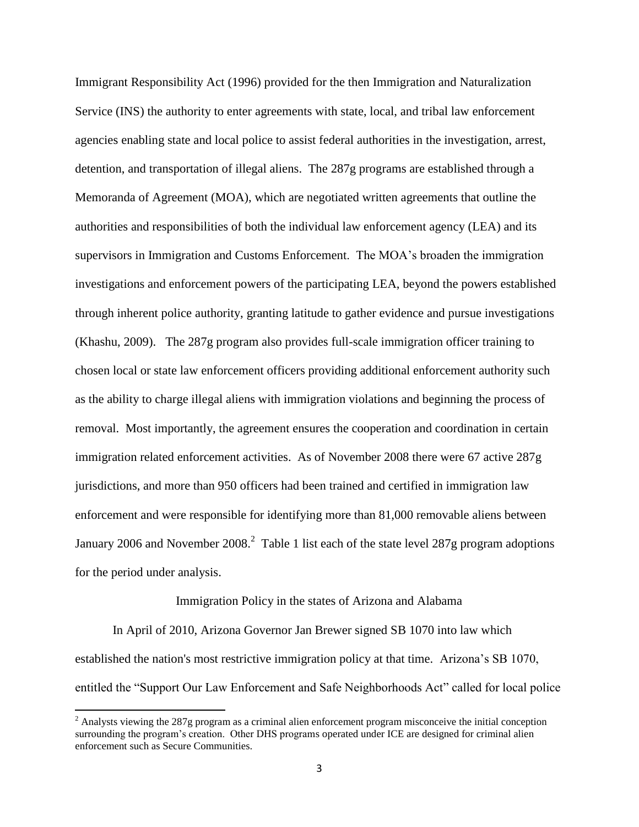Immigrant Responsibility Act (1996) provided for the then Immigration and Naturalization Service (INS) the authority to enter agreements with state, local, and tribal law enforcement agencies enabling state and local police to assist federal authorities in the investigation, arrest, detention, and transportation of illegal aliens. The 287g programs are established through a Memoranda of Agreement (MOA), which are negotiated written agreements that outline the authorities and responsibilities of both the individual law enforcement agency (LEA) and its supervisors in Immigration and Customs Enforcement. The MOA's broaden the immigration investigations and enforcement powers of the participating LEA, beyond the powers established through inherent police authority, granting latitude to gather evidence and pursue investigations (Khashu, 2009). The 287g program also provides full-scale immigration officer training to chosen local or state law enforcement officers providing additional enforcement authority such as the ability to charge illegal aliens with immigration violations and beginning the process of removal. Most importantly, the agreement ensures the cooperation and coordination in certain immigration related enforcement activities. As of November 2008 there were 67 active 287g jurisdictions, and more than 950 officers had been trained and certified in immigration law enforcement and were responsible for identifying more than 81,000 removable aliens between January 2006 and November 2008.<sup>2</sup> Table 1 list each of the state level 287g program adoptions for the period under analysis.

#### Immigration Policy in the states of Arizona and Alabama

In April of 2010, Arizona Governor Jan Brewer signed SB 1070 into law which established the nation's most restrictive immigration policy at that time. Arizona's SB 1070, entitled the "Support Our Law Enforcement and Safe Neighborhoods Act" called for local police

 $2$  Analysts viewing the 287g program as a criminal alien enforcement program misconceive the initial conception surrounding the program's creation. Other DHS programs operated under ICE are designed for criminal alien enforcement such as Secure Communities.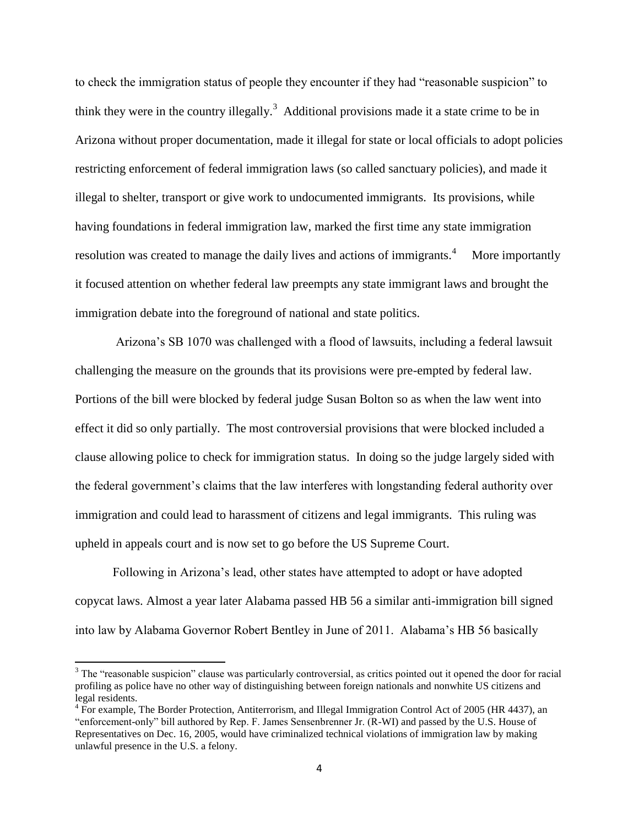to check the immigration status of people they encounter if they had "reasonable suspicion" to think they were in the country illegally.<sup>3</sup> Additional provisions made it a state crime to be in Arizona without proper documentation, made it illegal for state or local officials to adopt policies restricting enforcement of federal immigration laws (so called sanctuary policies), and made it illegal to shelter, transport or give work to undocumented immigrants. Its provisions, while having foundations in federal immigration law, marked the first time any state immigration resolution was created to manage the daily lives and actions of immigrants.  $4$  More importantly it focused attention on whether federal law preempts any state immigrant laws and brought the immigration debate into the foreground of national and state politics.

Arizona's SB 1070 was challenged with a flood of lawsuits, including a federal lawsuit challenging the measure on the grounds that its provisions were pre-empted by federal law. Portions of the bill were blocked by federal judge Susan Bolton so as when the law went into effect it did so only partially. The most controversial provisions that were blocked included a clause allowing police to check for immigration status. In doing so the judge largely sided with the federal government's claims that the law interferes with longstanding federal authority over immigration and could lead to harassment of citizens and legal immigrants. This ruling was upheld in appeals court and is now set to go before the US Supreme Court.

Following in Arizona's lead, other states have attempted to adopt or have adopted copycat laws. Almost a year later Alabama passed HB 56 a similar anti-immigration bill signed into law by Alabama Governor Robert Bentley in June of 2011. Alabama's HB 56 basically

<sup>&</sup>lt;sup>3</sup> The "reasonable suspicion" clause was particularly controversial, as critics pointed out it opened the door for racial profiling as police have no other way of distinguishing between foreign nationals and nonwhite US citizens and legal residents.

<sup>&</sup>lt;sup>4</sup> For example, The Border Protection, Antiterrorism, and Illegal Immigration Control Act of 2005 (HR 4437), an "enforcement-only" bill authored by Rep. F. James Sensenbrenner Jr. (R-WI) and passed by the U.S. House of Representatives on Dec. 16, 2005, would have criminalized technical violations of immigration law by making unlawful presence in the U.S. a felony.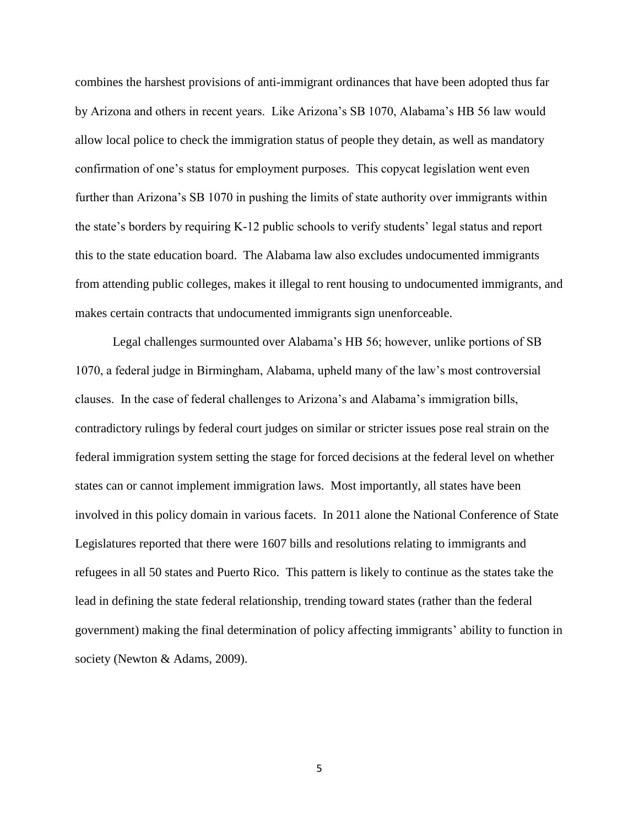combines the harshest provisions of anti-immigrant ordinances that have been adopted thus far by Arizona and others in recent years. Like Arizona's SB 1070, Alabama's HB 56 law would allow local police to check the immigration status of people they detain, as well as mandatory confirmation of one's status for employment purposes. This copycat legislation went even further than Arizona's SB 1070 in pushing the limits of state authority over immigrants within the state's borders by requiring K-12 public schools to verify students' legal status and report this to the state education board. The Alabama law also excludes undocumented immigrants from attending public colleges, makes it illegal to rent housing to undocumented immigrants, and makes certain contracts that undocumented immigrants sign unenforceable.

Legal challenges surmounted over Alabama's HB 56; however, unlike portions of SB 1070, a federal judge in Birmingham, Alabama, upheld many of the law's most controversial clauses. In the case of federal challenges to Arizona's and Alabama's immigration bills, contradictory rulings by federal court judges on similar or stricter issues pose real strain on the federal immigration system setting the stage for forced decisions at the federal level on whether states can or cannot implement immigration laws. Most importantly, all states have been involved in this policy domain in various facets. In 2011 alone the National Conference of State Legislatures reported that there were 1607 bills and resolutions relating to immigrants and refugees in all 50 states and Puerto Rico. This pattern is likely to continue as the states take the lead in defining the state federal relationship, trending toward states (rather than the federal government) making the final determination of policy affecting immigrants' ability to function in society (Newton & Adams, 2009).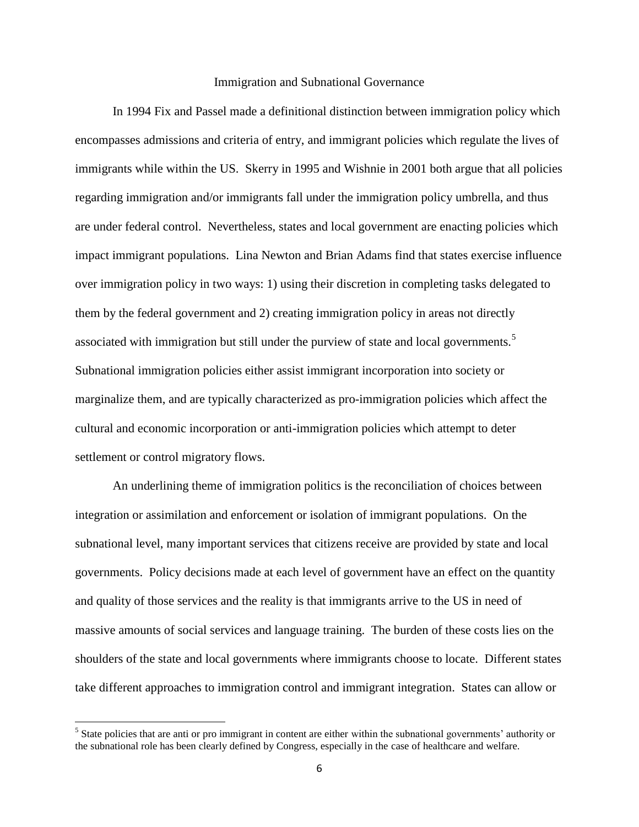### Immigration and Subnational Governance

In 1994 Fix and Passel made a definitional distinction between immigration policy which encompasses admissions and criteria of entry, and immigrant policies which regulate the lives of immigrants while within the US. Skerry in 1995 and Wishnie in 2001 both argue that all policies regarding immigration and/or immigrants fall under the immigration policy umbrella, and thus are under federal control. Nevertheless, states and local government are enacting policies which impact immigrant populations. Lina Newton and Brian Adams find that states exercise influence over immigration policy in two ways: 1) using their discretion in completing tasks delegated to them by the federal government and 2) creating immigration policy in areas not directly associated with immigration but still under the purview of state and local governments.<sup>5</sup> Subnational immigration policies either assist immigrant incorporation into society or marginalize them, and are typically characterized as pro-immigration policies which affect the cultural and economic incorporation or anti-immigration policies which attempt to deter settlement or control migratory flows.

An underlining theme of immigration politics is the reconciliation of choices between integration or assimilation and enforcement or isolation of immigrant populations. On the subnational level, many important services that citizens receive are provided by state and local governments. Policy decisions made at each level of government have an effect on the quantity and quality of those services and the reality is that immigrants arrive to the US in need of massive amounts of social services and language training. The burden of these costs lies on the shoulders of the state and local governments where immigrants choose to locate. Different states take different approaches to immigration control and immigrant integration. States can allow or

 $<sup>5</sup>$  State policies that are anti or pro immigrant in content are either within the subnational governments' authority or</sup> the subnational role has been clearly defined by Congress, especially in the case of healthcare and welfare.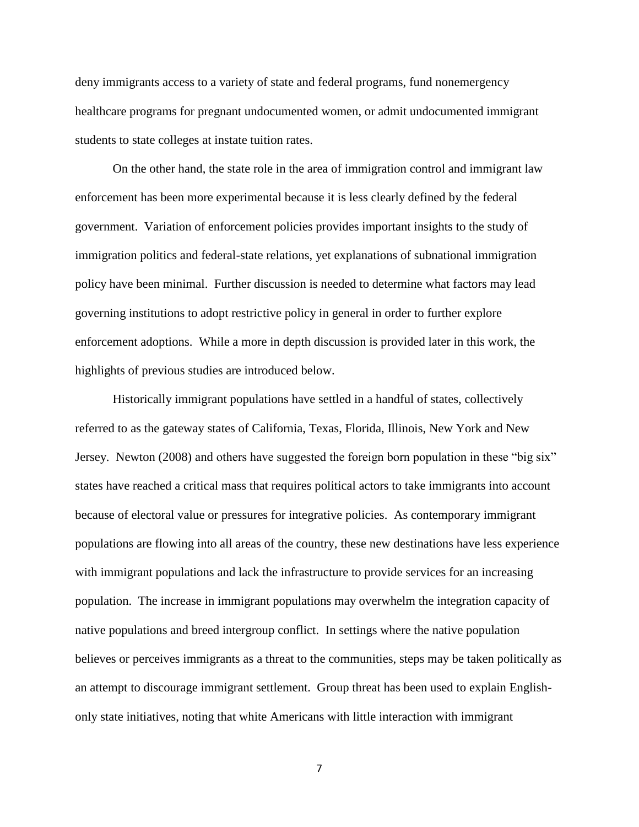deny immigrants access to a variety of state and federal programs, fund nonemergency healthcare programs for pregnant undocumented women, or admit undocumented immigrant students to state colleges at instate tuition rates.

On the other hand, the state role in the area of immigration control and immigrant law enforcement has been more experimental because it is less clearly defined by the federal government. Variation of enforcement policies provides important insights to the study of immigration politics and federal-state relations, yet explanations of subnational immigration policy have been minimal. Further discussion is needed to determine what factors may lead governing institutions to adopt restrictive policy in general in order to further explore enforcement adoptions. While a more in depth discussion is provided later in this work, the highlights of previous studies are introduced below.

Historically immigrant populations have settled in a handful of states, collectively referred to as the gateway states of California, Texas, Florida, Illinois, New York and New Jersey. Newton (2008) and others have suggested the foreign born population in these "big six" states have reached a critical mass that requires political actors to take immigrants into account because of electoral value or pressures for integrative policies. As contemporary immigrant populations are flowing into all areas of the country, these new destinations have less experience with immigrant populations and lack the infrastructure to provide services for an increasing population. The increase in immigrant populations may overwhelm the integration capacity of native populations and breed intergroup conflict. In settings where the native population believes or perceives immigrants as a threat to the communities, steps may be taken politically as an attempt to discourage immigrant settlement. Group threat has been used to explain Englishonly state initiatives, noting that white Americans with little interaction with immigrant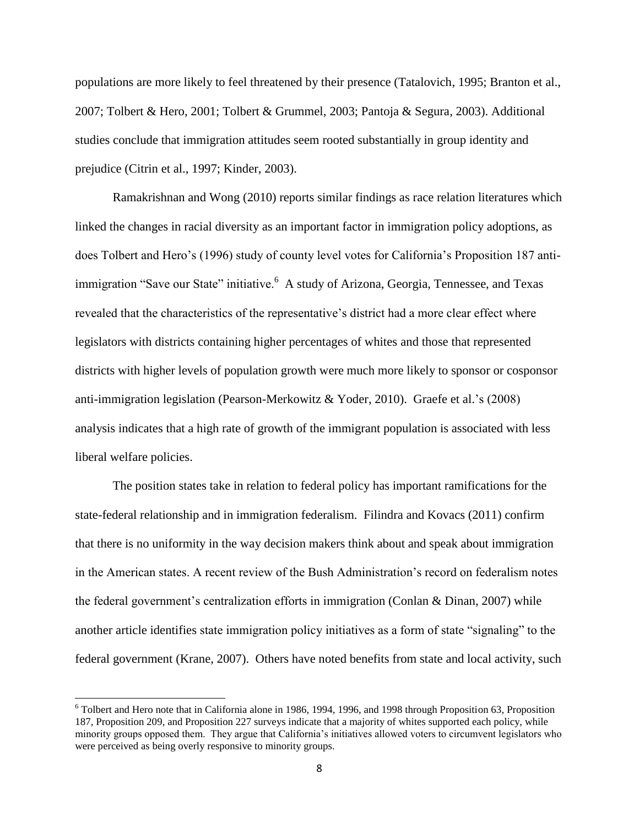populations are more likely to feel threatened by their presence (Tatalovich, 1995; Branton et al., 2007; Tolbert & Hero, 2001; Tolbert & Grummel, 2003; Pantoja & Segura, 2003). Additional studies conclude that immigration attitudes seem rooted substantially in group identity and prejudice (Citrin et al., 1997; Kinder, 2003).

Ramakrishnan and Wong (2010) reports similar findings as race relation literatures which linked the changes in racial diversity as an important factor in immigration policy adoptions, as does Tolbert and Hero's (1996) study of county level votes for California's Proposition 187 antiimmigration "Save our State" initiative.<sup>6</sup> A study of Arizona, Georgia, Tennessee, and Texas revealed that the characteristics of the representative's district had a more clear effect where legislators with districts containing higher percentages of whites and those that represented districts with higher levels of population growth were much more likely to sponsor or cosponsor anti-immigration legislation (Pearson-Merkowitz & Yoder, 2010). Graefe et al.'s (2008) analysis indicates that a high rate of growth of the immigrant population is associated with less liberal welfare policies.

The position states take in relation to federal policy has important ramifications for the state-federal relationship and in immigration federalism. Filindra and Kovacs (2011) confirm that there is no uniformity in the way decision makers think about and speak about immigration in the American states. A recent review of the Bush Administration's record on federalism notes the federal government's centralization efforts in immigration (Conlan & Dinan, 2007) while another article identifies state immigration policy initiatives as a form of state "signaling" to the federal government (Krane, 2007). Others have noted benefits from state and local activity, such

<sup>6</sup> Tolbert and Hero note that in California alone in 1986, 1994, 1996, and 1998 through Proposition 63, Proposition 187, Proposition 209, and Proposition 227 surveys indicate that a majority of whites supported each policy, while minority groups opposed them. They argue that California's initiatives allowed voters to circumvent legislators who were perceived as being overly responsive to minority groups.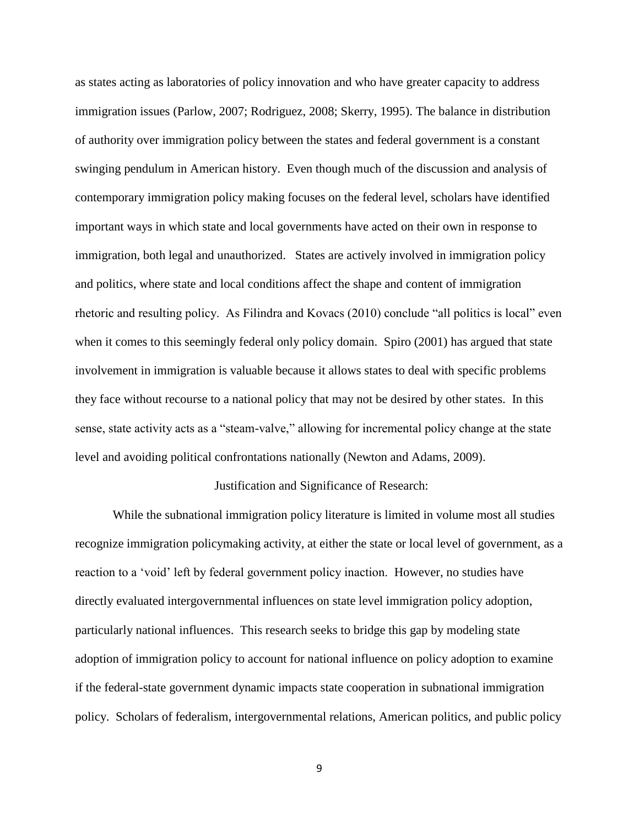as states acting as laboratories of policy innovation and who have greater capacity to address immigration issues (Parlow, 2007; Rodriguez, 2008; Skerry, 1995). The balance in distribution of authority over immigration policy between the states and federal government is a constant swinging pendulum in American history. Even though much of the discussion and analysis of contemporary immigration policy making focuses on the federal level, scholars have identified important ways in which state and local governments have acted on their own in response to immigration, both legal and unauthorized. States are actively involved in immigration policy and politics, where state and local conditions affect the shape and content of immigration rhetoric and resulting policy. As Filindra and Kovacs (2010) conclude "all politics is local" even when it comes to this seemingly federal only policy domain. Spiro (2001) has argued that state involvement in immigration is valuable because it allows states to deal with specific problems they face without recourse to a national policy that may not be desired by other states. In this sense, state activity acts as a "steam-valve," allowing for incremental policy change at the state level and avoiding political confrontations nationally (Newton and Adams, 2009).

#### Justification and Significance of Research:

While the subnational immigration policy literature is limited in volume most all studies recognize immigration policymaking activity, at either the state or local level of government, as a reaction to a 'void' left by federal government policy inaction. However, no studies have directly evaluated intergovernmental influences on state level immigration policy adoption, particularly national influences. This research seeks to bridge this gap by modeling state adoption of immigration policy to account for national influence on policy adoption to examine if the federal-state government dynamic impacts state cooperation in subnational immigration policy. Scholars of federalism, intergovernmental relations, American politics, and public policy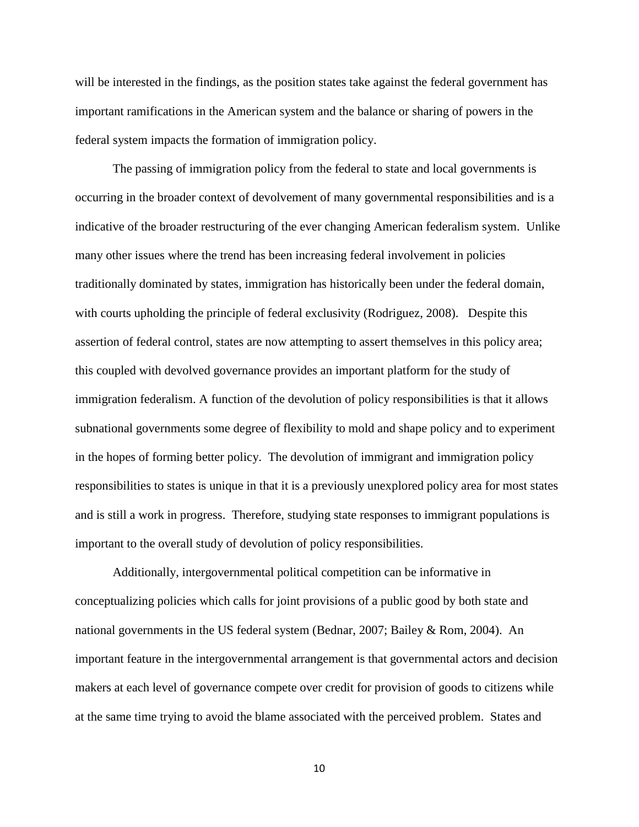will be interested in the findings, as the position states take against the federal government has important ramifications in the American system and the balance or sharing of powers in the federal system impacts the formation of immigration policy.

The passing of immigration policy from the federal to state and local governments is occurring in the broader context of devolvement of many governmental responsibilities and is a indicative of the broader restructuring of the ever changing American federalism system. Unlike many other issues where the trend has been increasing federal involvement in policies traditionally dominated by states, immigration has historically been under the federal domain, with courts upholding the principle of federal exclusivity (Rodriguez, 2008). Despite this assertion of federal control, states are now attempting to assert themselves in this policy area; this coupled with devolved governance provides an important platform for the study of immigration federalism. A function of the devolution of policy responsibilities is that it allows subnational governments some degree of flexibility to mold and shape policy and to experiment in the hopes of forming better policy. The devolution of immigrant and immigration policy responsibilities to states is unique in that it is a previously unexplored policy area for most states and is still a work in progress. Therefore, studying state responses to immigrant populations is important to the overall study of devolution of policy responsibilities.

Additionally, intergovernmental political competition can be informative in conceptualizing policies which calls for joint provisions of a public good by both state and national governments in the US federal system (Bednar, 2007; Bailey & Rom, 2004). An important feature in the intergovernmental arrangement is that governmental actors and decision makers at each level of governance compete over credit for provision of goods to citizens while at the same time trying to avoid the blame associated with the perceived problem. States and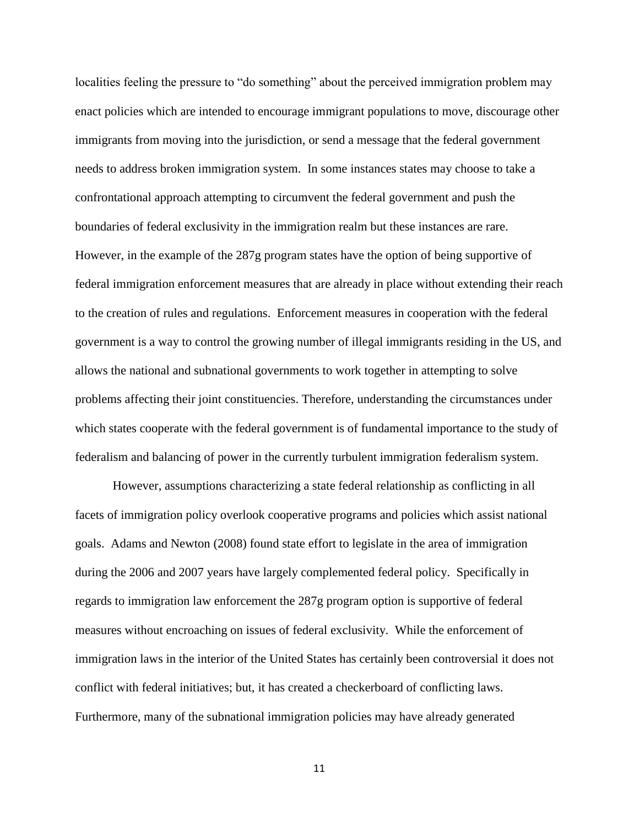localities feeling the pressure to "do something" about the perceived immigration problem may enact policies which are intended to encourage immigrant populations to move, discourage other immigrants from moving into the jurisdiction, or send a message that the federal government needs to address broken immigration system. In some instances states may choose to take a confrontational approach attempting to circumvent the federal government and push the boundaries of federal exclusivity in the immigration realm but these instances are rare. However, in the example of the 287g program states have the option of being supportive of federal immigration enforcement measures that are already in place without extending their reach to the creation of rules and regulations. Enforcement measures in cooperation with the federal government is a way to control the growing number of illegal immigrants residing in the US, and allows the national and subnational governments to work together in attempting to solve problems affecting their joint constituencies. Therefore, understanding the circumstances under which states cooperate with the federal government is of fundamental importance to the study of federalism and balancing of power in the currently turbulent immigration federalism system.

However, assumptions characterizing a state federal relationship as conflicting in all facets of immigration policy overlook cooperative programs and policies which assist national goals. Adams and Newton (2008) found state effort to legislate in the area of immigration during the 2006 and 2007 years have largely complemented federal policy. Specifically in regards to immigration law enforcement the 287g program option is supportive of federal measures without encroaching on issues of federal exclusivity. While the enforcement of immigration laws in the interior of the United States has certainly been controversial it does not conflict with federal initiatives; but, it has created a checkerboard of conflicting laws. Furthermore, many of the subnational immigration policies may have already generated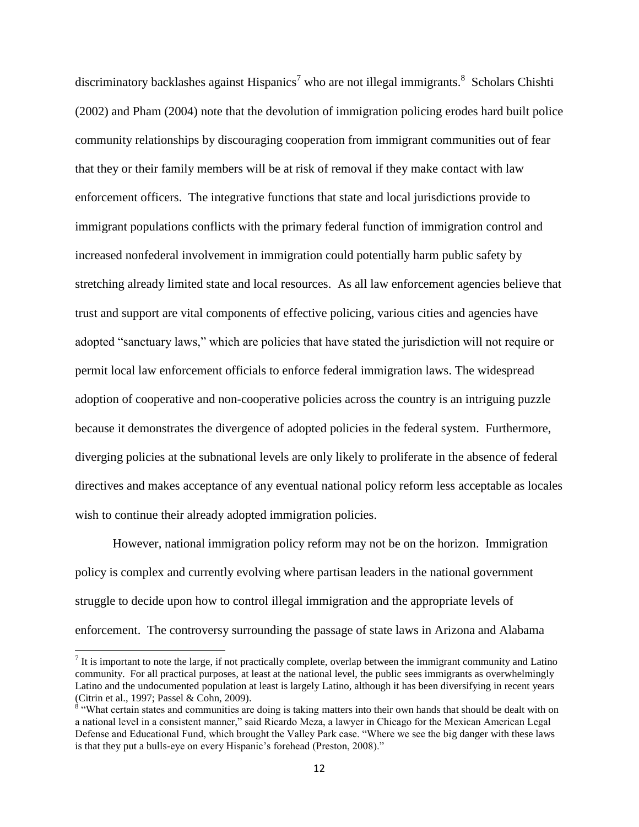discriminatory backlashes against Hispanics<sup>7</sup> who are not illegal immigrants.<sup>8</sup> Scholars Chishti (2002) and Pham (2004) note that the devolution of immigration policing erodes hard built police community relationships by discouraging cooperation from immigrant communities out of fear that they or their family members will be at risk of removal if they make contact with law enforcement officers. The integrative functions that state and local jurisdictions provide to immigrant populations conflicts with the primary federal function of immigration control and increased nonfederal involvement in immigration could potentially harm public safety by stretching already limited state and local resources. As all law enforcement agencies believe that trust and support are vital components of effective policing, various cities and agencies have adopted "sanctuary laws," which are policies that have stated the jurisdiction will not require or permit local law enforcement officials to enforce federal immigration laws. The widespread adoption of cooperative and non-cooperative policies across the country is an intriguing puzzle because it demonstrates the divergence of adopted policies in the federal system. Furthermore, diverging policies at the subnational levels are only likely to proliferate in the absence of federal directives and makes acceptance of any eventual national policy reform less acceptable as locales wish to continue their already adopted immigration policies.

However, national immigration policy reform may not be on the horizon. Immigration policy is complex and currently evolving where partisan leaders in the national government struggle to decide upon how to control illegal immigration and the appropriate levels of enforcement. The controversy surrounding the passage of state laws in Arizona and Alabama

<sup>&</sup>lt;sup>7</sup> It is important to note the large, if not practically complete, overlap between the immigrant community and Latino community. For all practical purposes, at least at the national level, the public sees immigrants as overwhelmingly Latino and the undocumented population at least is largely Latino, although it has been diversifying in recent years (Citrin et al., 1997; Passel & Cohn, 2009).

 $8 \times 8$  What certain states and communities are doing is taking matters into their own hands that should be dealt with on a national level in a consistent manner," said Ricardo Meza, a lawyer in Chicago for the Mexican American Legal Defense and Educational Fund, which brought the Valley Park case. "Where we see the big danger with these laws is that they put a bulls-eye on every Hispanic's forehead (Preston, 2008)."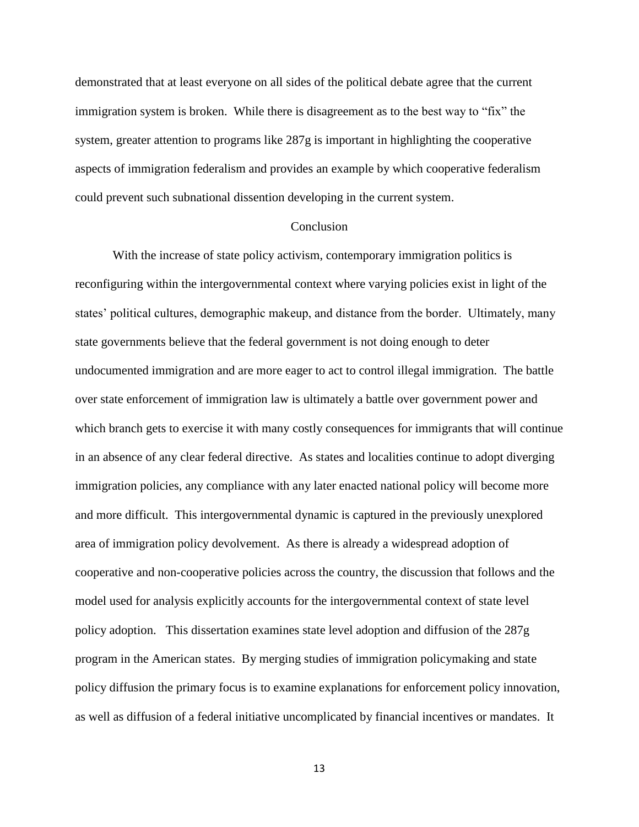demonstrated that at least everyone on all sides of the political debate agree that the current immigration system is broken. While there is disagreement as to the best way to "fix" the system, greater attention to programs like 287g is important in highlighting the cooperative aspects of immigration federalism and provides an example by which cooperative federalism could prevent such subnational dissention developing in the current system.

### Conclusion

With the increase of state policy activism, contemporary immigration politics is reconfiguring within the intergovernmental context where varying policies exist in light of the states' political cultures, demographic makeup, and distance from the border. Ultimately, many state governments believe that the federal government is not doing enough to deter undocumented immigration and are more eager to act to control illegal immigration. The battle over state enforcement of immigration law is ultimately a battle over government power and which branch gets to exercise it with many costly consequences for immigrants that will continue in an absence of any clear federal directive. As states and localities continue to adopt diverging immigration policies, any compliance with any later enacted national policy will become more and more difficult. This intergovernmental dynamic is captured in the previously unexplored area of immigration policy devolvement. As there is already a widespread adoption of cooperative and non-cooperative policies across the country, the discussion that follows and the model used for analysis explicitly accounts for the intergovernmental context of state level policy adoption. This dissertation examines state level adoption and diffusion of the 287g program in the American states. By merging studies of immigration policymaking and state policy diffusion the primary focus is to examine explanations for enforcement policy innovation, as well as diffusion of a federal initiative uncomplicated by financial incentives or mandates. It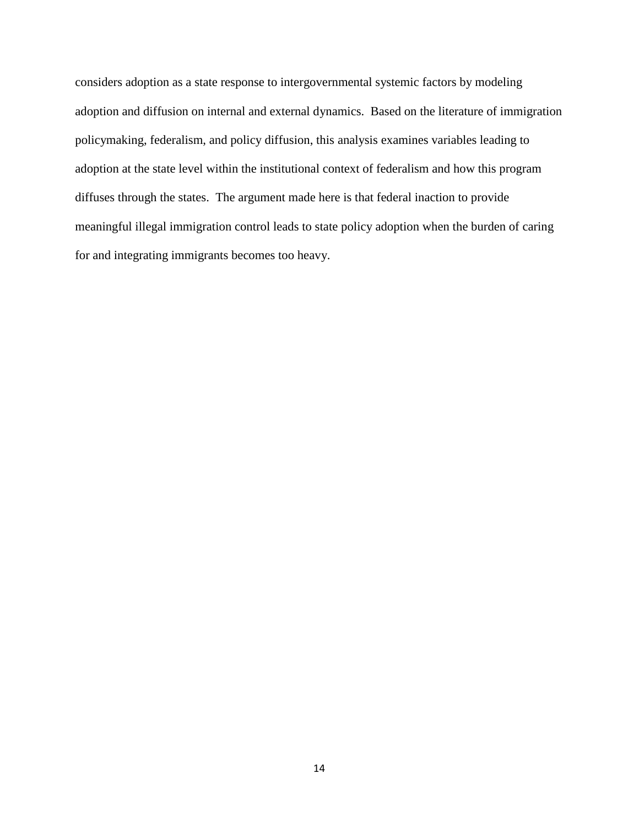considers adoption as a state response to intergovernmental systemic factors by modeling adoption and diffusion on internal and external dynamics. Based on the literature of immigration policymaking, federalism, and policy diffusion, this analysis examines variables leading to adoption at the state level within the institutional context of federalism and how this program diffuses through the states. The argument made here is that federal inaction to provide meaningful illegal immigration control leads to state policy adoption when the burden of caring for and integrating immigrants becomes too heavy.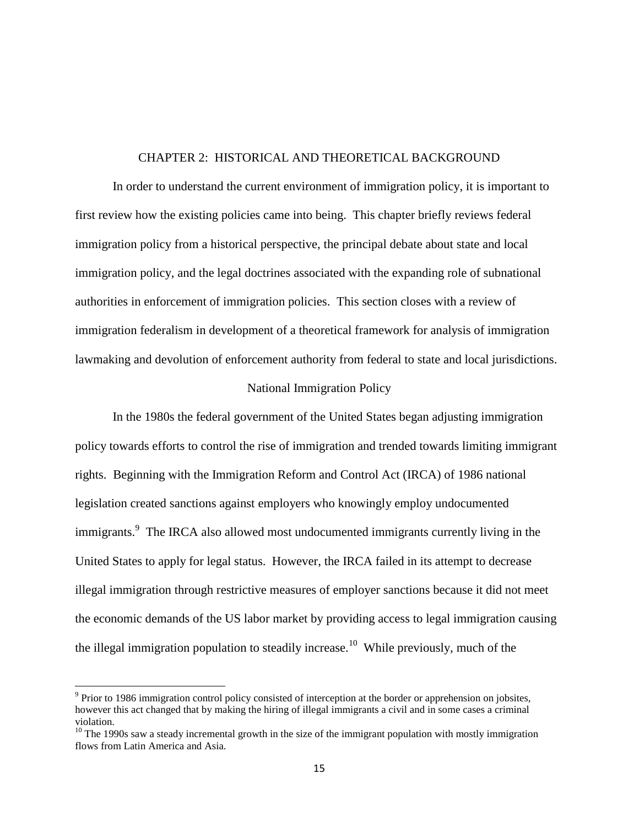### CHAPTER 2: HISTORICAL AND THEORETICAL BACKGROUND

In order to understand the current environment of immigration policy, it is important to first review how the existing policies came into being. This chapter briefly reviews federal immigration policy from a historical perspective, the principal debate about state and local immigration policy, and the legal doctrines associated with the expanding role of subnational authorities in enforcement of immigration policies. This section closes with a review of immigration federalism in development of a theoretical framework for analysis of immigration lawmaking and devolution of enforcement authority from federal to state and local jurisdictions.

### National Immigration Policy

In the 1980s the federal government of the United States began adjusting immigration policy towards efforts to control the rise of immigration and trended towards limiting immigrant rights. Beginning with the Immigration Reform and Control Act (IRCA) of 1986 national legislation created sanctions against employers who knowingly employ undocumented immigrants.<sup>9</sup> The IRCA also allowed most undocumented immigrants currently living in the United States to apply for legal status. However, the IRCA failed in its attempt to decrease illegal immigration through restrictive measures of employer sanctions because it did not meet the economic demands of the US labor market by providing access to legal immigration causing the illegal immigration population to steadily increase.<sup>10</sup> While previously, much of the

 $\overline{a}$ 

<sup>&</sup>lt;sup>9</sup> Prior to 1986 immigration control policy consisted of interception at the border or apprehension on jobsites, however this act changed that by making the hiring of illegal immigrants a civil and in some cases a criminal violation.

 $10$  The 1990s saw a steady incremental growth in the size of the immigrant population with mostly immigration flows from Latin America and Asia.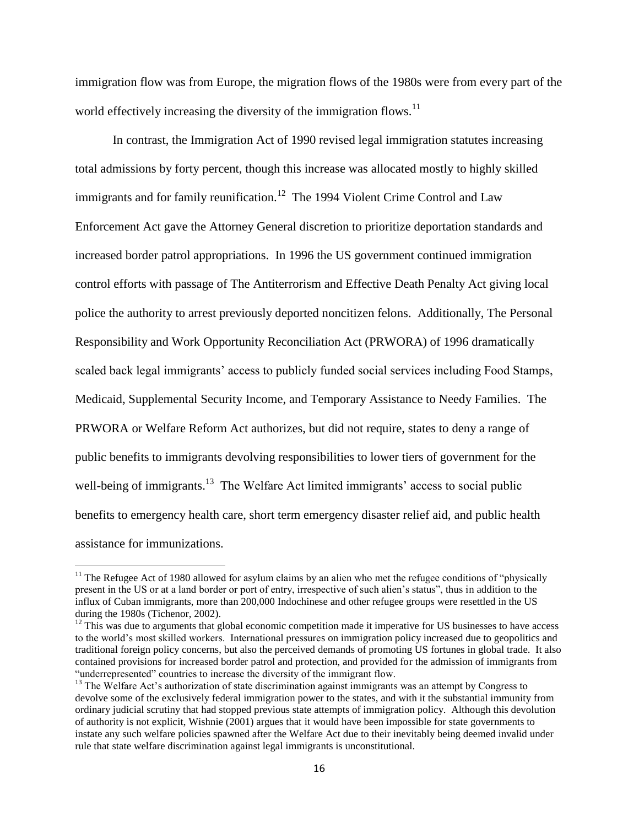immigration flow was from Europe, the migration flows of the 1980s were from every part of the world effectively increasing the diversity of the immigration flows.<sup>11</sup>

In contrast, the Immigration Act of 1990 revised legal immigration statutes increasing total admissions by forty percent, though this increase was allocated mostly to highly skilled immigrants and for family reunification.<sup>12</sup> The 1994 Violent Crime Control and Law Enforcement Act gave the Attorney General discretion to prioritize deportation standards and increased border patrol appropriations. In 1996 the US government continued immigration control efforts with passage of The Antiterrorism and Effective Death Penalty Act giving local police the authority to arrest previously deported noncitizen felons. Additionally, The Personal Responsibility and Work Opportunity Reconciliation Act (PRWORA) of 1996 dramatically scaled back legal immigrants' access to publicly funded social services including Food Stamps, Medicaid, Supplemental Security Income, and Temporary Assistance to Needy Families. The PRWORA or Welfare Reform Act authorizes, but did not require, states to deny a range of public benefits to immigrants devolving responsibilities to lower tiers of government for the well-being of immigrants.<sup>13</sup> The Welfare Act limited immigrants' access to social public benefits to emergency health care, short term emergency disaster relief aid, and public health assistance for immunizations.

l

<sup>&</sup>lt;sup>11</sup> The Refugee Act of 1980 allowed for asylum claims by an alien who met the refugee conditions of "physically" present in the US or at a land border or port of entry, irrespective of such alien's status", thus in addition to the influx of Cuban immigrants, more than 200,000 Indochinese and other refugee groups were resettled in the US during the 1980s (Tichenor, 2002).

 $12$  This was due to arguments that global economic competition made it imperative for US businesses to have access to the world's most skilled workers. International pressures on immigration policy increased due to geopolitics and traditional foreign policy concerns, but also the perceived demands of promoting US fortunes in global trade. It also contained provisions for increased border patrol and protection, and provided for the admission of immigrants from "underrepresented" countries to increase the diversity of the immigrant flow.

<sup>&</sup>lt;sup>13</sup> The Welfare Act's authorization of state discrimination against immigrants was an attempt by Congress to devolve some of the exclusively federal immigration power to the states, and with it the substantial immunity from ordinary judicial scrutiny that had stopped previous state attempts of immigration policy. Although this devolution of authority is not explicit, Wishnie (2001) argues that it would have been impossible for state governments to instate any such welfare policies spawned after the Welfare Act due to their inevitably being deemed invalid under rule that state welfare discrimination against legal immigrants is unconstitutional.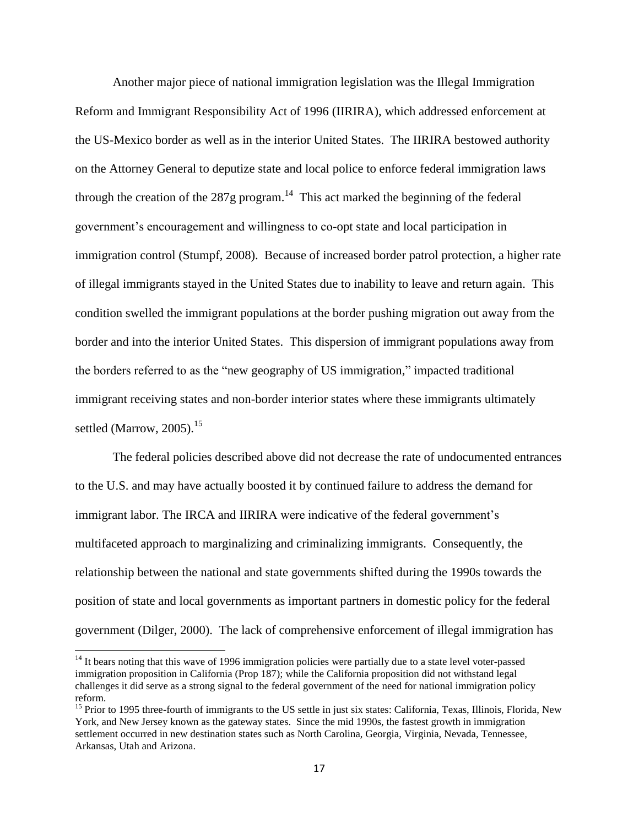Another major piece of national immigration legislation was the Illegal Immigration Reform and Immigrant Responsibility Act of 1996 (IIRIRA), which addressed enforcement at the US-Mexico border as well as in the interior United States. The IIRIRA bestowed authority on the Attorney General to deputize state and local police to enforce federal immigration laws through the creation of the 287g program.<sup>14</sup> This act marked the beginning of the federal government's encouragement and willingness to co-opt state and local participation in immigration control (Stumpf, 2008). Because of increased border patrol protection, a higher rate of illegal immigrants stayed in the United States due to inability to leave and return again. This condition swelled the immigrant populations at the border pushing migration out away from the border and into the interior United States. This dispersion of immigrant populations away from the borders referred to as the "new geography of US immigration," impacted traditional immigrant receiving states and non-border interior states where these immigrants ultimately settled (Marrow, 2005).<sup>15</sup>

The federal policies described above did not decrease the rate of undocumented entrances to the U.S. and may have actually boosted it by continued failure to address the demand for immigrant labor. The IRCA and IIRIRA were indicative of the federal government's multifaceted approach to marginalizing and criminalizing immigrants. Consequently, the relationship between the national and state governments shifted during the 1990s towards the position of state and local governments as important partners in domestic policy for the federal government (Dilger, 2000). The lack of comprehensive enforcement of illegal immigration has

 $\overline{a}$ 

 $14$  It bears noting that this wave of 1996 immigration policies were partially due to a state level voter-passed immigration proposition in California (Prop 187); while the California proposition did not withstand legal challenges it did serve as a strong signal to the federal government of the need for national immigration policy reform.

<sup>&</sup>lt;sup>15</sup> Prior to 1995 three-fourth of immigrants to the US settle in just six states: California, Texas, Illinois, Florida, New York, and New Jersey known as the gateway states. Since the mid 1990s, the fastest growth in immigration settlement occurred in new destination states such as North Carolina, Georgia, Virginia, Nevada, Tennessee, Arkansas, Utah and Arizona.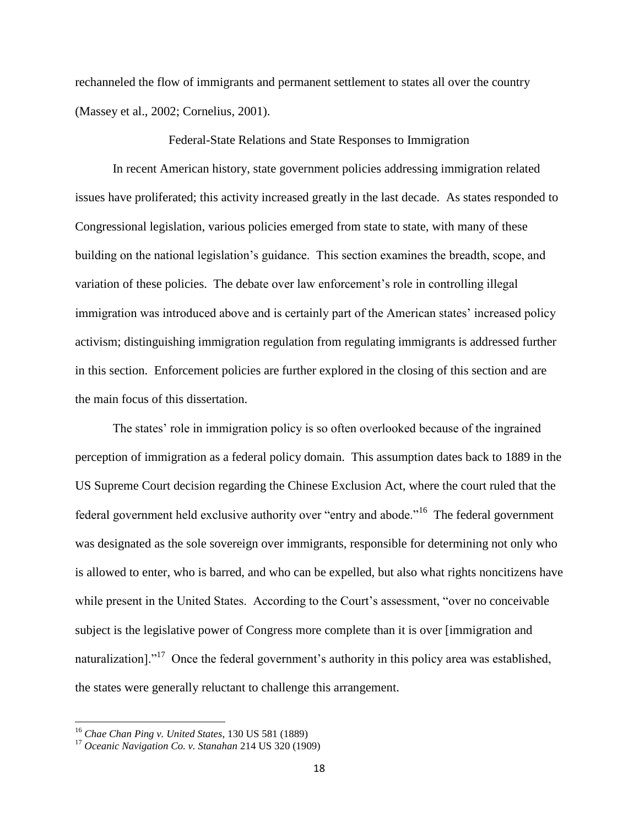rechanneled the flow of immigrants and permanent settlement to states all over the country (Massey et al., 2002; Cornelius, 2001).

Federal-State Relations and State Responses to Immigration

In recent American history, state government policies addressing immigration related issues have proliferated; this activity increased greatly in the last decade. As states responded to Congressional legislation, various policies emerged from state to state, with many of these building on the national legislation's guidance. This section examines the breadth, scope, and variation of these policies. The debate over law enforcement's role in controlling illegal immigration was introduced above and is certainly part of the American states' increased policy activism; distinguishing immigration regulation from regulating immigrants is addressed further in this section. Enforcement policies are further explored in the closing of this section and are the main focus of this dissertation.

The states' role in immigration policy is so often overlooked because of the ingrained perception of immigration as a federal policy domain. This assumption dates back to 1889 in the US Supreme Court decision regarding the Chinese Exclusion Act, where the court ruled that the federal government held exclusive authority over "entry and abode."<sup>16</sup> The federal government was designated as the sole sovereign over immigrants, responsible for determining not only who is allowed to enter, who is barred, and who can be expelled, but also what rights noncitizens have while present in the United States. According to the Court's assessment, "over no conceivable subject is the legislative power of Congress more complete than it is over [immigration and naturalization]."<sup>17</sup> Once the federal government's authority in this policy area was established, the states were generally reluctant to challenge this arrangement.

<sup>16</sup> *Chae Chan Ping v. United States*, 130 US 581 (1889)

<sup>17</sup> *Oceanic Navigation Co. v. Stanahan* 214 US 320 (1909)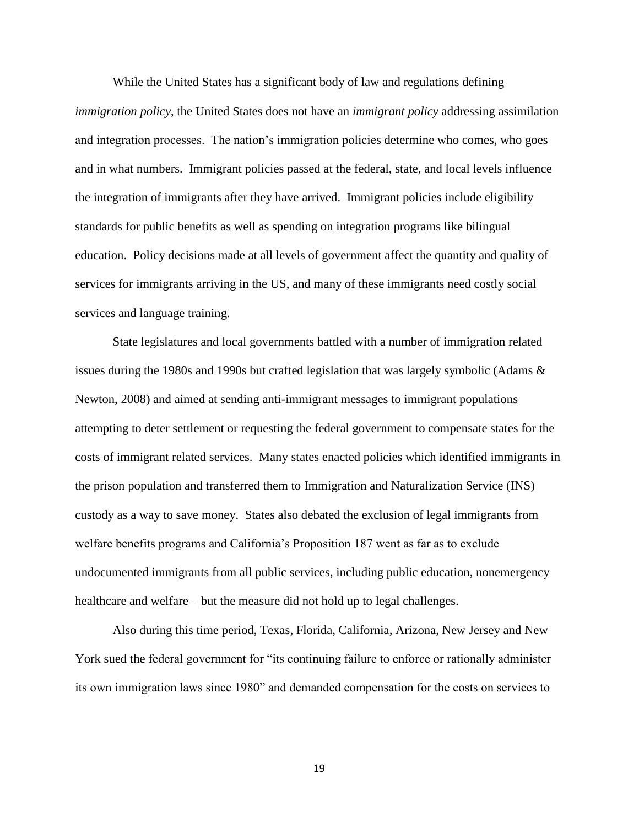While the United States has a significant body of law and regulations defining *immigration policy*, the United States does not have an *immigrant policy* addressing assimilation and integration processes. The nation's immigration policies determine who comes, who goes and in what numbers. Immigrant policies passed at the federal, state, and local levels influence the integration of immigrants after they have arrived. Immigrant policies include eligibility standards for public benefits as well as spending on integration programs like bilingual education. Policy decisions made at all levels of government affect the quantity and quality of services for immigrants arriving in the US, and many of these immigrants need costly social services and language training.

State legislatures and local governments battled with a number of immigration related issues during the 1980s and 1990s but crafted legislation that was largely symbolic (Adams & Newton, 2008) and aimed at sending anti-immigrant messages to immigrant populations attempting to deter settlement or requesting the federal government to compensate states for the costs of immigrant related services. Many states enacted policies which identified immigrants in the prison population and transferred them to Immigration and Naturalization Service (INS) custody as a way to save money. States also debated the exclusion of legal immigrants from welfare benefits programs and California's Proposition 187 went as far as to exclude undocumented immigrants from all public services, including public education, nonemergency healthcare and welfare – but the measure did not hold up to legal challenges.

Also during this time period, Texas, Florida, California, Arizona, New Jersey and New York sued the federal government for "its continuing failure to enforce or rationally administer its own immigration laws since 1980" and demanded compensation for the costs on services to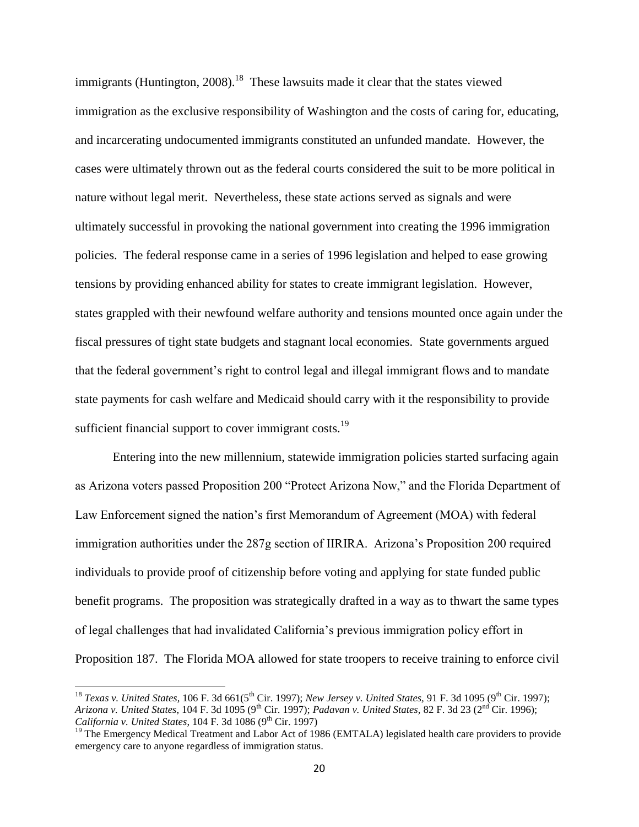immigrants (Huntington, 2008).<sup>18</sup> These lawsuits made it clear that the states viewed immigration as the exclusive responsibility of Washington and the costs of caring for, educating, and incarcerating undocumented immigrants constituted an unfunded mandate. However, the cases were ultimately thrown out as the federal courts considered the suit to be more political in nature without legal merit. Nevertheless, these state actions served as signals and were ultimately successful in provoking the national government into creating the 1996 immigration policies. The federal response came in a series of 1996 legislation and helped to ease growing tensions by providing enhanced ability for states to create immigrant legislation. However, states grappled with their newfound welfare authority and tensions mounted once again under the fiscal pressures of tight state budgets and stagnant local economies. State governments argued that the federal government's right to control legal and illegal immigrant flows and to mandate state payments for cash welfare and Medicaid should carry with it the responsibility to provide sufficient financial support to cover immigrant costs. $^{19}$ 

Entering into the new millennium, statewide immigration policies started surfacing again as Arizona voters passed Proposition 200 "Protect Arizona Now," and the Florida Department of Law Enforcement signed the nation's first Memorandum of Agreement (MOA) with federal immigration authorities under the 287g section of IIRIRA. Arizona's Proposition 200 required individuals to provide proof of citizenship before voting and applying for state funded public benefit programs. The proposition was strategically drafted in a way as to thwart the same types of legal challenges that had invalidated California's previous immigration policy effort in Proposition 187. The Florida MOA allowed for state troopers to receive training to enforce civil

 $\overline{a}$ 

<sup>&</sup>lt;sup>18</sup> *Texas v. United States,* 106 F. 3d 661(5<sup>th</sup> Cir. 1997); *New Jersey v. United States,* 91 F. 3d 1095 (9<sup>th</sup> Cir. 1997); *Arizona v. United States*, 104 F. 3d 1095 (9th Cir. 1997); *Padavan v. United States,* 82 F. 3d 23 (2nd Cir. 1996); *California v. United States, 104 F. 3d 1086 (9<sup>th</sup> Cir. 1997)* 

<sup>&</sup>lt;sup>19</sup> The Emergency Medical Treatment and Labor Act of 1986 (EMTALA) legislated health care providers to provide emergency care to anyone regardless of immigration status.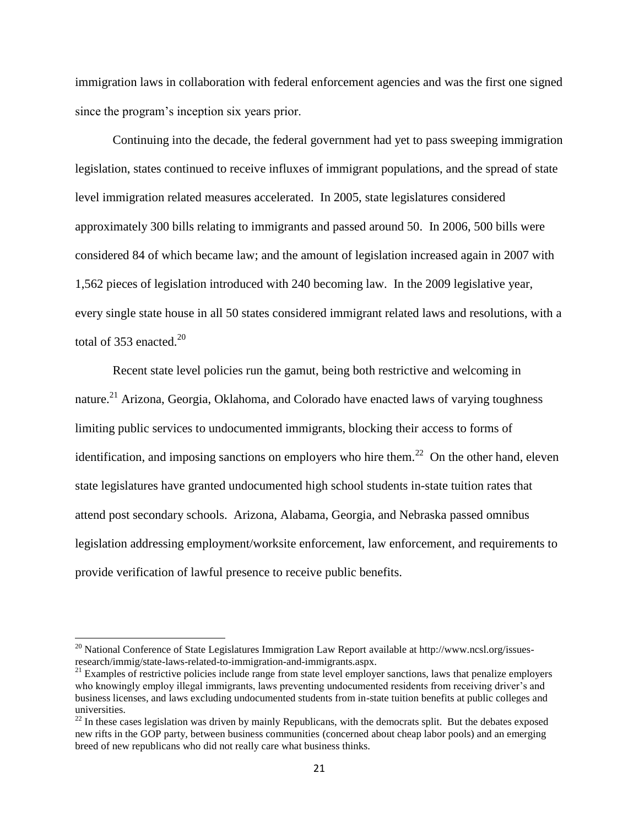immigration laws in collaboration with federal enforcement agencies and was the first one signed since the program's inception six years prior.

Continuing into the decade, the federal government had yet to pass sweeping immigration legislation, states continued to receive influxes of immigrant populations, and the spread of state level immigration related measures accelerated. In 2005, state legislatures considered approximately 300 bills relating to immigrants and passed around 50. In 2006, 500 bills were considered 84 of which became law; and the amount of legislation increased again in 2007 with 1,562 pieces of legislation introduced with 240 becoming law. In the 2009 legislative year, every single state house in all 50 states considered immigrant related laws and resolutions, with a total of 353 enacted. $^{20}$ 

Recent state level policies run the gamut, being both restrictive and welcoming in nature.<sup>21</sup> Arizona, Georgia, Oklahoma, and Colorado have enacted laws of varying toughness limiting public services to undocumented immigrants, blocking their access to forms of identification, and imposing sanctions on employers who hire them.<sup>22</sup> On the other hand, eleven state legislatures have granted undocumented high school students in-state tuition rates that attend post secondary schools. Arizona, Alabama, Georgia, and Nebraska passed omnibus legislation addressing employment/worksite enforcement, law enforcement, and requirements to provide verification of lawful presence to receive public benefits.

<sup>&</sup>lt;sup>20</sup> National Conference of State Legislatures Immigration Law Report available at http://www.ncsl.org/issuesresearch/immig/state-laws-related-to-immigration-and-immigrants.aspx.

 $^{21}$  Examples of restrictive policies include range from state level employer sanctions, laws that penalize employers who knowingly employ illegal immigrants, laws preventing undocumented residents from receiving driver's and business licenses, and laws excluding undocumented students from in-state tuition benefits at public colleges and universities.

 $^{22}$  In these cases legislation was driven by mainly Republicans, with the democrats split. But the debates exposed new rifts in the GOP party, between business communities (concerned about cheap labor pools) and an emerging breed of new republicans who did not really care what business thinks.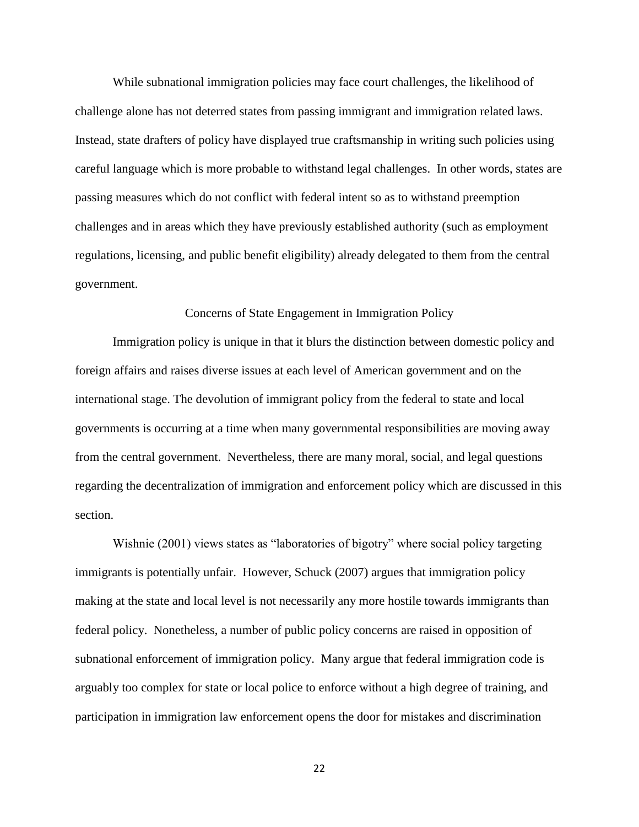While subnational immigration policies may face court challenges, the likelihood of challenge alone has not deterred states from passing immigrant and immigration related laws. Instead, state drafters of policy have displayed true craftsmanship in writing such policies using careful language which is more probable to withstand legal challenges. In other words, states are passing measures which do not conflict with federal intent so as to withstand preemption challenges and in areas which they have previously established authority (such as employment regulations, licensing, and public benefit eligibility) already delegated to them from the central government.

### Concerns of State Engagement in Immigration Policy

Immigration policy is unique in that it blurs the distinction between domestic policy and foreign affairs and raises diverse issues at each level of American government and on the international stage. The devolution of immigrant policy from the federal to state and local governments is occurring at a time when many governmental responsibilities are moving away from the central government. Nevertheless, there are many moral, social, and legal questions regarding the decentralization of immigration and enforcement policy which are discussed in this section.

Wishnie (2001) views states as "laboratories of bigotry" where social policy targeting immigrants is potentially unfair. However, Schuck (2007) argues that immigration policy making at the state and local level is not necessarily any more hostile towards immigrants than federal policy. Nonetheless, a number of public policy concerns are raised in opposition of subnational enforcement of immigration policy. Many argue that federal immigration code is arguably too complex for state or local police to enforce without a high degree of training, and participation in immigration law enforcement opens the door for mistakes and discrimination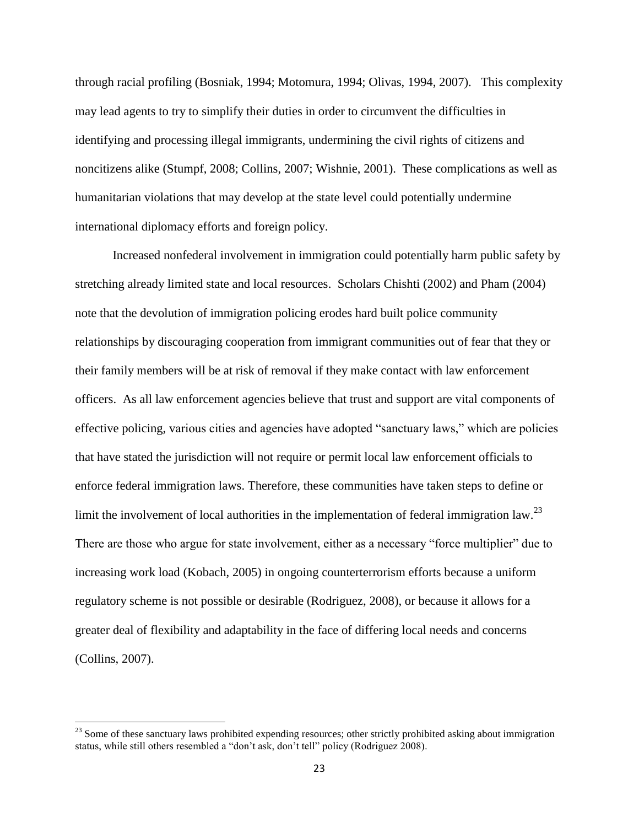through racial profiling (Bosniak, 1994; Motomura, 1994; Olivas, 1994, 2007). This complexity may lead agents to try to simplify their duties in order to circumvent the difficulties in identifying and processing illegal immigrants, undermining the civil rights of citizens and noncitizens alike (Stumpf, 2008; Collins, 2007; Wishnie, 2001). These complications as well as humanitarian violations that may develop at the state level could potentially undermine international diplomacy efforts and foreign policy.

Increased nonfederal involvement in immigration could potentially harm public safety by stretching already limited state and local resources. Scholars Chishti (2002) and Pham (2004) note that the devolution of immigration policing erodes hard built police community relationships by discouraging cooperation from immigrant communities out of fear that they or their family members will be at risk of removal if they make contact with law enforcement officers. As all law enforcement agencies believe that trust and support are vital components of effective policing, various cities and agencies have adopted "sanctuary laws," which are policies that have stated the jurisdiction will not require or permit local law enforcement officials to enforce federal immigration laws. Therefore, these communities have taken steps to define or limit the involvement of local authorities in the implementation of federal immigration law.<sup>23</sup> There are those who argue for state involvement, either as a necessary "force multiplier" due to increasing work load (Kobach, 2005) in ongoing counterterrorism efforts because a uniform regulatory scheme is not possible or desirable (Rodriguez, 2008), or because it allows for a greater deal of flexibility and adaptability in the face of differing local needs and concerns (Collins, 2007).

 $^{23}$  Some of these sanctuary laws prohibited expending resources; other strictly prohibited asking about immigration status, while still others resembled a "don't ask, don't tell" policy (Rodriguez 2008).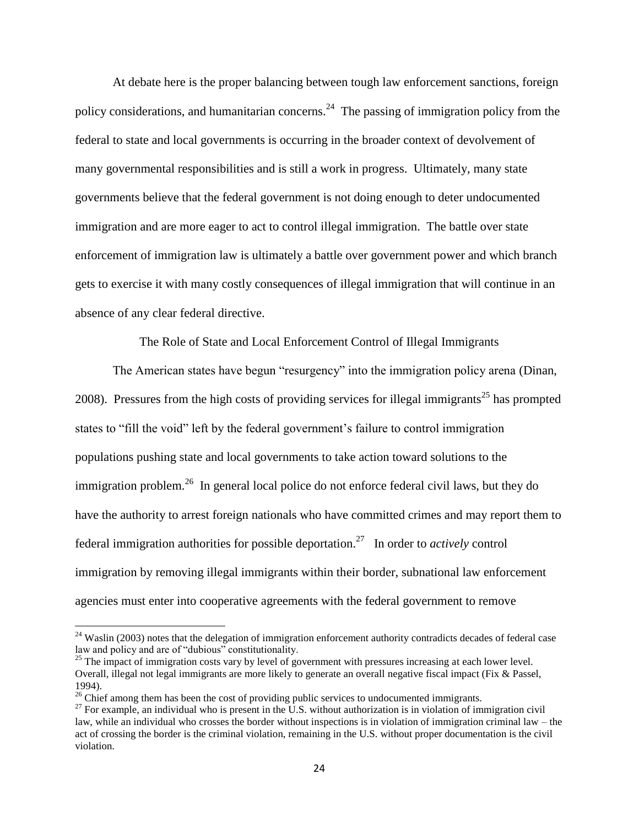At debate here is the proper balancing between tough law enforcement sanctions, foreign policy considerations, and humanitarian concerns.<sup>24</sup> The passing of immigration policy from the federal to state and local governments is occurring in the broader context of devolvement of many governmental responsibilities and is still a work in progress. Ultimately, many state governments believe that the federal government is not doing enough to deter undocumented immigration and are more eager to act to control illegal immigration. The battle over state enforcement of immigration law is ultimately a battle over government power and which branch gets to exercise it with many costly consequences of illegal immigration that will continue in an absence of any clear federal directive.

The Role of State and Local Enforcement Control of Illegal Immigrants

The American states have begun "resurgency" into the immigration policy arena (Dinan, 2008). Pressures from the high costs of providing services for illegal immigrants<sup>25</sup> has prompted states to "fill the void" left by the federal government's failure to control immigration populations pushing state and local governments to take action toward solutions to the immigration problem.<sup>26</sup> In general local police do not enforce federal civil laws, but they do have the authority to arrest foreign nationals who have committed crimes and may report them to federal immigration authorities for possible deportation.<sup>27</sup> In order to *actively* control immigration by removing illegal immigrants within their border, subnational law enforcement agencies must enter into cooperative agreements with the federal government to remove

 $24$  Waslin (2003) notes that the delegation of immigration enforcement authority contradicts decades of federal case law and policy and are of "dubious" constitutionality.

<sup>&</sup>lt;sup>25</sup> The impact of immigration costs vary by level of government with pressures increasing at each lower level. Overall, illegal not legal immigrants are more likely to generate an overall negative fiscal impact (Fix & Passel, 1994).

 $26$  Chief among them has been the cost of providing public services to undocumented immigrants.

 $^{27}$  For example, an individual who is present in the U.S. without authorization is in violation of immigration civil law, while an individual who crosses the border without inspections is in violation of immigration criminal law – the act of crossing the border is the criminal violation, remaining in the U.S. without proper documentation is the civil violation.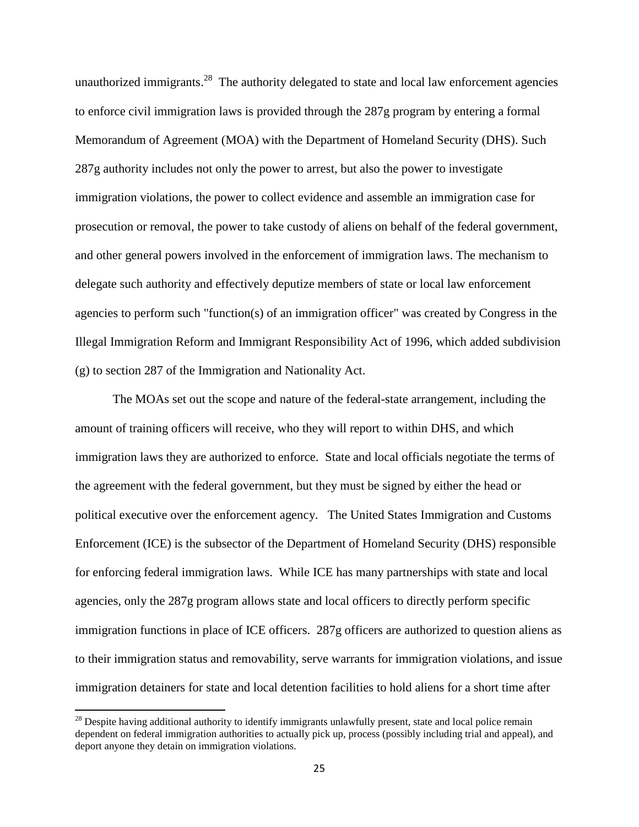unauthorized immigrants. $^{28}$  The authority delegated to state and local law enforcement agencies to enforce civil immigration laws is provided through the 287g program by entering a formal Memorandum of Agreement (MOA) with the Department of Homeland Security (DHS). Such 287g authority includes not only the power to arrest, but also the power to investigate immigration violations, the power to collect evidence and assemble an immigration case for prosecution or removal, the power to take custody of aliens on behalf of the federal government, and other general powers involved in the enforcement of immigration laws. The mechanism to delegate such authority and effectively deputize members of state or local law enforcement agencies to perform such "function(s) of an immigration officer" was created by Congress in the Illegal Immigration Reform and Immigrant Responsibility Act of 1996, which added subdivision (g) to section 287 of the Immigration and Nationality Act.

The MOAs set out the scope and nature of the federal-state arrangement, including the amount of training officers will receive, who they will report to within DHS, and which immigration laws they are authorized to enforce. State and local officials negotiate the terms of the agreement with the federal government, but they must be signed by either the head or political executive over the enforcement agency. The United States Immigration and Customs Enforcement (ICE) is the subsector of the Department of Homeland Security (DHS) responsible for enforcing federal immigration laws. While ICE has many partnerships with state and local agencies, only the 287g program allows state and local officers to directly perform specific immigration functions in place of ICE officers. 287g officers are authorized to question aliens as to their immigration status and removability, serve warrants for immigration violations, and issue immigration detainers for state and local detention facilities to hold aliens for a short time after

 $^{28}$  Despite having additional authority to identify immigrants unlawfully present, state and local police remain dependent on federal immigration authorities to actually pick up, process (possibly including trial and appeal), and deport anyone they detain on immigration violations.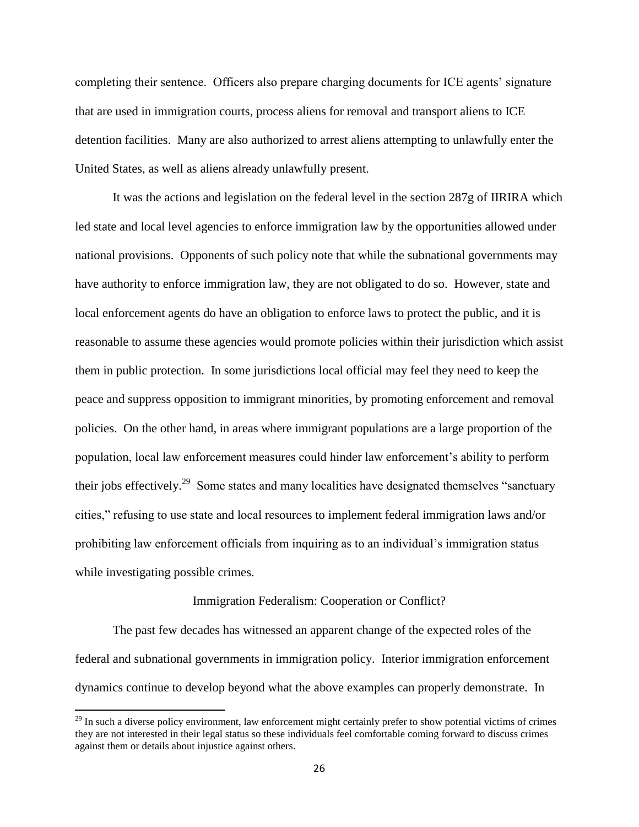completing their sentence. Officers also prepare charging documents for ICE agents' signature that are used in immigration courts, process aliens for removal and transport aliens to ICE detention facilities. Many are also authorized to arrest aliens attempting to unlawfully enter the United States, as well as aliens already unlawfully present.

It was the actions and legislation on the federal level in the section 287g of IIRIRA which led state and local level agencies to enforce immigration law by the opportunities allowed under national provisions. Opponents of such policy note that while the subnational governments may have authority to enforce immigration law, they are not obligated to do so. However, state and local enforcement agents do have an obligation to enforce laws to protect the public, and it is reasonable to assume these agencies would promote policies within their jurisdiction which assist them in public protection. In some jurisdictions local official may feel they need to keep the peace and suppress opposition to immigrant minorities, by promoting enforcement and removal policies. On the other hand, in areas where immigrant populations are a large proportion of the population, local law enforcement measures could hinder law enforcement's ability to perform their jobs effectively.<sup>29</sup> Some states and many localities have designated themselves "sanctuary cities," refusing to use state and local resources to implement federal immigration laws and/or prohibiting law enforcement officials from inquiring as to an individual's immigration status while investigating possible crimes.

#### Immigration Federalism: Cooperation or Conflict?

The past few decades has witnessed an apparent change of the expected roles of the federal and subnational governments in immigration policy. Interior immigration enforcement dynamics continue to develop beyond what the above examples can properly demonstrate. In

 $29$  In such a diverse policy environment, law enforcement might certainly prefer to show potential victims of crimes they are not interested in their legal status so these individuals feel comfortable coming forward to discuss crimes against them or details about injustice against others.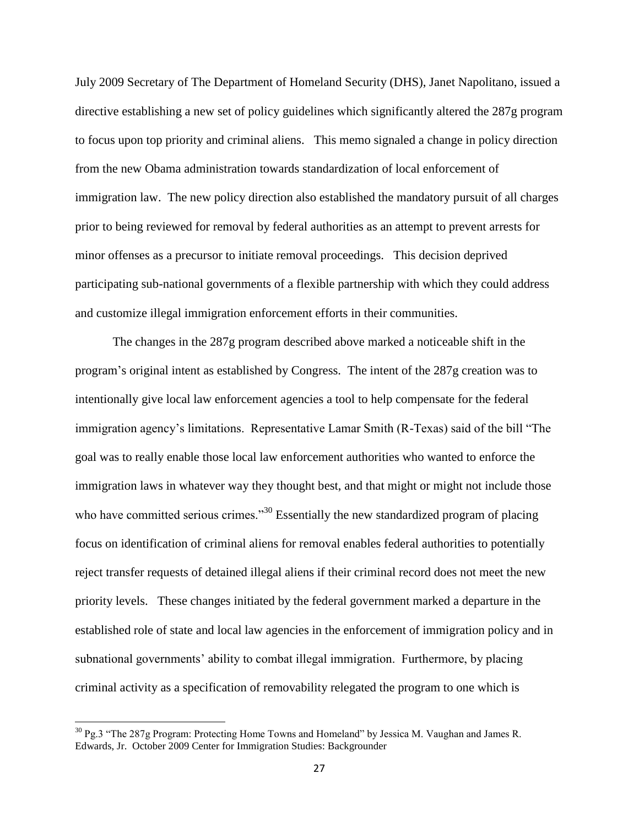July 2009 Secretary of The Department of Homeland Security (DHS), Janet Napolitano, issued a directive establishing a new set of policy guidelines which significantly altered the 287g program to focus upon top priority and criminal aliens. This memo signaled a change in policy direction from the new Obama administration towards standardization of local enforcement of immigration law. The new policy direction also established the mandatory pursuit of all charges prior to being reviewed for removal by federal authorities as an attempt to prevent arrests for minor offenses as a precursor to initiate removal proceedings. This decision deprived participating sub-national governments of a flexible partnership with which they could address and customize illegal immigration enforcement efforts in their communities.

The changes in the 287g program described above marked a noticeable shift in the program's original intent as established by Congress. The intent of the 287g creation was to intentionally give local law enforcement agencies a tool to help compensate for the federal immigration agency's limitations. Representative Lamar Smith (R-Texas) said of the bill "The goal was to really enable those local law enforcement authorities who wanted to enforce the immigration laws in whatever way they thought best, and that might or might not include those who have committed serious crimes."<sup>30</sup> Essentially the new standardized program of placing focus on identification of criminal aliens for removal enables federal authorities to potentially reject transfer requests of detained illegal aliens if their criminal record does not meet the new priority levels. These changes initiated by the federal government marked a departure in the established role of state and local law agencies in the enforcement of immigration policy and in subnational governments' ability to combat illegal immigration. Furthermore, by placing criminal activity as a specification of removability relegated the program to one which is

 $\overline{\phantom{a}}$ 

 $30$  Pg.3 "The 287g Program: Protecting Home Towns and Homeland" by Jessica M. Vaughan and James R. Edwards, Jr. October 2009 Center for Immigration Studies: Backgrounder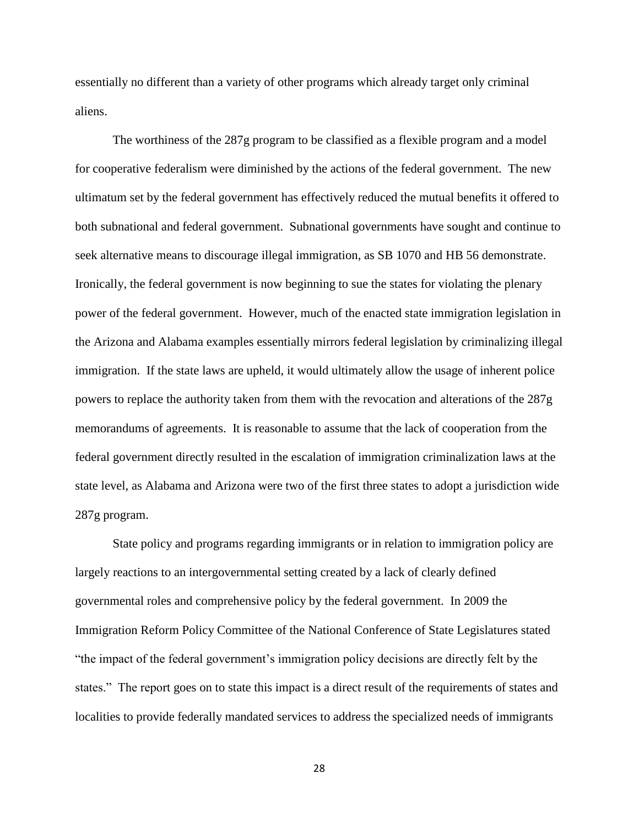essentially no different than a variety of other programs which already target only criminal aliens.

The worthiness of the 287g program to be classified as a flexible program and a model for cooperative federalism were diminished by the actions of the federal government. The new ultimatum set by the federal government has effectively reduced the mutual benefits it offered to both subnational and federal government. Subnational governments have sought and continue to seek alternative means to discourage illegal immigration, as SB 1070 and HB 56 demonstrate. Ironically, the federal government is now beginning to sue the states for violating the plenary power of the federal government. However, much of the enacted state immigration legislation in the Arizona and Alabama examples essentially mirrors federal legislation by criminalizing illegal immigration. If the state laws are upheld, it would ultimately allow the usage of inherent police powers to replace the authority taken from them with the revocation and alterations of the 287g memorandums of agreements. It is reasonable to assume that the lack of cooperation from the federal government directly resulted in the escalation of immigration criminalization laws at the state level, as Alabama and Arizona were two of the first three states to adopt a jurisdiction wide 287g program.

State policy and programs regarding immigrants or in relation to immigration policy are largely reactions to an intergovernmental setting created by a lack of clearly defined governmental roles and comprehensive policy by the federal government. In 2009 the Immigration Reform Policy Committee of the National Conference of State Legislatures stated "the impact of the federal government's immigration policy decisions are directly felt by the states." The report goes on to state this impact is a direct result of the requirements of states and localities to provide federally mandated services to address the specialized needs of immigrants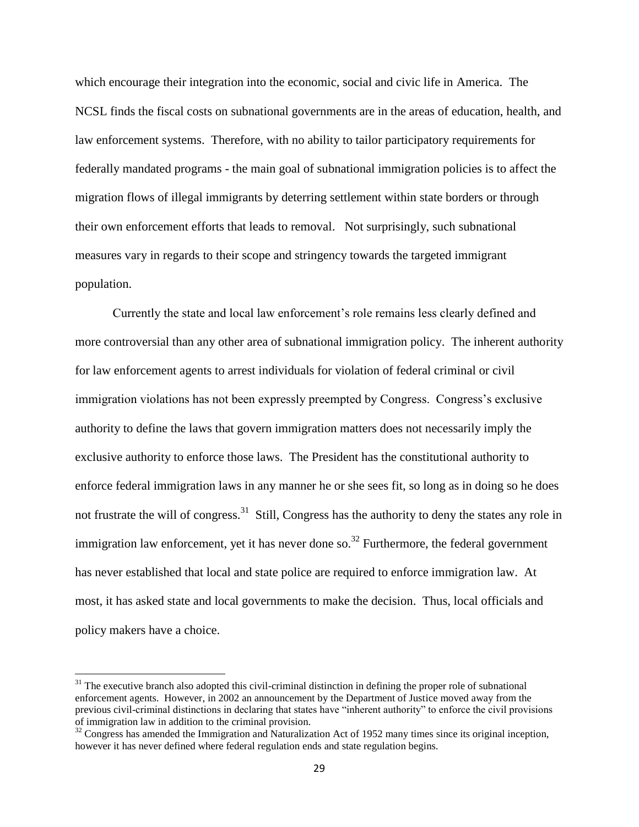which encourage their integration into the economic, social and civic life in America. The NCSL finds the fiscal costs on subnational governments are in the areas of education, health, and law enforcement systems. Therefore, with no ability to tailor participatory requirements for federally mandated programs - the main goal of subnational immigration policies is to affect the migration flows of illegal immigrants by deterring settlement within state borders or through their own enforcement efforts that leads to removal. Not surprisingly, such subnational measures vary in regards to their scope and stringency towards the targeted immigrant population.

Currently the state and local law enforcement's role remains less clearly defined and more controversial than any other area of subnational immigration policy. The inherent authority for law enforcement agents to arrest individuals for violation of federal criminal or civil immigration violations has not been expressly preempted by Congress. Congress's exclusive authority to define the laws that govern immigration matters does not necessarily imply the exclusive authority to enforce those laws. The President has the constitutional authority to enforce federal immigration laws in any manner he or she sees fit, so long as in doing so he does not frustrate the will of congress.<sup>31</sup> Still, Congress has the authority to deny the states any role in immigration law enforcement, yet it has never done so.<sup>32</sup> Furthermore, the federal government has never established that local and state police are required to enforce immigration law. At most, it has asked state and local governments to make the decision. Thus, local officials and policy makers have a choice.

l

 $31$  The executive branch also adopted this civil-criminal distinction in defining the proper role of subnational enforcement agents. However, in 2002 an announcement by the Department of Justice moved away from the previous civil-criminal distinctions in declaring that states have "inherent authority" to enforce the civil provisions of immigration law in addition to the criminal provision.

 $32$  Congress has amended the Immigration and Naturalization Act of 1952 many times since its original inception, however it has never defined where federal regulation ends and state regulation begins.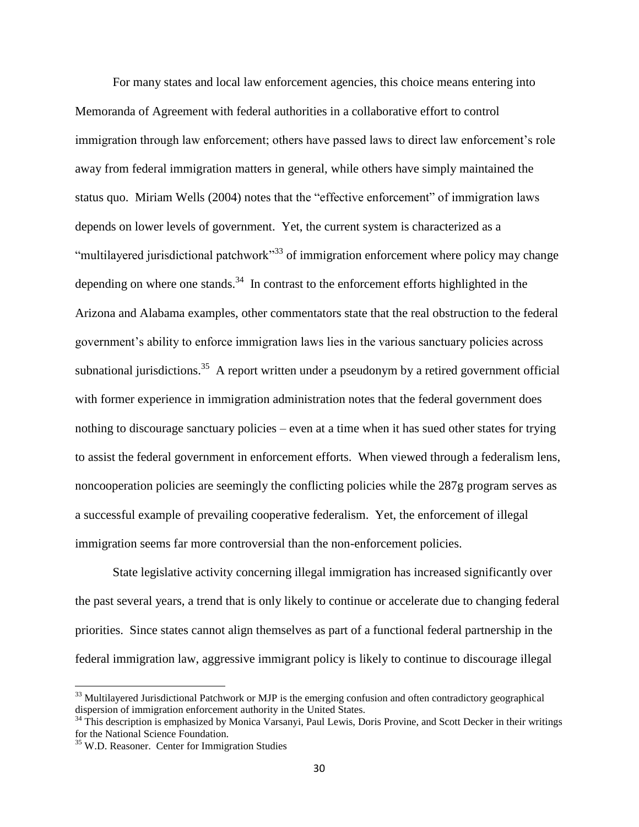For many states and local law enforcement agencies, this choice means entering into Memoranda of Agreement with federal authorities in a collaborative effort to control immigration through law enforcement; others have passed laws to direct law enforcement's role away from federal immigration matters in general, while others have simply maintained the status quo. Miriam Wells (2004) notes that the "effective enforcement" of immigration laws depends on lower levels of government. Yet, the current system is characterized as a "multilayered jurisdictional patchwork"<sup>33</sup> of immigration enforcement where policy may change depending on where one stands.<sup>34</sup> In contrast to the enforcement efforts highlighted in the Arizona and Alabama examples, other commentators state that the real obstruction to the federal government's ability to enforce immigration laws lies in the various sanctuary policies across subnational jurisdictions.<sup>35</sup> A report written under a pseudonym by a retired government official with former experience in immigration administration notes that the federal government does nothing to discourage sanctuary policies – even at a time when it has sued other states for trying to assist the federal government in enforcement efforts. When viewed through a federalism lens, noncooperation policies are seemingly the conflicting policies while the 287g program serves as a successful example of prevailing cooperative federalism. Yet, the enforcement of illegal immigration seems far more controversial than the non-enforcement policies.

State legislative activity concerning illegal immigration has increased significantly over the past several years, a trend that is only likely to continue or accelerate due to changing federal priorities. Since states cannot align themselves as part of a functional federal partnership in the federal immigration law, aggressive immigrant policy is likely to continue to discourage illegal

 $\overline{a}$ 

<sup>&</sup>lt;sup>33</sup> Multilayered Jurisdictional Patchwork or MJP is the emerging confusion and often contradictory geographical dispersion of immigration enforcement authority in the United States.

<sup>&</sup>lt;sup>34</sup> This description is emphasized by Monica Varsanyi, Paul Lewis, Doris Provine, and Scott Decker in their writings for the National Science Foundation.

<sup>&</sup>lt;sup>35</sup> W.D. Reasoner. Center for Immigration Studies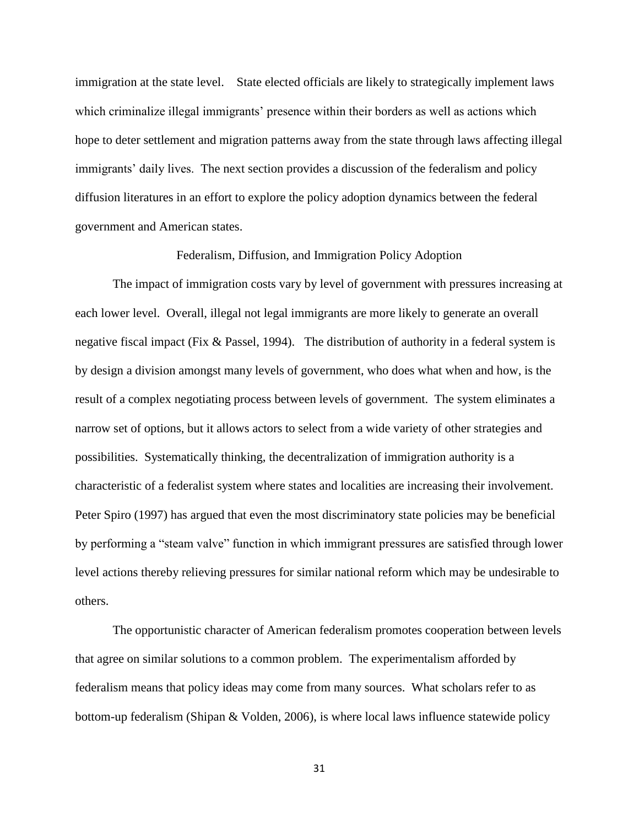immigration at the state level. State elected officials are likely to strategically implement laws which criminalize illegal immigrants' presence within their borders as well as actions which hope to deter settlement and migration patterns away from the state through laws affecting illegal immigrants' daily lives. The next section provides a discussion of the federalism and policy diffusion literatures in an effort to explore the policy adoption dynamics between the federal government and American states.

## Federalism, Diffusion, and Immigration Policy Adoption

The impact of immigration costs vary by level of government with pressures increasing at each lower level. Overall, illegal not legal immigrants are more likely to generate an overall negative fiscal impact (Fix & Passel, 1994). The distribution of authority in a federal system is by design a division amongst many levels of government, who does what when and how, is the result of a complex negotiating process between levels of government. The system eliminates a narrow set of options, but it allows actors to select from a wide variety of other strategies and possibilities. Systematically thinking, the decentralization of immigration authority is a characteristic of a federalist system where states and localities are increasing their involvement. Peter Spiro (1997) has argued that even the most discriminatory state policies may be beneficial by performing a "steam valve" function in which immigrant pressures are satisfied through lower level actions thereby relieving pressures for similar national reform which may be undesirable to others.

The opportunistic character of American federalism promotes cooperation between levels that agree on similar solutions to a common problem. The experimentalism afforded by federalism means that policy ideas may come from many sources. What scholars refer to as bottom-up federalism (Shipan & Volden, 2006), is where local laws influence statewide policy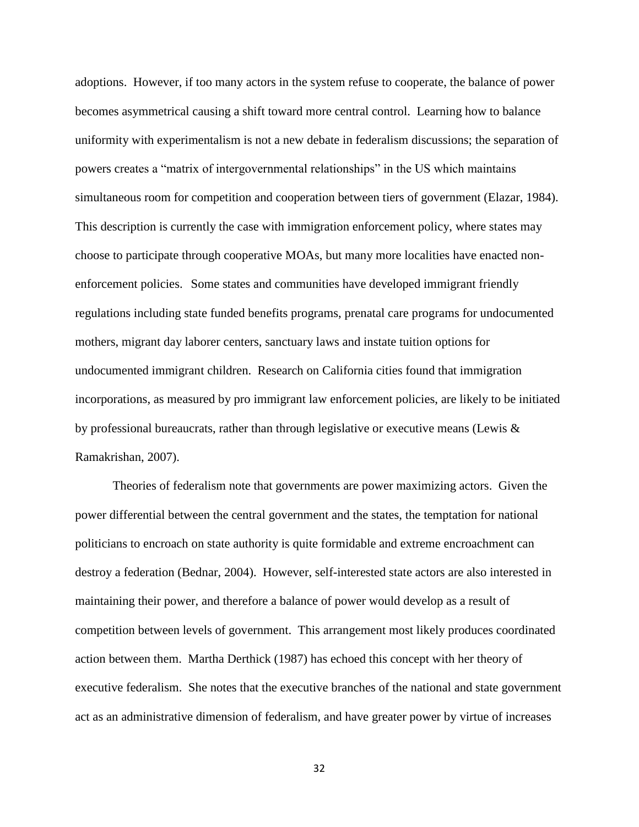adoptions. However, if too many actors in the system refuse to cooperate, the balance of power becomes asymmetrical causing a shift toward more central control. Learning how to balance uniformity with experimentalism is not a new debate in federalism discussions; the separation of powers creates a "matrix of intergovernmental relationships" in the US which maintains simultaneous room for competition and cooperation between tiers of government (Elazar, 1984). This description is currently the case with immigration enforcement policy, where states may choose to participate through cooperative MOAs, but many more localities have enacted nonenforcement policies. Some states and communities have developed immigrant friendly regulations including state funded benefits programs, prenatal care programs for undocumented mothers, migrant day laborer centers, sanctuary laws and instate tuition options for undocumented immigrant children. Research on California cities found that immigration incorporations, as measured by pro immigrant law enforcement policies, are likely to be initiated by professional bureaucrats, rather than through legislative or executive means (Lewis & Ramakrishan, 2007).

Theories of federalism note that governments are power maximizing actors. Given the power differential between the central government and the states, the temptation for national politicians to encroach on state authority is quite formidable and extreme encroachment can destroy a federation (Bednar, 2004). However, self-interested state actors are also interested in maintaining their power, and therefore a balance of power would develop as a result of competition between levels of government. This arrangement most likely produces coordinated action between them. Martha Derthick (1987) has echoed this concept with her theory of executive federalism. She notes that the executive branches of the national and state government act as an administrative dimension of federalism, and have greater power by virtue of increases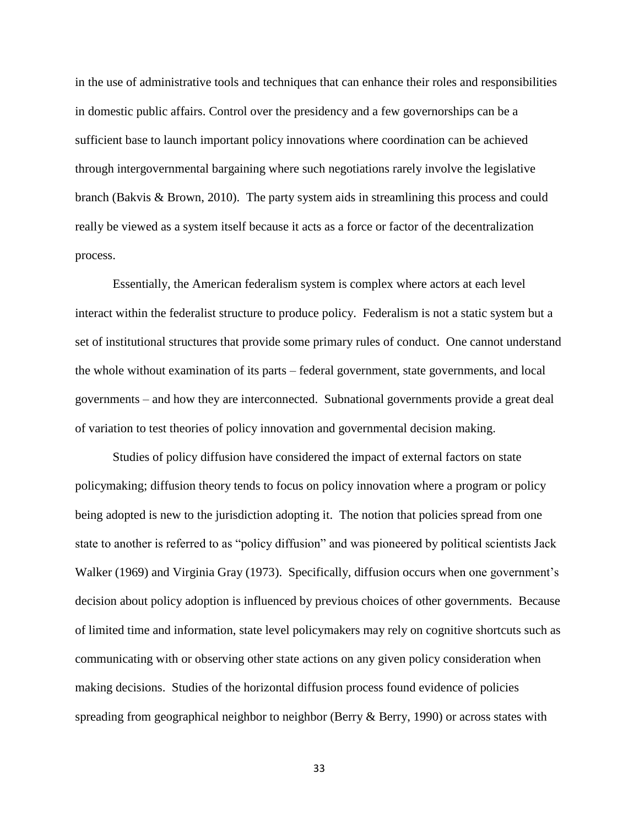in the use of administrative tools and techniques that can enhance their roles and responsibilities in domestic public affairs. Control over the presidency and a few governorships can be a sufficient base to launch important policy innovations where coordination can be achieved through intergovernmental bargaining where such negotiations rarely involve the legislative branch (Bakvis & Brown, 2010). The party system aids in streamlining this process and could really be viewed as a system itself because it acts as a force or factor of the decentralization process.

Essentially, the American federalism system is complex where actors at each level interact within the federalist structure to produce policy. Federalism is not a static system but a set of institutional structures that provide some primary rules of conduct. One cannot understand the whole without examination of its parts – federal government, state governments, and local governments – and how they are interconnected. Subnational governments provide a great deal of variation to test theories of policy innovation and governmental decision making.

Studies of policy diffusion have considered the impact of external factors on state policymaking; diffusion theory tends to focus on policy innovation where a program or policy being adopted is new to the jurisdiction adopting it. The notion that policies spread from one state to another is referred to as "policy diffusion" and was pioneered by political scientists Jack Walker (1969) and Virginia Gray (1973). Specifically, diffusion occurs when one government's decision about policy adoption is influenced by previous choices of other governments. Because of limited time and information, state level policymakers may rely on cognitive shortcuts such as communicating with or observing other state actions on any given policy consideration when making decisions. Studies of the horizontal diffusion process found evidence of policies spreading from geographical neighbor to neighbor (Berry & Berry, 1990) or across states with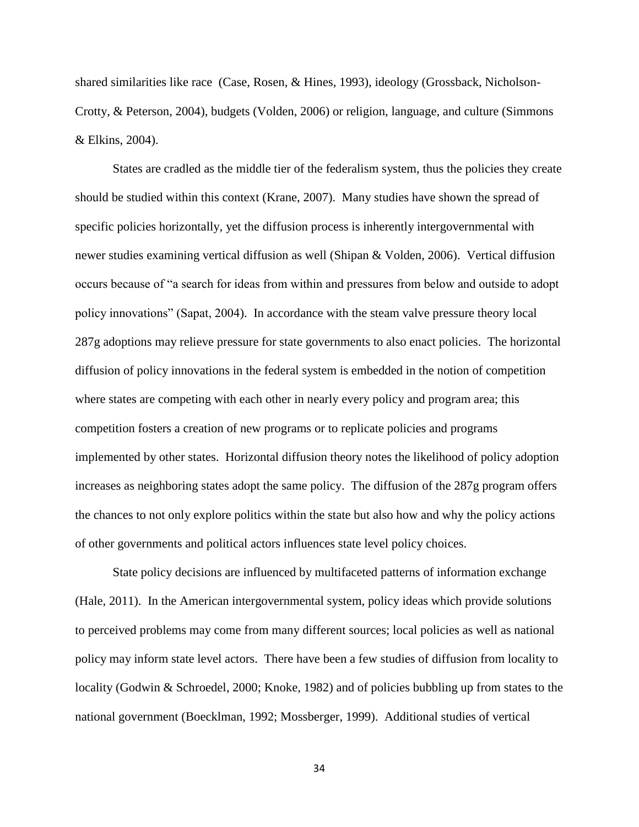shared similarities like race (Case, Rosen, & Hines, 1993), ideology (Grossback, Nicholson-Crotty, & Peterson, 2004), budgets (Volden, 2006) or religion, language, and culture (Simmons & Elkins, 2004).

States are cradled as the middle tier of the federalism system, thus the policies they create should be studied within this context (Krane, 2007). Many studies have shown the spread of specific policies horizontally, yet the diffusion process is inherently intergovernmental with newer studies examining vertical diffusion as well (Shipan & Volden, 2006). Vertical diffusion occurs because of "a search for ideas from within and pressures from below and outside to adopt policy innovations" (Sapat, 2004). In accordance with the steam valve pressure theory local 287g adoptions may relieve pressure for state governments to also enact policies. The horizontal diffusion of policy innovations in the federal system is embedded in the notion of competition where states are competing with each other in nearly every policy and program area; this competition fosters a creation of new programs or to replicate policies and programs implemented by other states. Horizontal diffusion theory notes the likelihood of policy adoption increases as neighboring states adopt the same policy. The diffusion of the 287g program offers the chances to not only explore politics within the state but also how and why the policy actions of other governments and political actors influences state level policy choices.

State policy decisions are influenced by multifaceted patterns of information exchange (Hale, 2011). In the American intergovernmental system, policy ideas which provide solutions to perceived problems may come from many different sources; local policies as well as national policy may inform state level actors. There have been a few studies of diffusion from locality to locality (Godwin & Schroedel, 2000; Knoke, 1982) and of policies bubbling up from states to the national government (Boecklman, 1992; Mossberger, 1999). Additional studies of vertical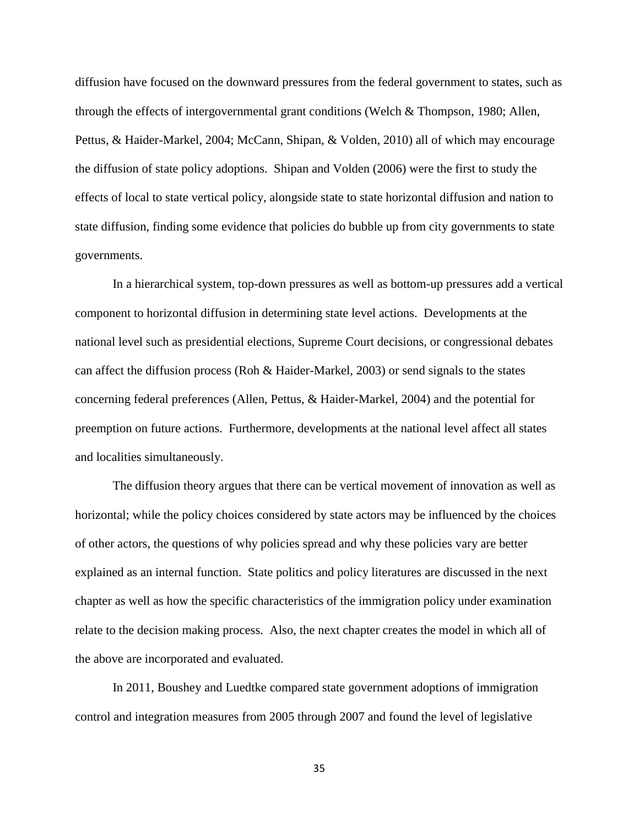diffusion have focused on the downward pressures from the federal government to states, such as through the effects of intergovernmental grant conditions (Welch & Thompson, 1980; Allen, Pettus, & Haider-Markel, 2004; McCann, Shipan, & Volden, 2010) all of which may encourage the diffusion of state policy adoptions. Shipan and Volden (2006) were the first to study the effects of local to state vertical policy, alongside state to state horizontal diffusion and nation to state diffusion, finding some evidence that policies do bubble up from city governments to state governments.

In a hierarchical system, top-down pressures as well as bottom-up pressures add a vertical component to horizontal diffusion in determining state level actions. Developments at the national level such as presidential elections, Supreme Court decisions, or congressional debates can affect the diffusion process (Roh & Haider-Markel, 2003) or send signals to the states concerning federal preferences (Allen, Pettus, & Haider-Markel, 2004) and the potential for preemption on future actions. Furthermore, developments at the national level affect all states and localities simultaneously.

The diffusion theory argues that there can be vertical movement of innovation as well as horizontal; while the policy choices considered by state actors may be influenced by the choices of other actors, the questions of why policies spread and why these policies vary are better explained as an internal function. State politics and policy literatures are discussed in the next chapter as well as how the specific characteristics of the immigration policy under examination relate to the decision making process. Also, the next chapter creates the model in which all of the above are incorporated and evaluated.

In 2011, Boushey and Luedtke compared state government adoptions of immigration control and integration measures from 2005 through 2007 and found the level of legislative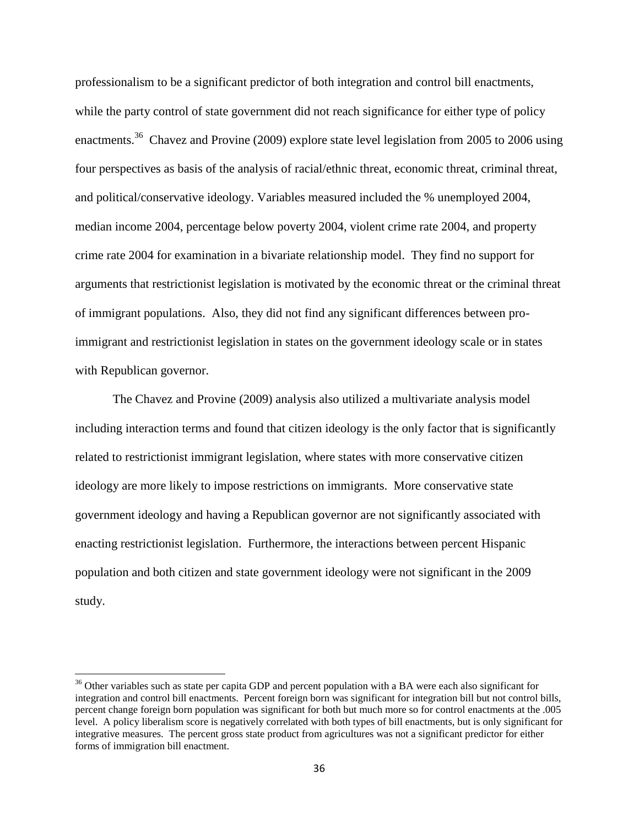professionalism to be a significant predictor of both integration and control bill enactments, while the party control of state government did not reach significance for either type of policy enactments.<sup>36</sup> Chavez and Provine (2009) explore state level legislation from 2005 to 2006 using four perspectives as basis of the analysis of racial/ethnic threat, economic threat, criminal threat, and political/conservative ideology. Variables measured included the % unemployed 2004, median income 2004, percentage below poverty 2004, violent crime rate 2004, and property crime rate 2004 for examination in a bivariate relationship model. They find no support for arguments that restrictionist legislation is motivated by the economic threat or the criminal threat of immigrant populations. Also, they did not find any significant differences between proimmigrant and restrictionist legislation in states on the government ideology scale or in states with Republican governor.

The Chavez and Provine (2009) analysis also utilized a multivariate analysis model including interaction terms and found that citizen ideology is the only factor that is significantly related to restrictionist immigrant legislation, where states with more conservative citizen ideology are more likely to impose restrictions on immigrants. More conservative state government ideology and having a Republican governor are not significantly associated with enacting restrictionist legislation. Furthermore, the interactions between percent Hispanic population and both citizen and state government ideology were not significant in the 2009 study.

l

<sup>&</sup>lt;sup>36</sup> Other variables such as state per capita GDP and percent population with a BA were each also significant for integration and control bill enactments. Percent foreign born was significant for integration bill but not control bills, percent change foreign born population was significant for both but much more so for control enactments at the .005 level. A policy liberalism score is negatively correlated with both types of bill enactments, but is only significant for integrative measures. The percent gross state product from agricultures was not a significant predictor for either forms of immigration bill enactment.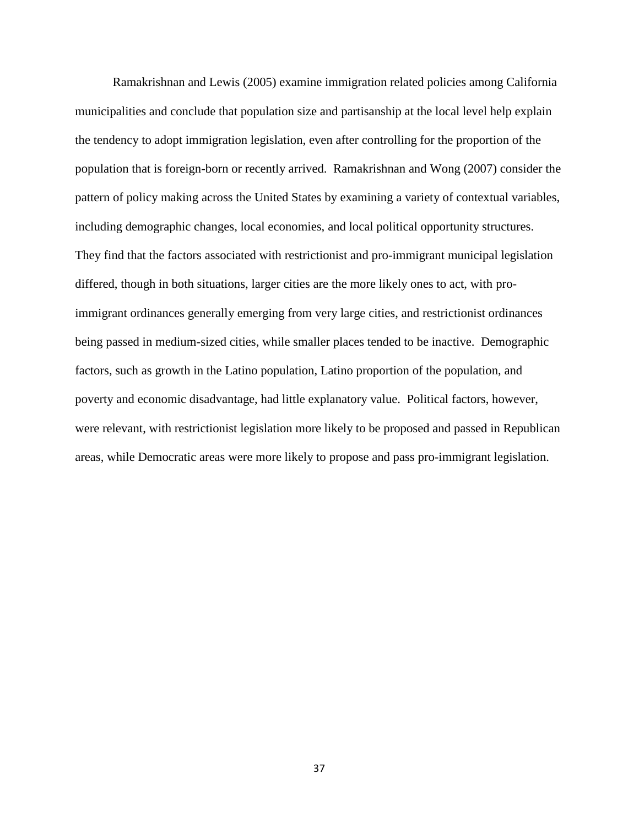Ramakrishnan and Lewis (2005) examine immigration related policies among California municipalities and conclude that population size and partisanship at the local level help explain the tendency to adopt immigration legislation, even after controlling for the proportion of the population that is foreign-born or recently arrived. Ramakrishnan and Wong (2007) consider the pattern of policy making across the United States by examining a variety of contextual variables, including demographic changes, local economies, and local political opportunity structures. They find that the factors associated with restrictionist and pro-immigrant municipal legislation differed, though in both situations, larger cities are the more likely ones to act, with proimmigrant ordinances generally emerging from very large cities, and restrictionist ordinances being passed in medium-sized cities, while smaller places tended to be inactive. Demographic factors, such as growth in the Latino population, Latino proportion of the population, and poverty and economic disadvantage, had little explanatory value. Political factors, however, were relevant, with restrictionist legislation more likely to be proposed and passed in Republican areas, while Democratic areas were more likely to propose and pass pro-immigrant legislation.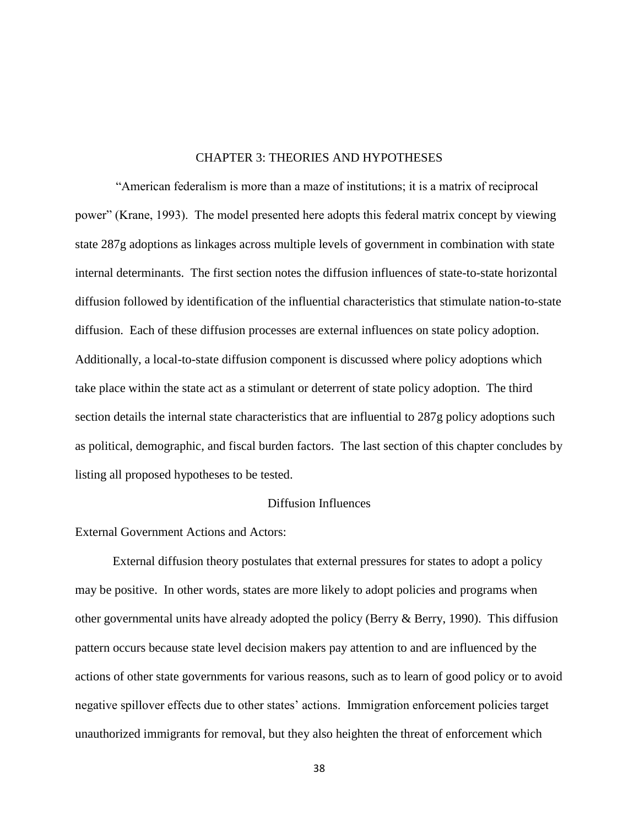### CHAPTER 3: THEORIES AND HYPOTHESES

"American federalism is more than a maze of institutions; it is a matrix of reciprocal power" (Krane, 1993). The model presented here adopts this federal matrix concept by viewing state 287g adoptions as linkages across multiple levels of government in combination with state internal determinants. The first section notes the diffusion influences of state-to-state horizontal diffusion followed by identification of the influential characteristics that stimulate nation-to-state diffusion. Each of these diffusion processes are external influences on state policy adoption. Additionally, a local-to-state diffusion component is discussed where policy adoptions which take place within the state act as a stimulant or deterrent of state policy adoption. The third section details the internal state characteristics that are influential to 287g policy adoptions such as political, demographic, and fiscal burden factors. The last section of this chapter concludes by listing all proposed hypotheses to be tested.

#### Diffusion Influences

# External Government Actions and Actors:

External diffusion theory postulates that external pressures for states to adopt a policy may be positive. In other words, states are more likely to adopt policies and programs when other governmental units have already adopted the policy (Berry & Berry, 1990). This diffusion pattern occurs because state level decision makers pay attention to and are influenced by the actions of other state governments for various reasons, such as to learn of good policy or to avoid negative spillover effects due to other states' actions. Immigration enforcement policies target unauthorized immigrants for removal, but they also heighten the threat of enforcement which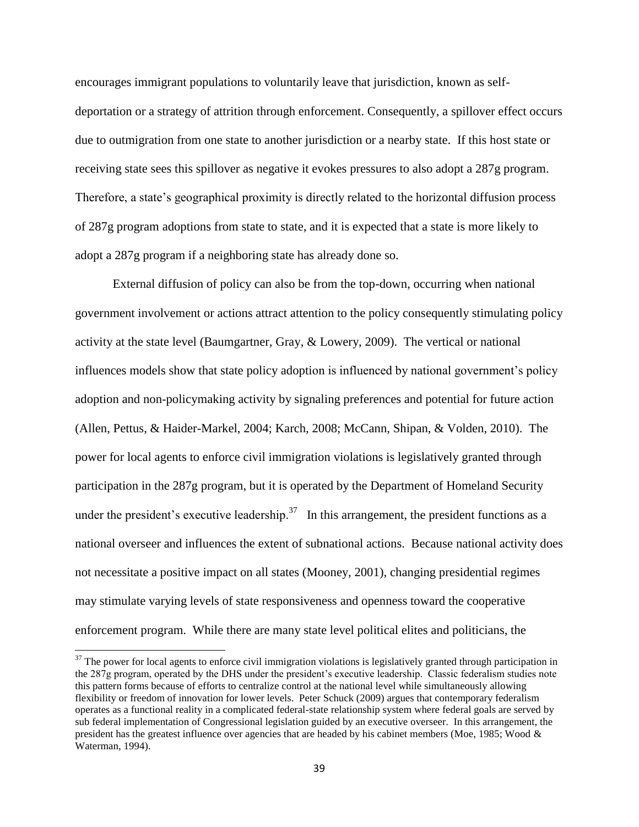encourages immigrant populations to voluntarily leave that jurisdiction, known as selfdeportation or a strategy of attrition through enforcement. Consequently, a spillover effect occurs due to outmigration from one state to another jurisdiction or a nearby state. If this host state or receiving state sees this spillover as negative it evokes pressures to also adopt a 287g program. Therefore, a state's geographical proximity is directly related to the horizontal diffusion process of 287g program adoptions from state to state, and it is expected that a state is more likely to adopt a 287g program if a neighboring state has already done so.

External diffusion of policy can also be from the top-down, occurring when national government involvement or actions attract attention to the policy consequently stimulating policy activity at the state level (Baumgartner, Gray, & Lowery, 2009). The vertical or national influences models show that state policy adoption is influenced by national government's policy adoption and non-policymaking activity by signaling preferences and potential for future action (Allen, Pettus, & Haider-Markel, 2004; Karch, 2008; McCann, Shipan, & Volden, 2010). The power for local agents to enforce civil immigration violations is legislatively granted through participation in the 287g program, but it is operated by the Department of Homeland Security under the president's executive leadership.<sup>37</sup> In this arrangement, the president functions as a national overseer and influences the extent of subnational actions. Because national activity does not necessitate a positive impact on all states (Mooney, 2001), changing presidential regimes may stimulate varying levels of state responsiveness and openness toward the cooperative enforcement program. While there are many state level political elites and politicians, the

 $\overline{a}$ 

 $37$  The power for local agents to enforce civil immigration violations is legislatively granted through participation in the 287g program, operated by the DHS under the president's executive leadership. Classic federalism studies note this pattern forms because of efforts to centralize control at the national level while simultaneously allowing flexibility or freedom of innovation for lower levels. Peter Schuck (2009) argues that contemporary federalism operates as a functional reality in a complicated federal-state relationship system where federal goals are served by sub federal implementation of Congressional legislation guided by an executive overseer. In this arrangement, the president has the greatest influence over agencies that are headed by his cabinet members (Moe, 1985; Wood & Waterman, 1994).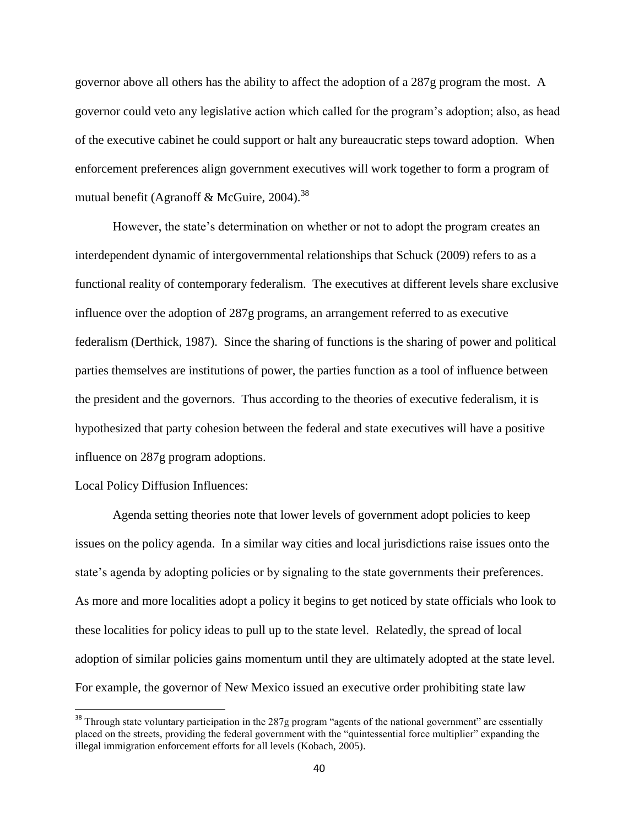governor above all others has the ability to affect the adoption of a 287g program the most. A governor could veto any legislative action which called for the program's adoption; also, as head of the executive cabinet he could support or halt any bureaucratic steps toward adoption. When enforcement preferences align government executives will work together to form a program of mutual benefit (Agranoff & McGuire, 2004).<sup>38</sup>

However, the state's determination on whether or not to adopt the program creates an interdependent dynamic of intergovernmental relationships that Schuck (2009) refers to as a functional reality of contemporary federalism. The executives at different levels share exclusive influence over the adoption of 287g programs, an arrangement referred to as executive federalism (Derthick, 1987). Since the sharing of functions is the sharing of power and political parties themselves are institutions of power, the parties function as a tool of influence between the president and the governors. Thus according to the theories of executive federalism, it is hypothesized that party cohesion between the federal and state executives will have a positive influence on 287g program adoptions.

Local Policy Diffusion Influences:

 $\overline{\phantom{a}}$ 

Agenda setting theories note that lower levels of government adopt policies to keep issues on the policy agenda. In a similar way cities and local jurisdictions raise issues onto the state's agenda by adopting policies or by signaling to the state governments their preferences. As more and more localities adopt a policy it begins to get noticed by state officials who look to these localities for policy ideas to pull up to the state level. Relatedly, the spread of local adoption of similar policies gains momentum until they are ultimately adopted at the state level. For example, the governor of New Mexico issued an executive order prohibiting state law

 $38$  Through state voluntary participation in the 287g program "agents of the national government" are essentially placed on the streets, providing the federal government with the "quintessential force multiplier" expanding the illegal immigration enforcement efforts for all levels (Kobach, 2005).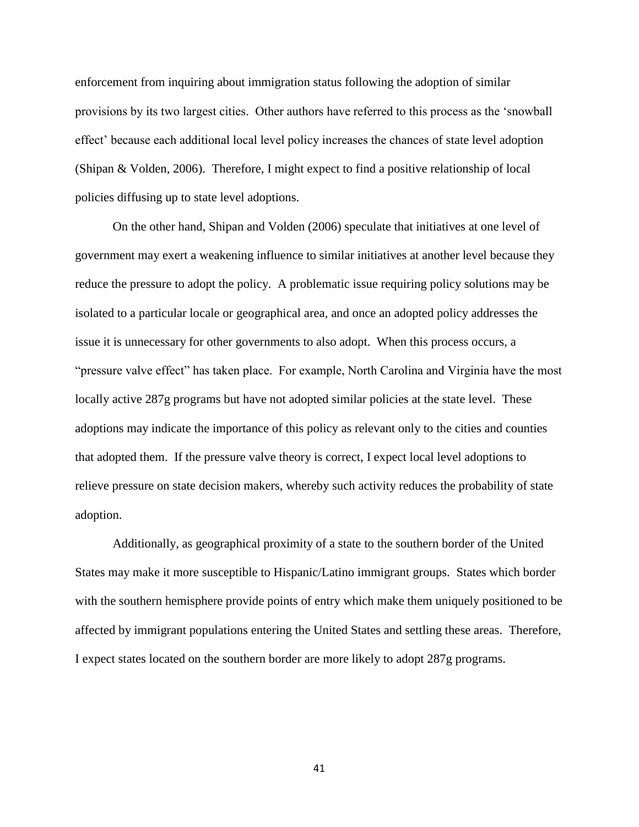enforcement from inquiring about immigration status following the adoption of similar provisions by its two largest cities. Other authors have referred to this process as the 'snowball effect' because each additional local level policy increases the chances of state level adoption (Shipan & Volden, 2006). Therefore, I might expect to find a positive relationship of local policies diffusing up to state level adoptions.

On the other hand, Shipan and Volden (2006) speculate that initiatives at one level of government may exert a weakening influence to similar initiatives at another level because they reduce the pressure to adopt the policy. A problematic issue requiring policy solutions may be isolated to a particular locale or geographical area, and once an adopted policy addresses the issue it is unnecessary for other governments to also adopt. When this process occurs, a "pressure valve effect" has taken place. For example, North Carolina and Virginia have the most locally active 287g programs but have not adopted similar policies at the state level. These adoptions may indicate the importance of this policy as relevant only to the cities and counties that adopted them. If the pressure valve theory is correct, I expect local level adoptions to relieve pressure on state decision makers, whereby such activity reduces the probability of state adoption.

Additionally, as geographical proximity of a state to the southern border of the United States may make it more susceptible to Hispanic/Latino immigrant groups. States which border with the southern hemisphere provide points of entry which make them uniquely positioned to be affected by immigrant populations entering the United States and settling these areas. Therefore, I expect states located on the southern border are more likely to adopt 287g programs.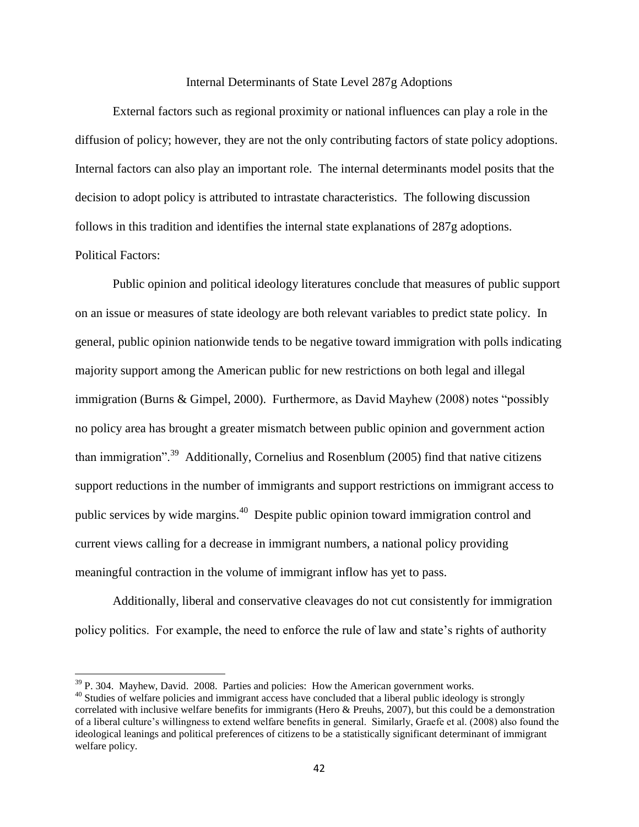#### Internal Determinants of State Level 287g Adoptions

External factors such as regional proximity or national influences can play a role in the diffusion of policy; however, they are not the only contributing factors of state policy adoptions. Internal factors can also play an important role. The internal determinants model posits that the decision to adopt policy is attributed to intrastate characteristics. The following discussion follows in this tradition and identifies the internal state explanations of 287g adoptions. Political Factors:

Public opinion and political ideology literatures conclude that measures of public support on an issue or measures of state ideology are both relevant variables to predict state policy. In general, public opinion nationwide tends to be negative toward immigration with polls indicating majority support among the American public for new restrictions on both legal and illegal immigration (Burns & Gimpel, 2000). Furthermore, as David Mayhew (2008) notes "possibly no policy area has brought a greater mismatch between public opinion and government action than immigration".<sup>39</sup> Additionally, Cornelius and Rosenblum (2005) find that native citizens support reductions in the number of immigrants and support restrictions on immigrant access to public services by wide margins.<sup>40</sup> Despite public opinion toward immigration control and current views calling for a decrease in immigrant numbers, a national policy providing meaningful contraction in the volume of immigrant inflow has yet to pass.

Additionally, liberal and conservative cleavages do not cut consistently for immigration policy politics. For example, the need to enforce the rule of law and state's rights of authority

l

 $39$  P. 304. Mayhew, David. 2008. Parties and policies: How the American government works.

<sup>&</sup>lt;sup>40</sup> Studies of welfare policies and immigrant access have concluded that a liberal public ideology is strongly correlated with inclusive welfare benefits for immigrants (Hero & Preuhs, 2007), but this could be a demonstration of a liberal culture's willingness to extend welfare benefits in general. Similarly, Graefe et al. (2008) also found the ideological leanings and political preferences of citizens to be a statistically significant determinant of immigrant welfare policy.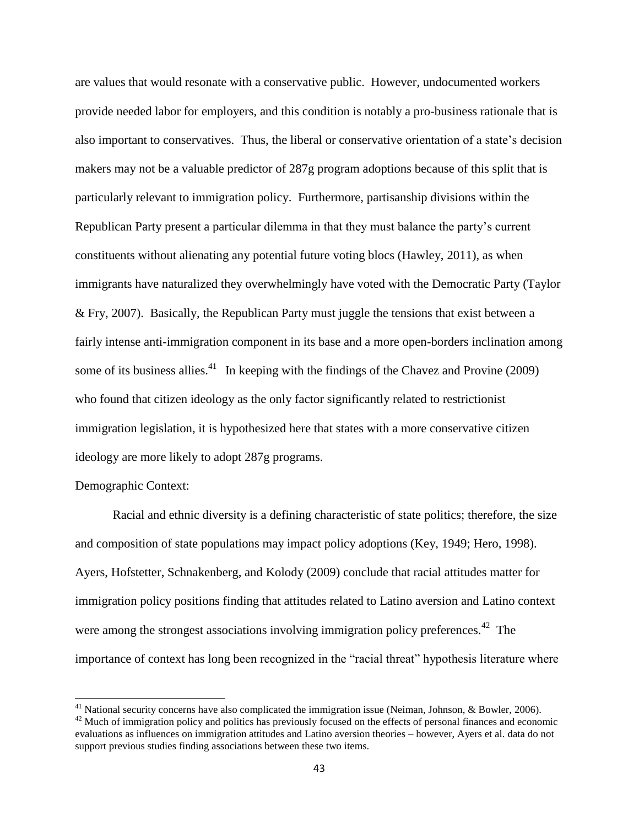are values that would resonate with a conservative public. However, undocumented workers provide needed labor for employers, and this condition is notably a pro-business rationale that is also important to conservatives. Thus, the liberal or conservative orientation of a state's decision makers may not be a valuable predictor of 287g program adoptions because of this split that is particularly relevant to immigration policy. Furthermore, partisanship divisions within the Republican Party present a particular dilemma in that they must balance the party's current constituents without alienating any potential future voting blocs (Hawley, 2011), as when immigrants have naturalized they overwhelmingly have voted with the Democratic Party (Taylor & Fry, 2007). Basically, the Republican Party must juggle the tensions that exist between a fairly intense anti-immigration component in its base and a more open-borders inclination among some of its business allies.<sup>41</sup> In keeping with the findings of the Chavez and Provine (2009) who found that citizen ideology as the only factor significantly related to restrictionist immigration legislation, it is hypothesized here that states with a more conservative citizen ideology are more likely to adopt 287g programs.

# Demographic Context:

 $\overline{\phantom{a}}$ 

Racial and ethnic diversity is a defining characteristic of state politics; therefore, the size and composition of state populations may impact policy adoptions (Key, 1949; Hero, 1998). Ayers, Hofstetter, Schnakenberg, and Kolody (2009) conclude that racial attitudes matter for immigration policy positions finding that attitudes related to Latino aversion and Latino context were among the strongest associations involving immigration policy preferences.<sup>42</sup> The importance of context has long been recognized in the "racial threat" hypothesis literature where

<sup>&</sup>lt;sup>41</sup> National security concerns have also complicated the immigration issue (Neiman, Johnson, & Bowler, 2006).

<sup>&</sup>lt;sup>42</sup> Much of immigration policy and politics has previously focused on the effects of personal finances and economic evaluations as influences on immigration attitudes and Latino aversion theories – however, Ayers et al. data do not support previous studies finding associations between these two items.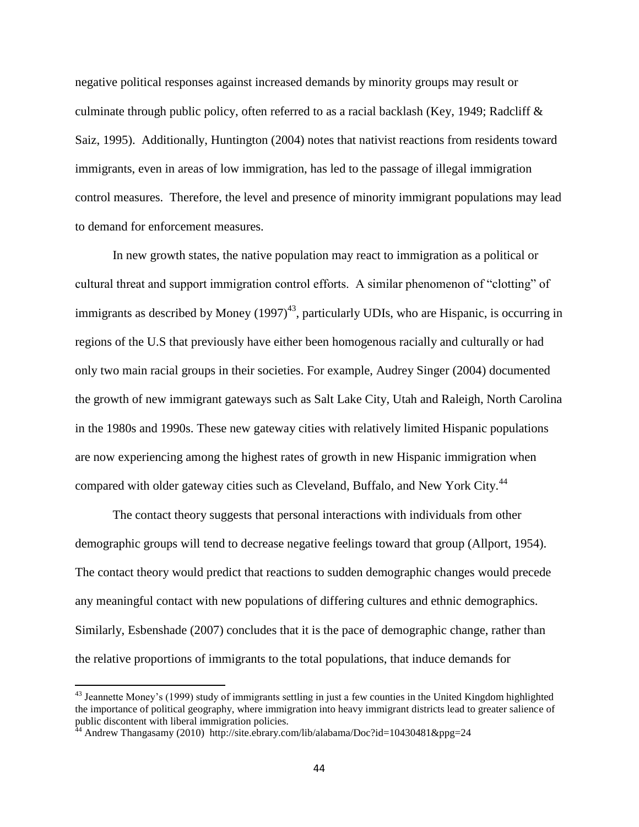negative political responses against increased demands by minority groups may result or culminate through public policy, often referred to as a racial backlash (Key, 1949; Radcliff  $\&$ Saiz, 1995). Additionally, Huntington (2004) notes that nativist reactions from residents toward immigrants, even in areas of low immigration, has led to the passage of illegal immigration control measures. Therefore, the level and presence of minority immigrant populations may lead to demand for enforcement measures.

In new growth states, the native population may react to immigration as a political or cultural threat and support immigration control efforts. A similar phenomenon of "clotting" of immigrants as described by Money  $(1997)^{43}$ , particularly UDIs, who are Hispanic, is occurring in regions of the U.S that previously have either been homogenous racially and culturally or had only two main racial groups in their societies. For example, Audrey Singer (2004) documented the growth of new immigrant gateways such as Salt Lake City, Utah and Raleigh, North Carolina in the 1980s and 1990s. These new gateway cities with relatively limited Hispanic populations are now experiencing among the highest rates of growth in new Hispanic immigration when compared with older gateway cities such as Cleveland, Buffalo, and New York City.<sup>44</sup>

The contact theory suggests that personal interactions with individuals from other demographic groups will tend to decrease negative feelings toward that group (Allport, 1954). The contact theory would predict that reactions to sudden demographic changes would precede any meaningful contact with new populations of differing cultures and ethnic demographics. Similarly, Esbenshade (2007) concludes that it is the pace of demographic change, rather than the relative proportions of immigrants to the total populations, that induce demands for

 $\overline{a}$ 

 $43$  Jeannette Money's (1999) study of immigrants settling in just a few counties in the United Kingdom highlighted the importance of political geography, where immigration into heavy immigrant districts lead to greater salience of public discontent with liberal immigration policies.

<sup>&</sup>lt;sup>44</sup> Andrew Thangasamy (2010) http://site.ebrary.com/lib/alabama/Doc?id=10430481&ppg=24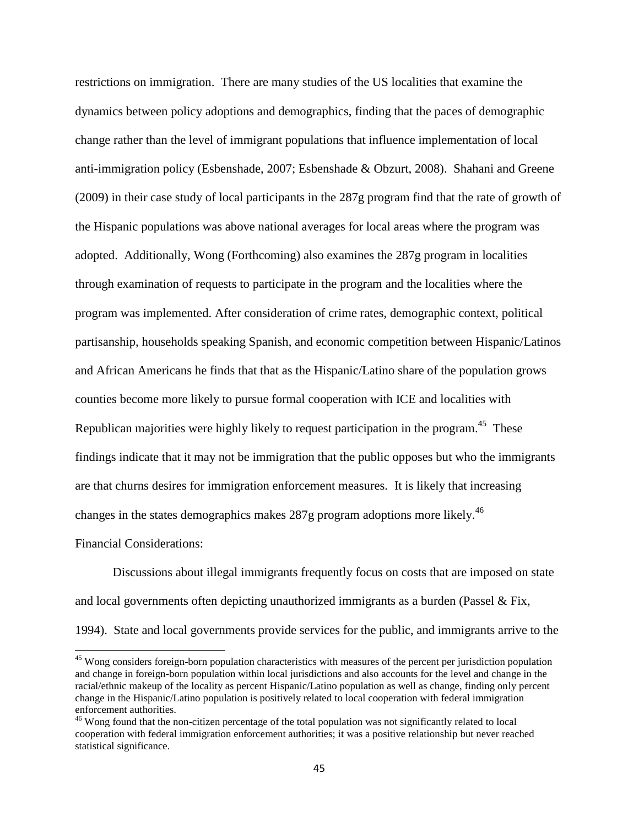restrictions on immigration. There are many studies of the US localities that examine the dynamics between policy adoptions and demographics, finding that the paces of demographic change rather than the level of immigrant populations that influence implementation of local anti-immigration policy (Esbenshade, 2007; Esbenshade & Obzurt, 2008). Shahani and Greene (2009) in their case study of local participants in the 287g program find that the rate of growth of the Hispanic populations was above national averages for local areas where the program was adopted. Additionally, Wong (Forthcoming) also examines the 287g program in localities through examination of requests to participate in the program and the localities where the program was implemented. After consideration of crime rates, demographic context, political partisanship, households speaking Spanish, and economic competition between Hispanic/Latinos and African Americans he finds that that as the Hispanic/Latino share of the population grows counties become more likely to pursue formal cooperation with ICE and localities with Republican majorities were highly likely to request participation in the program.<sup>45</sup> These findings indicate that it may not be immigration that the public opposes but who the immigrants are that churns desires for immigration enforcement measures. It is likely that increasing changes in the states demographics makes 287g program adoptions more likely.<sup>46</sup>

Financial Considerations:

 $\overline{a}$ 

Discussions about illegal immigrants frequently focus on costs that are imposed on state and local governments often depicting unauthorized immigrants as a burden (Passel  $\&$  Fix, 1994). State and local governments provide services for the public, and immigrants arrive to the

<sup>&</sup>lt;sup>45</sup> Wong considers foreign-born population characteristics with measures of the percent per jurisdiction population and change in foreign-born population within local jurisdictions and also accounts for the level and change in the racial/ethnic makeup of the locality as percent Hispanic/Latino population as well as change, finding only percent change in the Hispanic/Latino population is positively related to local cooperation with federal immigration enforcement authorities.

<sup>&</sup>lt;sup>46</sup> Wong found that the non-citizen percentage of the total population was not significantly related to local cooperation with federal immigration enforcement authorities; it was a positive relationship but never reached statistical significance.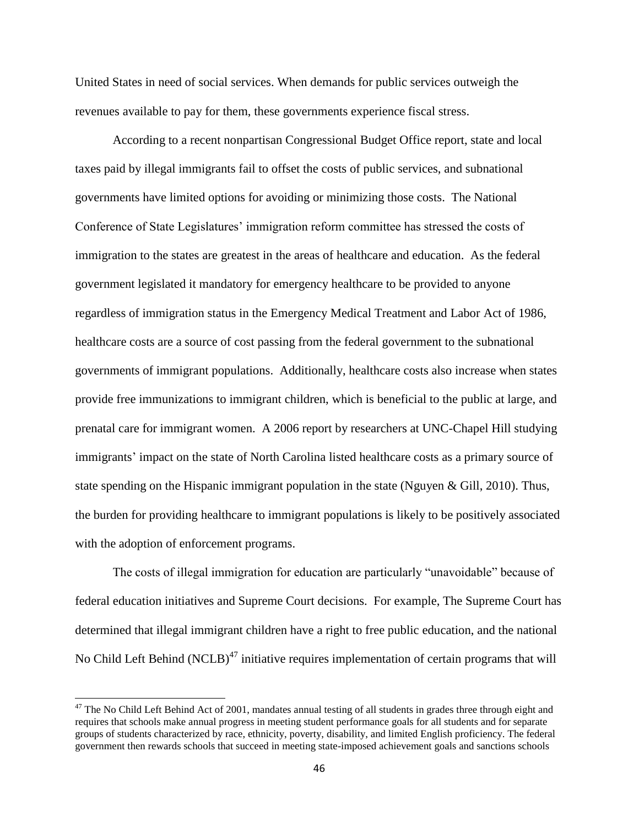United States in need of social services. When demands for public services outweigh the revenues available to pay for them, these governments experience fiscal stress.

According to a recent nonpartisan Congressional Budget Office report, state and local taxes paid by illegal immigrants fail to offset the costs of public services, and subnational governments have limited options for avoiding or minimizing those costs. The National Conference of State Legislatures' immigration reform committee has stressed the costs of immigration to the states are greatest in the areas of healthcare and education. As the federal government legislated it mandatory for emergency healthcare to be provided to anyone regardless of immigration status in the Emergency Medical Treatment and Labor Act of 1986, healthcare costs are a source of cost passing from the federal government to the subnational governments of immigrant populations. Additionally, healthcare costs also increase when states provide free immunizations to immigrant children, which is beneficial to the public at large, and prenatal care for immigrant women. A 2006 report by researchers at UNC-Chapel Hill studying immigrants' impact on the state of North Carolina listed healthcare costs as a primary source of state spending on the Hispanic immigrant population in the state (Nguyen & Gill, 2010). Thus, the burden for providing healthcare to immigrant populations is likely to be positively associated with the adoption of enforcement programs.

The costs of illegal immigration for education are particularly "unavoidable" because of federal education initiatives and Supreme Court decisions. For example, The Supreme Court has determined that illegal immigrant children have a right to free public education, and the national No Child Left Behind (NCLB)<sup>47</sup> initiative requires implementation of certain programs that will

 $\overline{\phantom{a}}$ 

 $47$  The No Child Left Behind Act of 2001, mandates annual testing of all students in grades three through eight and requires that schools make annual progress in meeting student performance goals for all students and for separate groups of students characterized by race, ethnicity, poverty, disability, and limited English proficiency. The federal government then rewards schools that succeed in meeting state-imposed achievement goals and sanctions schools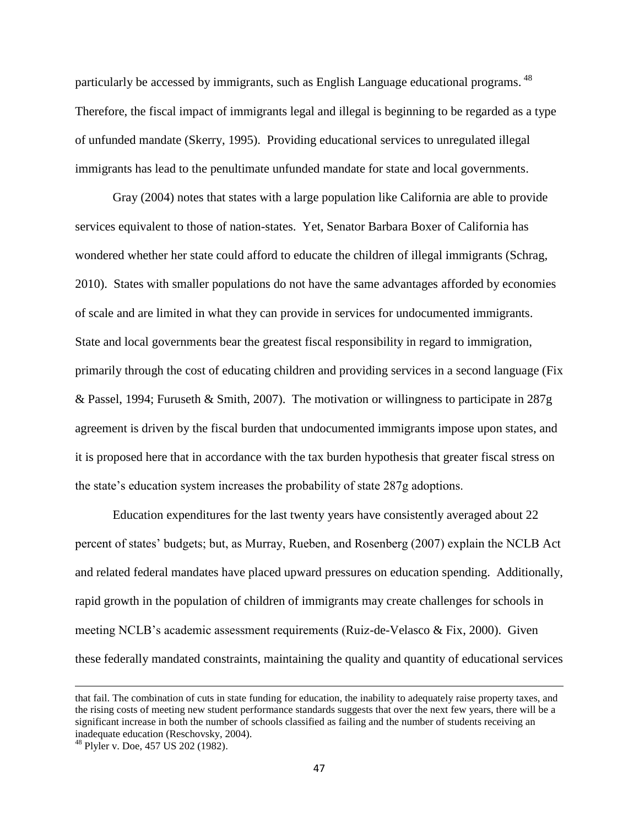particularly be accessed by immigrants, such as English Language educational programs. <sup>48</sup> Therefore, the fiscal impact of immigrants legal and illegal is beginning to be regarded as a type of unfunded mandate (Skerry, 1995). Providing educational services to unregulated illegal immigrants has lead to the penultimate unfunded mandate for state and local governments.

Gray (2004) notes that states with a large population like California are able to provide services equivalent to those of nation-states. Yet, Senator Barbara Boxer of California has wondered whether her state could afford to educate the children of illegal immigrants (Schrag, 2010). States with smaller populations do not have the same advantages afforded by economies of scale and are limited in what they can provide in services for undocumented immigrants. State and local governments bear the greatest fiscal responsibility in regard to immigration, primarily through the cost of educating children and providing services in a second language (Fix & Passel, 1994; Furuseth & Smith, 2007). The motivation or willingness to participate in 287g agreement is driven by the fiscal burden that undocumented immigrants impose upon states, and it is proposed here that in accordance with the tax burden hypothesis that greater fiscal stress on the state's education system increases the probability of state 287g adoptions.

Education expenditures for the last twenty years have consistently averaged about 22 percent of states' budgets; but, as Murray, Rueben, and Rosenberg (2007) explain the NCLB Act and related federal mandates have placed upward pressures on education spending. Additionally, rapid growth in the population of children of immigrants may create challenges for schools in meeting NCLB's academic assessment requirements (Ruiz-de-Velasco & Fix, 2000). Given these federally mandated constraints, maintaining the quality and quantity of educational services

 $\overline{a}$ 

that fail. The combination of cuts in state funding for education, the inability to adequately raise property taxes, and the rising costs of meeting new student performance standards suggests that over the next few years, there will be a significant increase in both the number of schools classified as failing and the number of students receiving an inadequate education (Reschovsky, 2004).

<sup>48</sup> Plyler v. Doe, 457 US 202 (1982).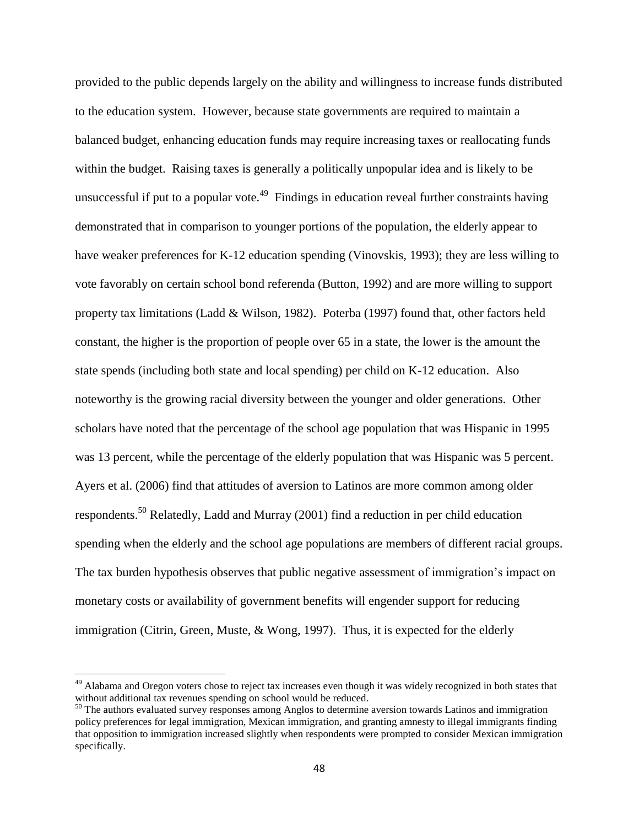provided to the public depends largely on the ability and willingness to increase funds distributed to the education system. However, because state governments are required to maintain a balanced budget, enhancing education funds may require increasing taxes or reallocating funds within the budget. Raising taxes is generally a politically unpopular idea and is likely to be unsuccessful if put to a popular vote.<sup>49</sup> Findings in education reveal further constraints having demonstrated that in comparison to younger portions of the population, the elderly appear to have weaker preferences for K-12 education spending (Vinovskis, 1993); they are less willing to vote favorably on certain school bond referenda (Button, 1992) and are more willing to support property tax limitations (Ladd & Wilson, 1982). Poterba (1997) found that, other factors held constant, the higher is the proportion of people over 65 in a state, the lower is the amount the state spends (including both state and local spending) per child on K-12 education. Also noteworthy is the growing racial diversity between the younger and older generations. Other scholars have noted that the percentage of the school age population that was Hispanic in 1995 was 13 percent, while the percentage of the elderly population that was Hispanic was 5 percent. Ayers et al. (2006) find that attitudes of aversion to Latinos are more common among older respondents.<sup>50</sup> Relatedly, Ladd and Murray (2001) find a reduction in per child education spending when the elderly and the school age populations are members of different racial groups. The tax burden hypothesis observes that public negative assessment of immigration's impact on monetary costs or availability of government benefits will engender support for reducing immigration (Citrin, Green, Muste, & Wong, 1997). Thus, it is expected for the elderly

l

<sup>&</sup>lt;sup>49</sup> Alabama and Oregon voters chose to reject tax increases even though it was widely recognized in both states that without additional tax revenues spending on school would be reduced.

<sup>&</sup>lt;sup>50</sup> The authors evaluated survey responses among Anglos to determine aversion towards Latinos and immigration policy preferences for legal immigration, Mexican immigration, and granting amnesty to illegal immigrants finding that opposition to immigration increased slightly when respondents were prompted to consider Mexican immigration specifically.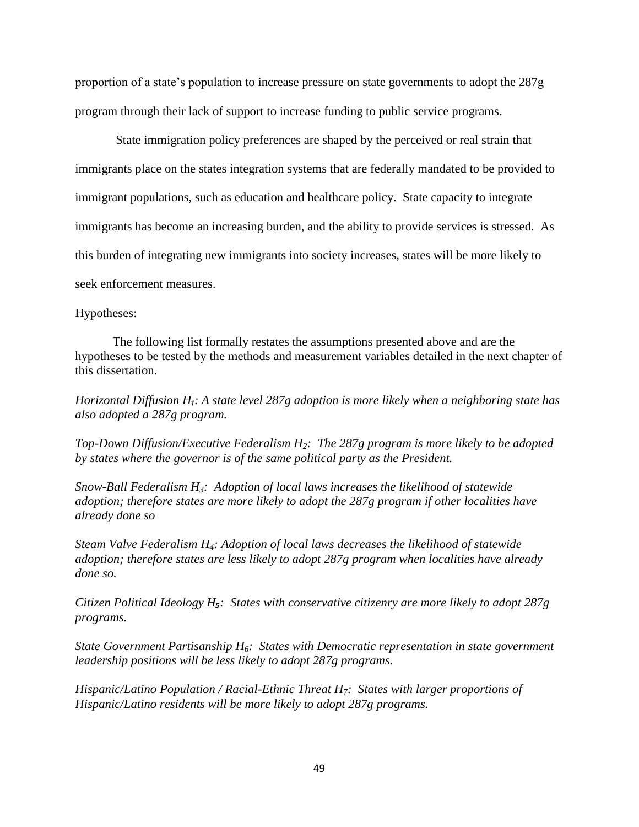proportion of a state's population to increase pressure on state governments to adopt the 287g program through their lack of support to increase funding to public service programs.

State immigration policy preferences are shaped by the perceived or real strain that immigrants place on the states integration systems that are federally mandated to be provided to immigrant populations, such as education and healthcare policy. State capacity to integrate immigrants has become an increasing burden, and the ability to provide services is stressed. As this burden of integrating new immigrants into society increases, states will be more likely to seek enforcement measures.

#### Hypotheses:

The following list formally restates the assumptions presented above and are the hypotheses to be tested by the methods and measurement variables detailed in the next chapter of this dissertation.

*Horizontal Diffusion H₁: A state level 287g adoption is more likely when a neighboring state has also adopted a 287g program.*

*Top-Down Diffusion/Executive Federalism H2: The 287g program is more likely to be adopted by states where the governor is of the same political party as the President.*

*Snow-Ball Federalism H3: Adoption of local laws increases the likelihood of statewide adoption; therefore states are more likely to adopt the 287g program if other localities have already done so* 

*Steam Valve Federalism H4: Adoption of local laws decreases the likelihood of statewide adoption; therefore states are less likely to adopt 287g program when localities have already done so.*

*Citizen Political Ideology H<sub>5</sub>: States with conservative citizenry are more likely to adopt 287g programs.*

*State Government Partisanship H6: States with Democratic representation in state government leadership positions will be less likely to adopt 287g programs.* 

*Hispanic/Latino Population / Racial-Ethnic Threat H7: States with larger proportions of Hispanic/Latino residents will be more likely to adopt 287g programs.*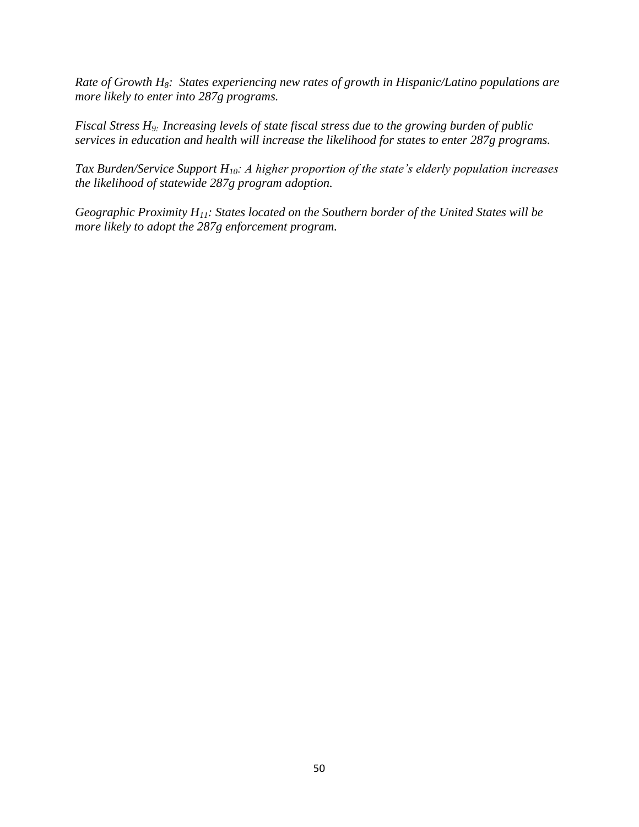*Rate of Growth H8: States experiencing new rates of growth in Hispanic/Latino populations are more likely to enter into 287g programs.*

*Fiscal Stress H9: Increasing levels of state fiscal stress due to the growing burden of public services in education and health will increase the likelihood for states to enter 287g programs.* 

*Tax Burden/Service Support H10: A higher proportion of the state's elderly population increases the likelihood of statewide 287g program adoption.*

*Geographic Proximity H11: States located on the Southern border of the United States will be more likely to adopt the 287g enforcement program.*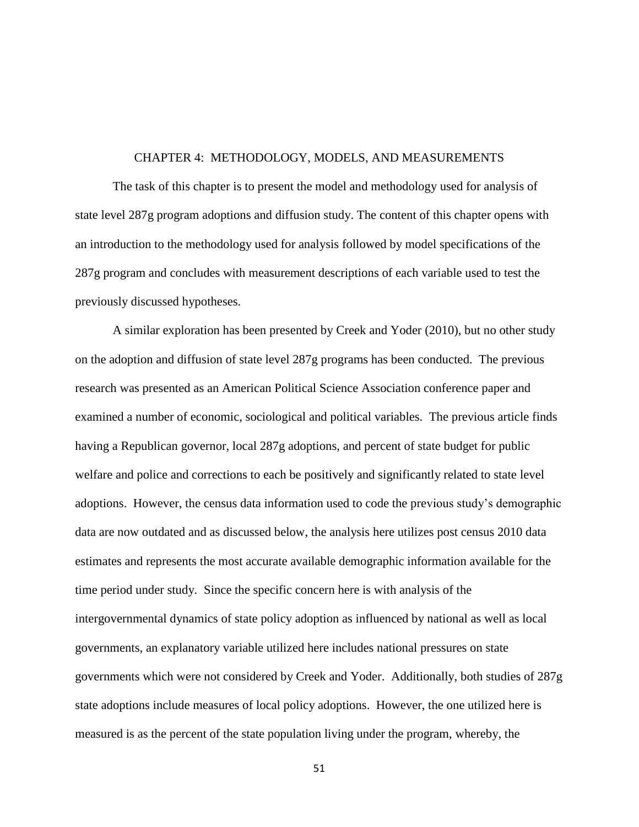### CHAPTER 4: METHODOLOGY, MODELS, AND MEASUREMENTS

The task of this chapter is to present the model and methodology used for analysis of state level 287g program adoptions and diffusion study. The content of this chapter opens with an introduction to the methodology used for analysis followed by model specifications of the 287g program and concludes with measurement descriptions of each variable used to test the previously discussed hypotheses.

A similar exploration has been presented by Creek and Yoder (2010), but no other study on the adoption and diffusion of state level 287g programs has been conducted. The previous research was presented as an American Political Science Association conference paper and examined a number of economic, sociological and political variables. The previous article finds having a Republican governor, local 287g adoptions, and percent of state budget for public welfare and police and corrections to each be positively and significantly related to state level adoptions. However, the census data information used to code the previous study's demographic data are now outdated and as discussed below, the analysis here utilizes post census 2010 data estimates and represents the most accurate available demographic information available for the time period under study. Since the specific concern here is with analysis of the intergovernmental dynamics of state policy adoption as influenced by national as well as local governments, an explanatory variable utilized here includes national pressures on state governments which were not considered by Creek and Yoder. Additionally, both studies of 287g state adoptions include measures of local policy adoptions. However, the one utilized here is measured is as the percent of the state population living under the program, whereby, the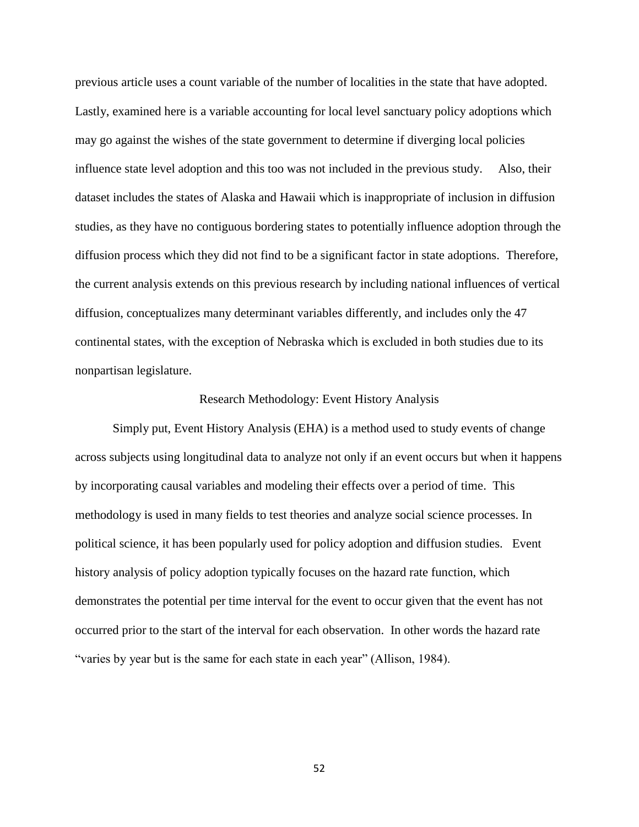previous article uses a count variable of the number of localities in the state that have adopted. Lastly, examined here is a variable accounting for local level sanctuary policy adoptions which may go against the wishes of the state government to determine if diverging local policies influence state level adoption and this too was not included in the previous study. Also, their dataset includes the states of Alaska and Hawaii which is inappropriate of inclusion in diffusion studies, as they have no contiguous bordering states to potentially influence adoption through the diffusion process which they did not find to be a significant factor in state adoptions. Therefore, the current analysis extends on this previous research by including national influences of vertical diffusion, conceptualizes many determinant variables differently, and includes only the 47 continental states, with the exception of Nebraska which is excluded in both studies due to its nonpartisan legislature.

#### Research Methodology: Event History Analysis

Simply put, Event History Analysis (EHA) is a method used to study events of change across subjects using longitudinal data to analyze not only if an event occurs but when it happens by incorporating causal variables and modeling their effects over a period of time. This methodology is used in many fields to test theories and analyze social science processes. In political science, it has been popularly used for policy adoption and diffusion studies. Event history analysis of policy adoption typically focuses on the hazard rate function, which demonstrates the potential per time interval for the event to occur given that the event has not occurred prior to the start of the interval for each observation. In other words the hazard rate "varies by year but is the same for each state in each year" (Allison, 1984).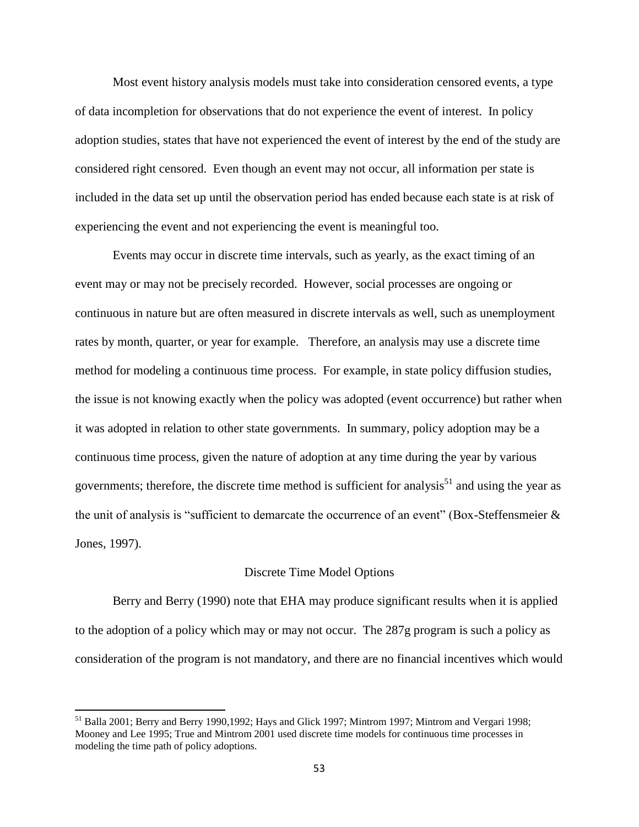Most event history analysis models must take into consideration censored events, a type of data incompletion for observations that do not experience the event of interest. In policy adoption studies, states that have not experienced the event of interest by the end of the study are considered right censored. Even though an event may not occur, all information per state is included in the data set up until the observation period has ended because each state is at risk of experiencing the event and not experiencing the event is meaningful too.

Events may occur in discrete time intervals, such as yearly, as the exact timing of an event may or may not be precisely recorded. However, social processes are ongoing or continuous in nature but are often measured in discrete intervals as well, such as unemployment rates by month, quarter, or year for example. Therefore, an analysis may use a discrete time method for modeling a continuous time process. For example, in state policy diffusion studies, the issue is not knowing exactly when the policy was adopted (event occurrence) but rather when it was adopted in relation to other state governments. In summary, policy adoption may be a continuous time process, given the nature of adoption at any time during the year by various governments; therefore, the discrete time method is sufficient for analysis<sup>51</sup> and using the year as the unit of analysis is "sufficient to demarcate the occurrence of an event" (Box-Steffensmeier & Jones, 1997).

#### Discrete Time Model Options

Berry and Berry (1990) note that EHA may produce significant results when it is applied to the adoption of a policy which may or may not occur. The 287g program is such a policy as consideration of the program is not mandatory, and there are no financial incentives which would

 $\overline{\phantom{a}}$ 

<sup>&</sup>lt;sup>51</sup> Balla 2001; Berry and Berry 1990,1992; Hays and Glick 1997; Mintrom 1997; Mintrom and Vergari 1998; Mooney and Lee 1995; True and Mintrom 2001 used discrete time models for continuous time processes in modeling the time path of policy adoptions.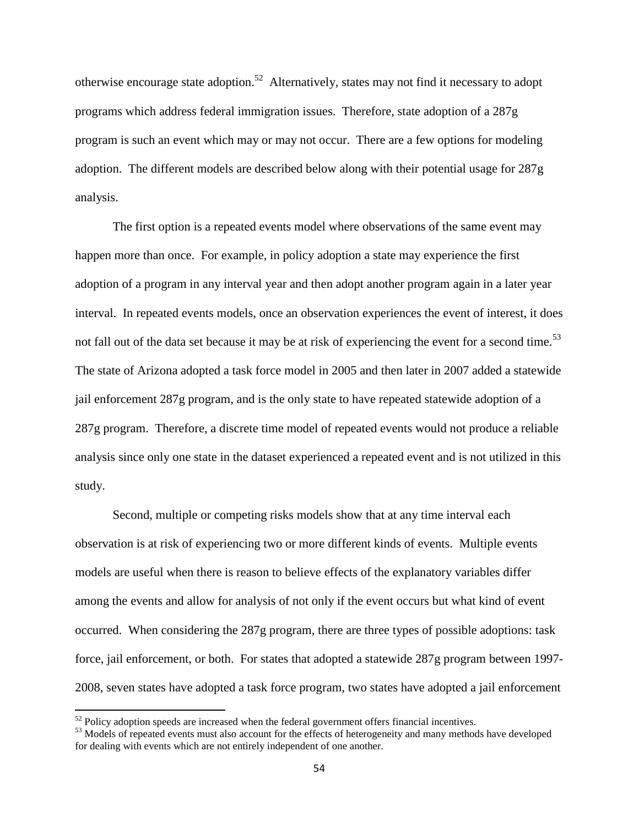otherwise encourage state adoption.<sup>52</sup> Alternatively, states may not find it necessary to adopt programs which address federal immigration issues. Therefore, state adoption of a 287g program is such an event which may or may not occur. There are a few options for modeling adoption. The different models are described below along with their potential usage for 287g analysis.

The first option is a repeated events model where observations of the same event may happen more than once. For example, in policy adoption a state may experience the first adoption of a program in any interval year and then adopt another program again in a later year interval. In repeated events models, once an observation experiences the event of interest, it does not fall out of the data set because it may be at risk of experiencing the event for a second time.<sup>53</sup> The state of Arizona adopted a task force model in 2005 and then later in 2007 added a statewide jail enforcement 287g program, and is the only state to have repeated statewide adoption of a 287g program. Therefore, a discrete time model of repeated events would not produce a reliable analysis since only one state in the dataset experienced a repeated event and is not utilized in this study.

Second, multiple or competing risks models show that at any time interval each observation is at risk of experiencing two or more different kinds of events. Multiple events models are useful when there is reason to believe effects of the explanatory variables differ among the events and allow for analysis of not only if the event occurs but what kind of event occurred. When considering the 287g program, there are three types of possible adoptions: task force, jail enforcement, or both. For states that adopted a statewide 287g program between 1997- 2008, seven states have adopted a task force program, two states have adopted a jail enforcement

 $\overline{\phantom{a}}$ 

 $52$  Policy adoption speeds are increased when the federal government offers financial incentives.

<sup>&</sup>lt;sup>53</sup> Models of repeated events must also account for the effects of heterogeneity and many methods have developed for dealing with events which are not entirely independent of one another.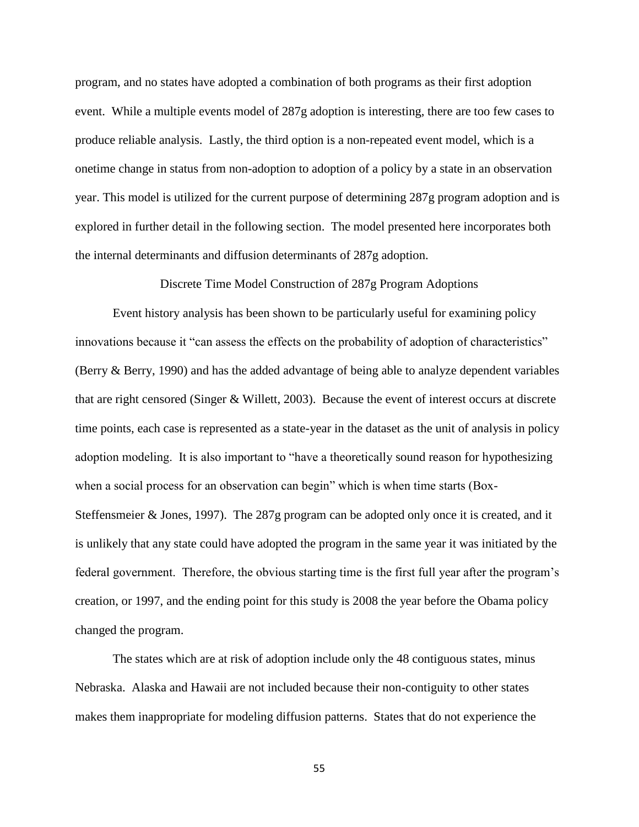program, and no states have adopted a combination of both programs as their first adoption event. While a multiple events model of 287g adoption is interesting, there are too few cases to produce reliable analysis. Lastly, the third option is a non-repeated event model, which is a onetime change in status from non-adoption to adoption of a policy by a state in an observation year. This model is utilized for the current purpose of determining 287g program adoption and is explored in further detail in the following section. The model presented here incorporates both the internal determinants and diffusion determinants of 287g adoption.

Discrete Time Model Construction of 287g Program Adoptions

Event history analysis has been shown to be particularly useful for examining policy innovations because it "can assess the effects on the probability of adoption of characteristics" (Berry & Berry, 1990) and has the added advantage of being able to analyze dependent variables that are right censored (Singer & Willett, 2003). Because the event of interest occurs at discrete time points, each case is represented as a state-year in the dataset as the unit of analysis in policy adoption modeling. It is also important to "have a theoretically sound reason for hypothesizing when a social process for an observation can begin" which is when time starts (Box-Steffensmeier & Jones, 1997). The 287g program can be adopted only once it is created, and it is unlikely that any state could have adopted the program in the same year it was initiated by the federal government. Therefore, the obvious starting time is the first full year after the program's creation, or 1997, and the ending point for this study is 2008 the year before the Obama policy changed the program.

The states which are at risk of adoption include only the 48 contiguous states, minus Nebraska. Alaska and Hawaii are not included because their non-contiguity to other states makes them inappropriate for modeling diffusion patterns. States that do not experience the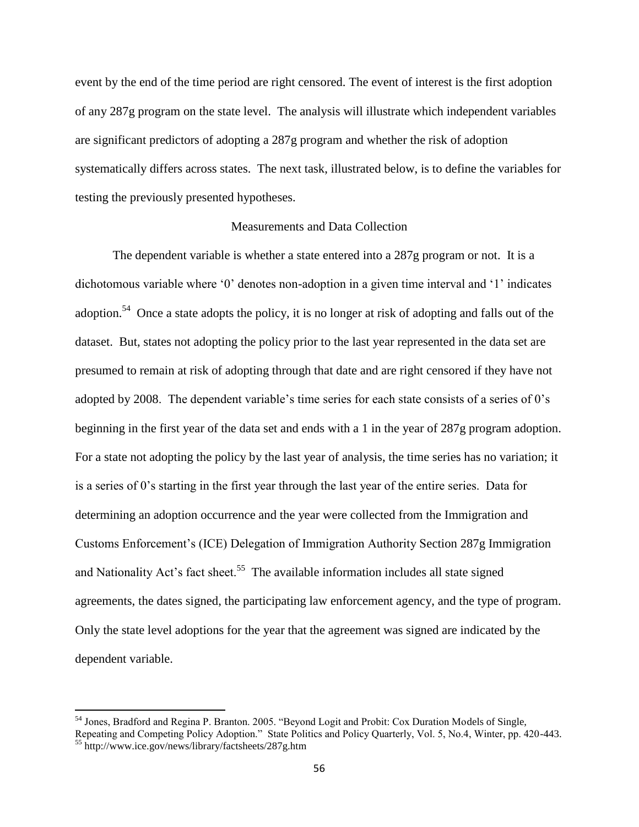event by the end of the time period are right censored. The event of interest is the first adoption of any 287g program on the state level. The analysis will illustrate which independent variables are significant predictors of adopting a 287g program and whether the risk of adoption systematically differs across states. The next task, illustrated below, is to define the variables for testing the previously presented hypotheses.

# Measurements and Data Collection

The dependent variable is whether a state entered into a 287g program or not. It is a dichotomous variable where '0' denotes non-adoption in a given time interval and '1' indicates adoption.<sup>54</sup> Once a state adopts the policy, it is no longer at risk of adopting and falls out of the dataset. But, states not adopting the policy prior to the last year represented in the data set are presumed to remain at risk of adopting through that date and are right censored if they have not adopted by 2008. The dependent variable's time series for each state consists of a series of 0's beginning in the first year of the data set and ends with a 1 in the year of 287g program adoption. For a state not adopting the policy by the last year of analysis, the time series has no variation; it is a series of 0's starting in the first year through the last year of the entire series. Data for determining an adoption occurrence and the year were collected from the Immigration and Customs Enforcement's (ICE) Delegation of Immigration Authority Section 287g Immigration and Nationality Act's fact sheet.<sup>55</sup> The available information includes all state signed agreements, the dates signed, the participating law enforcement agency, and the type of program. Only the state level adoptions for the year that the agreement was signed are indicated by the dependent variable.

 $\overline{\phantom{a}}$ 

<sup>&</sup>lt;sup>54</sup> Jones, Bradford and Regina P. Branton. 2005. "Beyond Logit and Probit: Cox Duration Models of Single, Repeating and Competing Policy Adoption." State Politics and Policy Quarterly, Vol. 5, No.4, Winter, pp. 420-443. <sup>55</sup> http://www.ice.gov/news/library/factsheets/287g.htm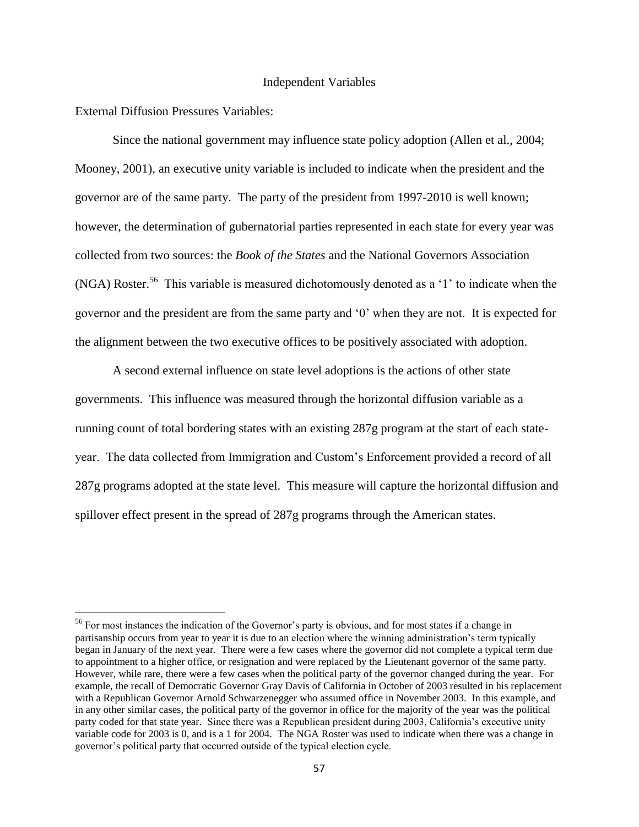#### Independent Variables

External Diffusion Pressures Variables:

 $\overline{\phantom{a}}$ 

Since the national government may influence state policy adoption (Allen et al., 2004; Mooney, 2001), an executive unity variable is included to indicate when the president and the governor are of the same party. The party of the president from 1997-2010 is well known; however, the determination of gubernatorial parties represented in each state for every year was collected from two sources: the *Book of the States* and the National Governors Association (NGA) Roster.<sup>56</sup> This variable is measured dichotomously denoted as a '1' to indicate when the governor and the president are from the same party and '0' when they are not. It is expected for the alignment between the two executive offices to be positively associated with adoption.

A second external influence on state level adoptions is the actions of other state governments. This influence was measured through the horizontal diffusion variable as a running count of total bordering states with an existing 287g program at the start of each stateyear. The data collected from Immigration and Custom's Enforcement provided a record of all 287g programs adopted at the state level. This measure will capture the horizontal diffusion and spillover effect present in the spread of 287g programs through the American states.

<sup>56</sup> For most instances the indication of the Governor's party is obvious, and for most states if a change in partisanship occurs from year to year it is due to an election where the winning administration's term typically began in January of the next year. There were a few cases where the governor did not complete a typical term due to appointment to a higher office, or resignation and were replaced by the Lieutenant governor of the same party. However, while rare, there were a few cases when the political party of the governor changed during the year. For example, the recall of Democratic Governor Gray Davis of California in October of 2003 resulted in his replacement with a Republican Governor Arnold Schwarzenegger who assumed office in November 2003. In this example, and in any other similar cases, the political party of the governor in office for the majority of the year was the political party coded for that state year. Since there was a Republican president during 2003, California's executive unity variable code for 2003 is 0, and is a 1 for 2004. The NGA Roster was used to indicate when there was a change in governor's political party that occurred outside of the typical election cycle.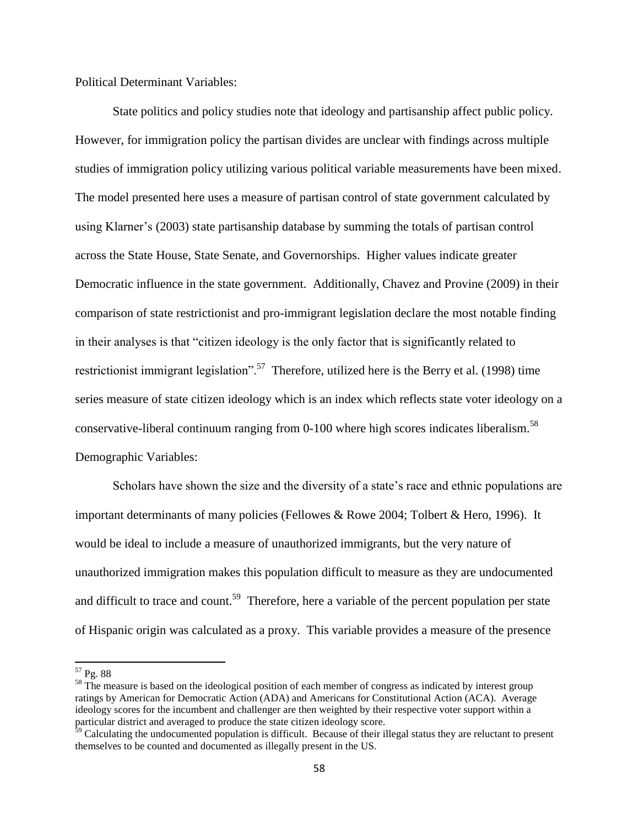Political Determinant Variables:

State politics and policy studies note that ideology and partisanship affect public policy. However, for immigration policy the partisan divides are unclear with findings across multiple studies of immigration policy utilizing various political variable measurements have been mixed. The model presented here uses a measure of partisan control of state government calculated by using Klarner's (2003) state partisanship database by summing the totals of partisan control across the State House, State Senate, and Governorships. Higher values indicate greater Democratic influence in the state government. Additionally, Chavez and Provine (2009) in their comparison of state restrictionist and pro-immigrant legislation declare the most notable finding in their analyses is that "citizen ideology is the only factor that is significantly related to restrictionist immigrant legislation".<sup>57</sup> Therefore, utilized here is the Berry et al. (1998) time series measure of state citizen ideology which is an index which reflects state voter ideology on a conservative-liberal continuum ranging from  $0-100$  where high scores indicates liberalism.<sup>58</sup> Demographic Variables:

Scholars have shown the size and the diversity of a state's race and ethnic populations are important determinants of many policies (Fellowes & Rowe 2004; Tolbert & Hero, 1996). It would be ideal to include a measure of unauthorized immigrants, but the very nature of unauthorized immigration makes this population difficult to measure as they are undocumented and difficult to trace and count.<sup>59</sup> Therefore, here a variable of the percent population per state of Hispanic origin was calculated as a proxy. This variable provides a measure of the presence

 $\overline{\phantom{a}}$ 

<sup>&</sup>lt;sup>57</sup> Pg. 88

<sup>&</sup>lt;sup>58</sup> The measure is based on the ideological position of each member of congress as indicated by interest group ratings by American for Democratic Action (ADA) and Americans for Constitutional Action (ACA). Average ideology scores for the incumbent and challenger are then weighted by their respective voter support within a particular district and averaged to produce the state citizen ideology score.

 $\frac{59}{2}$  Calculating the undocumented population is difficult. Because of their illegal status they are reluctant to present themselves to be counted and documented as illegally present in the US.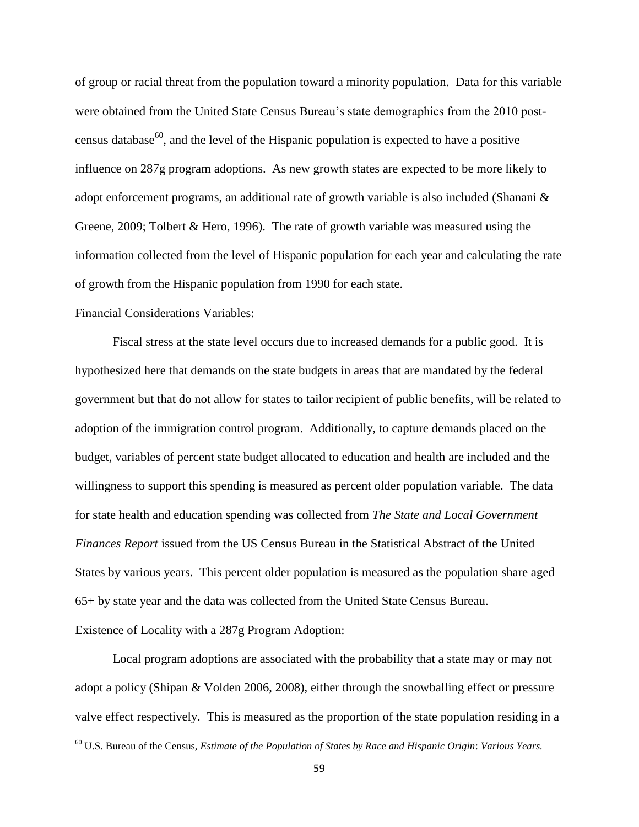of group or racial threat from the population toward a minority population. Data for this variable were obtained from the United State Census Bureau's state demographics from the 2010 postcensus database<sup>60</sup>, and the level of the Hispanic population is expected to have a positive influence on 287g program adoptions. As new growth states are expected to be more likely to adopt enforcement programs, an additional rate of growth variable is also included (Shanani & Greene, 2009; Tolbert & Hero, 1996). The rate of growth variable was measured using the information collected from the level of Hispanic population for each year and calculating the rate of growth from the Hispanic population from 1990 for each state.

# Financial Considerations Variables:

 $\overline{\phantom{a}}$ 

Fiscal stress at the state level occurs due to increased demands for a public good. It is hypothesized here that demands on the state budgets in areas that are mandated by the federal government but that do not allow for states to tailor recipient of public benefits, will be related to adoption of the immigration control program. Additionally, to capture demands placed on the budget, variables of percent state budget allocated to education and health are included and the willingness to support this spending is measured as percent older population variable. The data for state health and education spending was collected from *The State and Local Government Finances Report* issued from the US Census Bureau in the Statistical Abstract of the United States by various years. This percent older population is measured as the population share aged 65+ by state year and the data was collected from the United State Census Bureau. Existence of Locality with a 287g Program Adoption:

Local program adoptions are associated with the probability that a state may or may not adopt a policy (Shipan & Volden 2006, 2008), either through the snowballing effect or pressure valve effect respectively. This is measured as the proportion of the state population residing in a

<sup>60</sup> U.S. Bureau of the Census, *Estimate of the Population of States by Race and Hispanic Origin*: *Various Years.*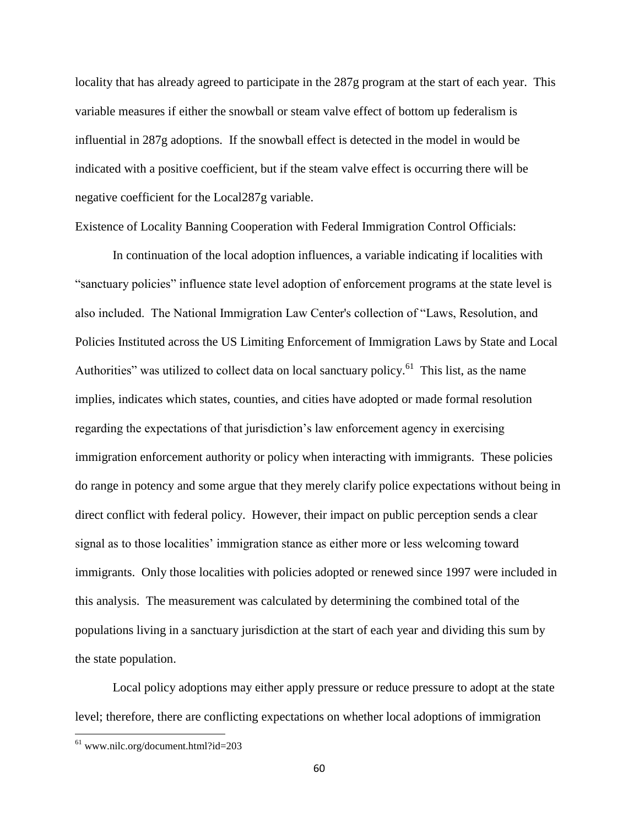locality that has already agreed to participate in the 287g program at the start of each year. This variable measures if either the snowball or steam valve effect of bottom up federalism is influential in 287g adoptions. If the snowball effect is detected in the model in would be indicated with a positive coefficient, but if the steam valve effect is occurring there will be negative coefficient for the Local287g variable.

Existence of Locality Banning Cooperation with Federal Immigration Control Officials:

In continuation of the local adoption influences, a variable indicating if localities with "sanctuary policies" influence state level adoption of enforcement programs at the state level is also included. The National Immigration Law Center's collection of "Laws, Resolution, and Policies Instituted across the US Limiting Enforcement of Immigration Laws by State and Local Authorities" was utilized to collect data on local sanctuary policy.<sup>61</sup> This list, as the name implies, indicates which states, counties, and cities have adopted or made formal resolution regarding the expectations of that jurisdiction's law enforcement agency in exercising immigration enforcement authority or policy when interacting with immigrants. These policies do range in potency and some argue that they merely clarify police expectations without being in direct conflict with federal policy. However, their impact on public perception sends a clear signal as to those localities' immigration stance as either more or less welcoming toward immigrants. Only those localities with policies adopted or renewed since 1997 were included in this analysis. The measurement was calculated by determining the combined total of the populations living in a sanctuary jurisdiction at the start of each year and dividing this sum by the state population.

Local policy adoptions may either apply pressure or reduce pressure to adopt at the state level; therefore, there are conflicting expectations on whether local adoptions of immigration

 $\overline{\phantom{a}}$ 

 $61$  www.nilc.org/document.html?id=203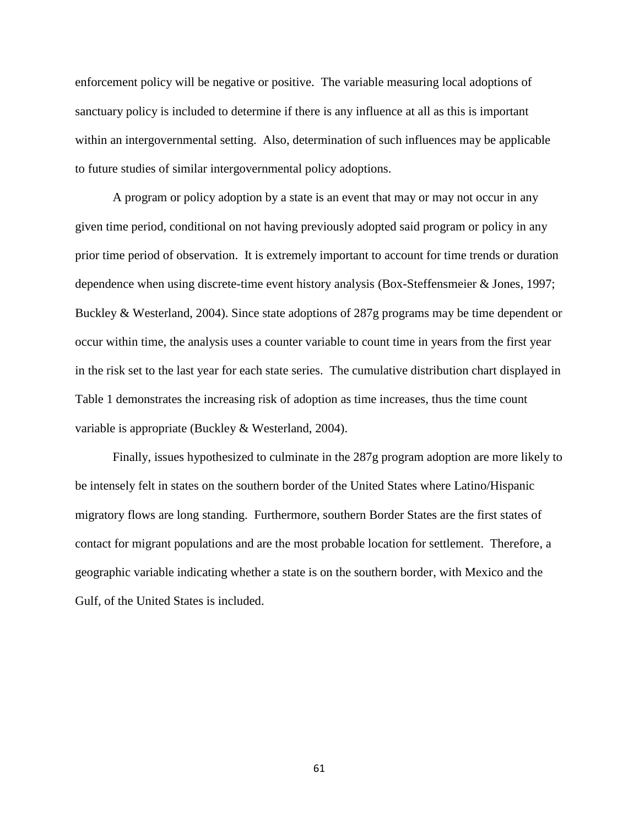enforcement policy will be negative or positive. The variable measuring local adoptions of sanctuary policy is included to determine if there is any influence at all as this is important within an intergovernmental setting. Also, determination of such influences may be applicable to future studies of similar intergovernmental policy adoptions.

A program or policy adoption by a state is an event that may or may not occur in any given time period, conditional on not having previously adopted said program or policy in any prior time period of observation. It is extremely important to account for time trends or duration dependence when using discrete-time event history analysis (Box-Steffensmeier & Jones, 1997; Buckley & Westerland, 2004). Since state adoptions of 287g programs may be time dependent or occur within time, the analysis uses a counter variable to count time in years from the first year in the risk set to the last year for each state series. The cumulative distribution chart displayed in Table 1 demonstrates the increasing risk of adoption as time increases, thus the time count variable is appropriate (Buckley & Westerland, 2004).

Finally, issues hypothesized to culminate in the 287g program adoption are more likely to be intensely felt in states on the southern border of the United States where Latino/Hispanic migratory flows are long standing. Furthermore, southern Border States are the first states of contact for migrant populations and are the most probable location for settlement. Therefore, a geographic variable indicating whether a state is on the southern border, with Mexico and the Gulf, of the United States is included.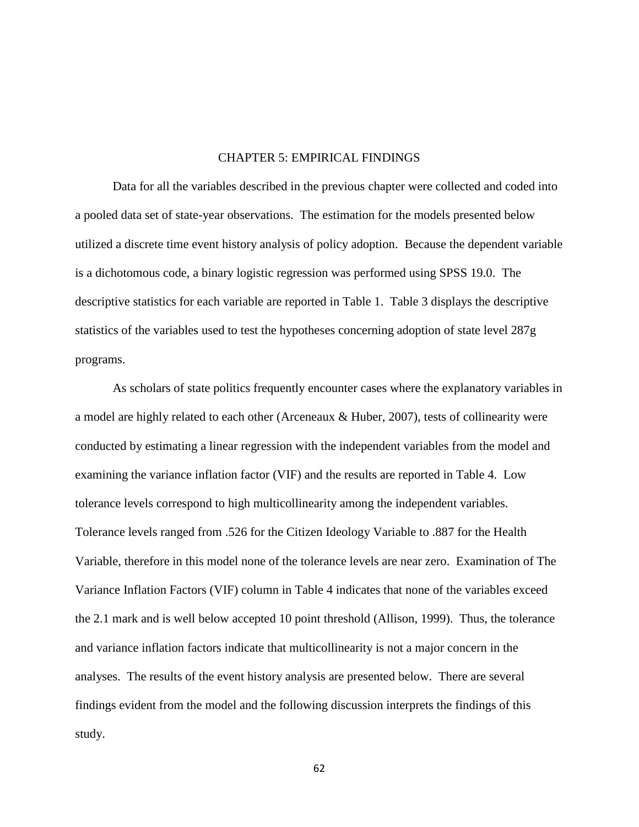### CHAPTER 5: EMPIRICAL FINDINGS

Data for all the variables described in the previous chapter were collected and coded into a pooled data set of state-year observations. The estimation for the models presented below utilized a discrete time event history analysis of policy adoption. Because the dependent variable is a dichotomous code, a binary logistic regression was performed using SPSS 19.0. The descriptive statistics for each variable are reported in Table 1. Table 3 displays the descriptive statistics of the variables used to test the hypotheses concerning adoption of state level 287g programs.

As scholars of state politics frequently encounter cases where the explanatory variables in a model are highly related to each other (Arceneaux & Huber, 2007), tests of collinearity were conducted by estimating a linear regression with the independent variables from the model and examining the variance inflation factor (VIF) and the results are reported in Table 4. Low tolerance levels correspond to high multicollinearity among the independent variables. Tolerance levels ranged from .526 for the Citizen Ideology Variable to .887 for the Health Variable, therefore in this model none of the tolerance levels are near zero. Examination of The Variance Inflation Factors (VIF) column in Table 4 indicates that none of the variables exceed the 2.1 mark and is well below accepted 10 point threshold (Allison, 1999). Thus, the tolerance and variance inflation factors indicate that multicollinearity is not a major concern in the analyses. The results of the event history analysis are presented below. There are several findings evident from the model and the following discussion interprets the findings of this study.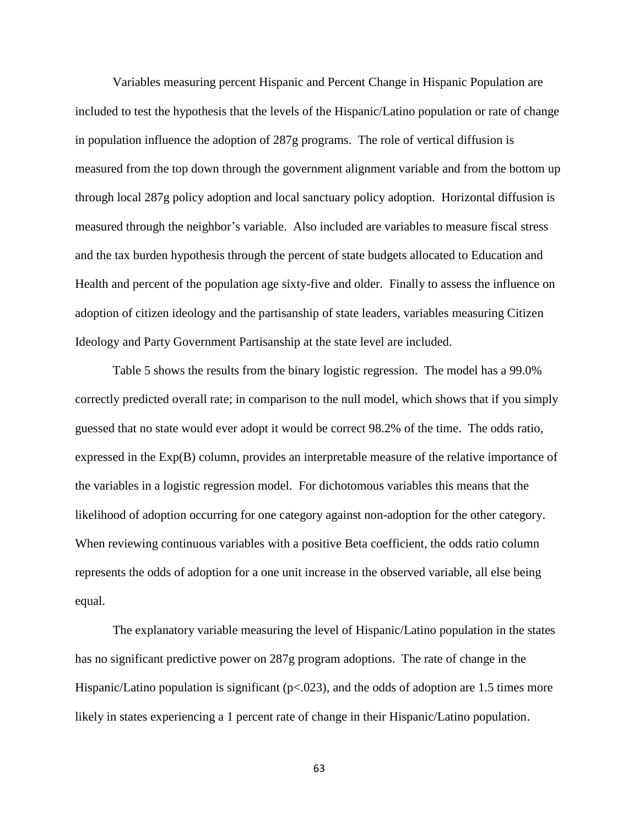Variables measuring percent Hispanic and Percent Change in Hispanic Population are included to test the hypothesis that the levels of the Hispanic/Latino population or rate of change in population influence the adoption of 287g programs. The role of vertical diffusion is measured from the top down through the government alignment variable and from the bottom up through local 287g policy adoption and local sanctuary policy adoption. Horizontal diffusion is measured through the neighbor's variable. Also included are variables to measure fiscal stress and the tax burden hypothesis through the percent of state budgets allocated to Education and Health and percent of the population age sixty-five and older. Finally to assess the influence on adoption of citizen ideology and the partisanship of state leaders, variables measuring Citizen Ideology and Party Government Partisanship at the state level are included.

Table 5 shows the results from the binary logistic regression. The model has a 99.0% correctly predicted overall rate; in comparison to the null model, which shows that if you simply guessed that no state would ever adopt it would be correct 98.2% of the time. The odds ratio, expressed in the Exp(B) column, provides an interpretable measure of the relative importance of the variables in a logistic regression model. For dichotomous variables this means that the likelihood of adoption occurring for one category against non-adoption for the other category. When reviewing continuous variables with a positive Beta coefficient, the odds ratio column represents the odds of adoption for a one unit increase in the observed variable, all else being equal.

The explanatory variable measuring the level of Hispanic/Latino population in the states has no significant predictive power on 287g program adoptions. The rate of change in the Hispanic/Latino population is significant ( $p<0.023$ ), and the odds of adoption are 1.5 times more likely in states experiencing a 1 percent rate of change in their Hispanic/Latino population.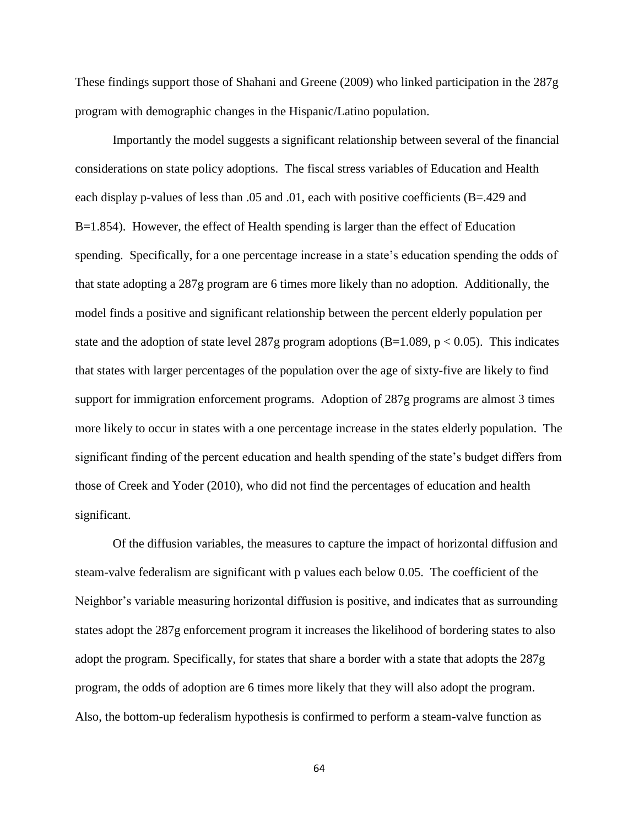These findings support those of Shahani and Greene (2009) who linked participation in the 287g program with demographic changes in the Hispanic/Latino population.

Importantly the model suggests a significant relationship between several of the financial considerations on state policy adoptions. The fiscal stress variables of Education and Health each display p-values of less than .05 and .01, each with positive coefficients (B=.429 and B=1.854). However, the effect of Health spending is larger than the effect of Education spending. Specifically, for a one percentage increase in a state's education spending the odds of that state adopting a 287g program are 6 times more likely than no adoption. Additionally, the model finds a positive and significant relationship between the percent elderly population per state and the adoption of state level 287g program adoptions (B=1.089, p < 0.05). This indicates that states with larger percentages of the population over the age of sixty-five are likely to find support for immigration enforcement programs. Adoption of 287g programs are almost 3 times more likely to occur in states with a one percentage increase in the states elderly population. The significant finding of the percent education and health spending of the state's budget differs from those of Creek and Yoder (2010), who did not find the percentages of education and health significant.

Of the diffusion variables, the measures to capture the impact of horizontal diffusion and steam-valve federalism are significant with p values each below 0.05. The coefficient of the Neighbor's variable measuring horizontal diffusion is positive, and indicates that as surrounding states adopt the 287g enforcement program it increases the likelihood of bordering states to also adopt the program. Specifically, for states that share a border with a state that adopts the 287g program, the odds of adoption are 6 times more likely that they will also adopt the program. Also, the bottom-up federalism hypothesis is confirmed to perform a steam-valve function as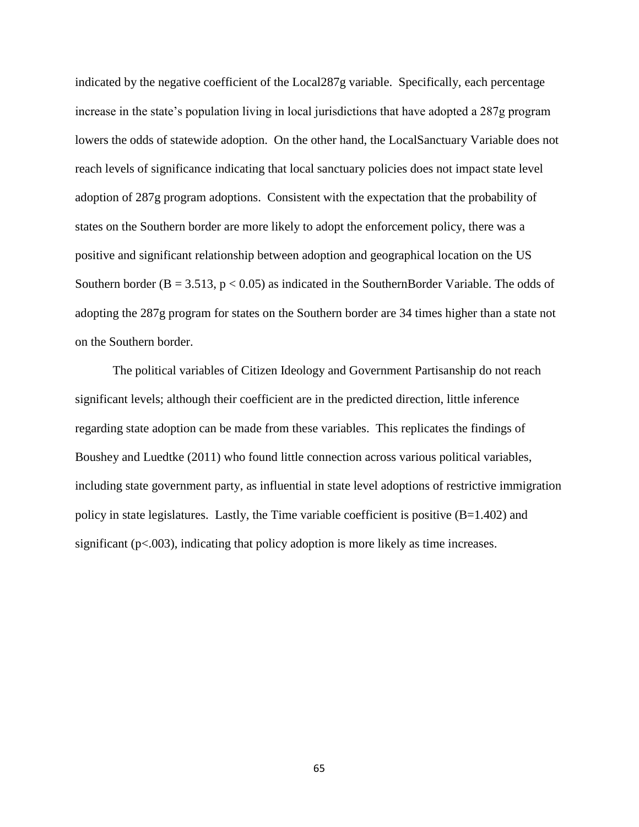indicated by the negative coefficient of the Local287g variable. Specifically, each percentage increase in the state's population living in local jurisdictions that have adopted a 287g program lowers the odds of statewide adoption. On the other hand, the LocalSanctuary Variable does not reach levels of significance indicating that local sanctuary policies does not impact state level adoption of 287g program adoptions. Consistent with the expectation that the probability of states on the Southern border are more likely to adopt the enforcement policy, there was a positive and significant relationship between adoption and geographical location on the US Southern border ( $B = 3.513$ ,  $p < 0.05$ ) as indicated in the SouthernBorder Variable. The odds of adopting the 287g program for states on the Southern border are 34 times higher than a state not on the Southern border.

The political variables of Citizen Ideology and Government Partisanship do not reach significant levels; although their coefficient are in the predicted direction, little inference regarding state adoption can be made from these variables. This replicates the findings of Boushey and Luedtke (2011) who found little connection across various political variables, including state government party, as influential in state level adoptions of restrictive immigration policy in state legislatures. Lastly, the Time variable coefficient is positive (B=1.402) and significant ( $p<0.003$ ), indicating that policy adoption is more likely as time increases.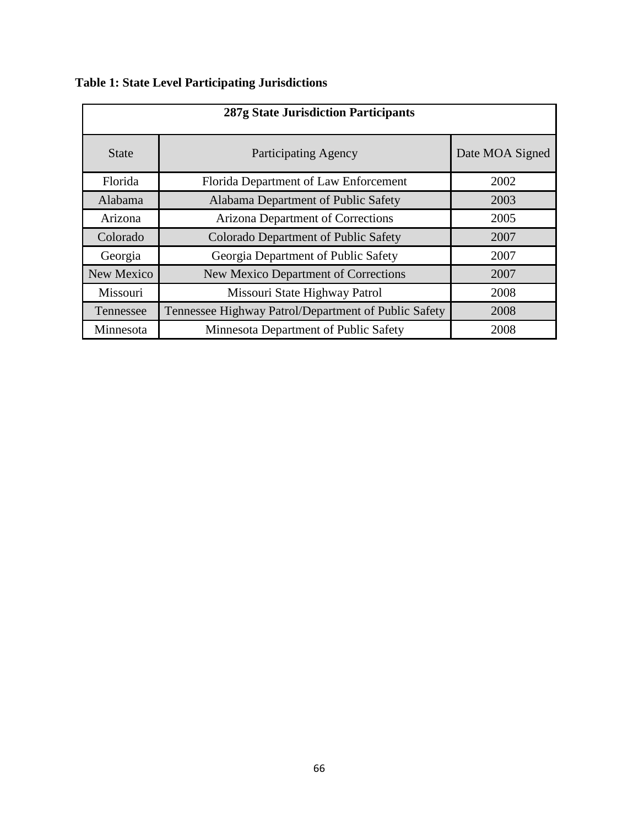**Table 1: State Level Participating Jurisdictions**

| 287g State Jurisdiction Participants |                                                      |                 |  |  |
|--------------------------------------|------------------------------------------------------|-----------------|--|--|
| <b>State</b>                         | <b>Participating Agency</b>                          | Date MOA Signed |  |  |
| Florida                              | Florida Department of Law Enforcement                | 2002            |  |  |
| Alabama                              | Alabama Department of Public Safety                  | 2003            |  |  |
| Arizona                              | Arizona Department of Corrections                    | 2005            |  |  |
| Colorado                             | <b>Colorado Department of Public Safety</b>          | 2007            |  |  |
| Georgia                              | Georgia Department of Public Safety                  | 2007            |  |  |
| New Mexico                           | <b>New Mexico Department of Corrections</b>          | 2007            |  |  |
| Missouri                             | Missouri State Highway Patrol                        | 2008            |  |  |
| Tennessee                            | Tennessee Highway Patrol/Department of Public Safety | 2008            |  |  |
| Minnesota                            | Minnesota Department of Public Safety                | 2008            |  |  |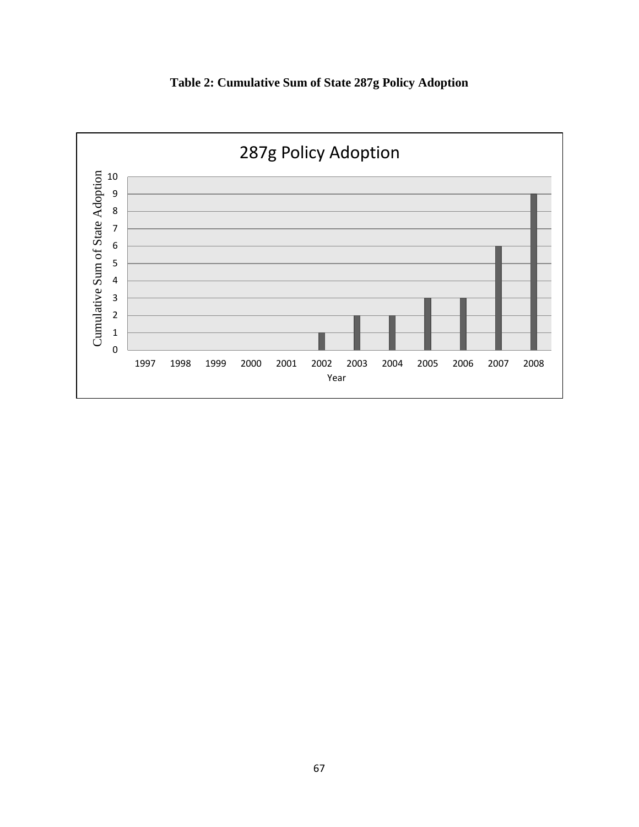

**Table 2: Cumulative Sum of State 287g Policy Adoption**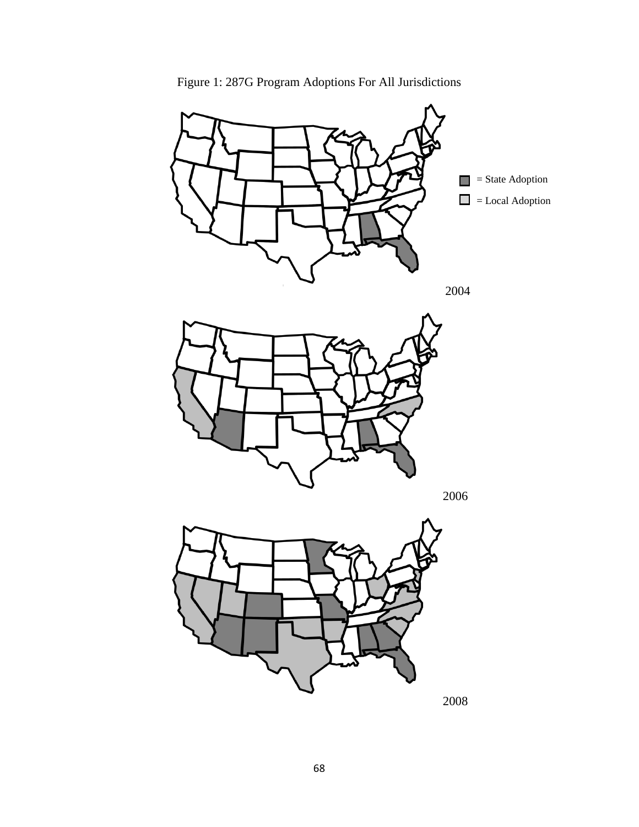

Figure 1: 287G Program Adoptions For All Jurisdictions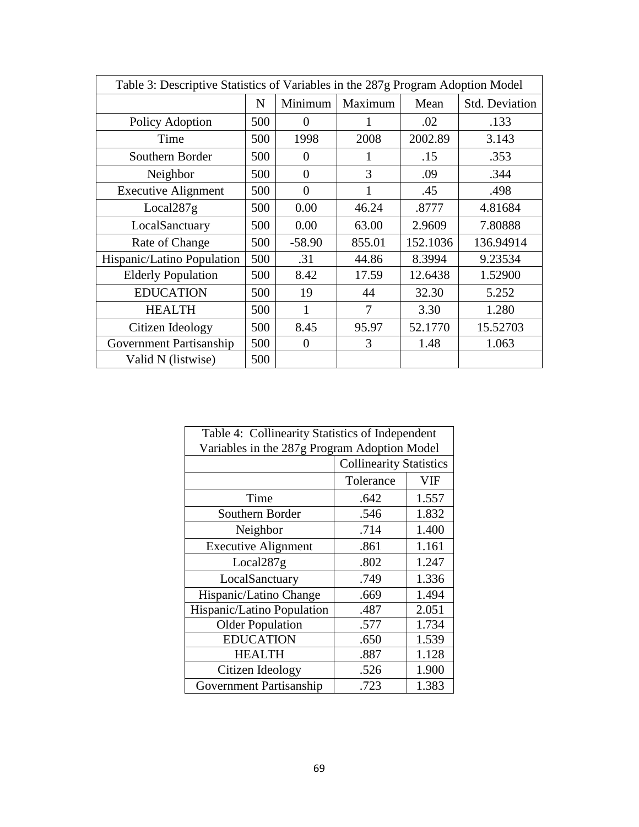| Table 3: Descriptive Statistics of Variables in the 287g Program Adoption Model |             |          |         |          |                       |
|---------------------------------------------------------------------------------|-------------|----------|---------|----------|-----------------------|
|                                                                                 | $\mathbf N$ | Minimum  | Maximum | Mean     | <b>Std. Deviation</b> |
| Policy Adoption                                                                 | 500         | $\Omega$ |         | .02      | .133                  |
| Time                                                                            | 500         | 1998     | 2008    | 2002.89  | 3.143                 |
| Southern Border                                                                 | 500         | $\Omega$ |         | .15      | .353                  |
| Neighbor                                                                        | 500         | $\theta$ | 3       | .09      | .344                  |
| <b>Executive Alignment</b>                                                      | 500         | $\theta$ | 1       | .45      | .498                  |
| Local287g                                                                       | 500         | 0.00     | 46.24   | .8777    | 4.81684               |
| LocalSanctuary                                                                  | 500         | 0.00     | 63.00   | 2.9609   | 7.80888               |
| Rate of Change                                                                  | 500         | $-58.90$ | 855.01  | 152.1036 | 136.94914             |
| Hispanic/Latino Population                                                      | 500         | .31      | 44.86   | 8.3994   | 9.23534               |
| <b>Elderly Population</b>                                                       | 500         | 8.42     | 17.59   | 12.6438  | 1.52900               |
| <b>EDUCATION</b>                                                                | 500         | 19       | 44      | 32.30    | 5.252                 |
| <b>HEALTH</b>                                                                   | 500         | 1        | 7       | 3.30     | 1.280                 |
| Citizen Ideology                                                                | 500         | 8.45     | 95.97   | 52.1770  | 15.52703              |
| Government Partisanship                                                         | 500         | $\Omega$ | 3       | 1.48     | 1.063                 |
| Valid N (listwise)                                                              | 500         |          |         |          |                       |

| Table 4: Collinearity Statistics of Independent |                                |       |  |  |
|-------------------------------------------------|--------------------------------|-------|--|--|
| Variables in the 287g Program Adoption Model    |                                |       |  |  |
|                                                 | <b>Collinearity Statistics</b> |       |  |  |
|                                                 | Tolerance                      | VIF   |  |  |
| Time                                            | .642                           | 1.557 |  |  |
| Southern Border                                 | .546                           | 1.832 |  |  |
| Neighbor                                        | .714                           | 1.400 |  |  |
| <b>Executive Alignment</b>                      | .861                           | 1.161 |  |  |
| Local287g                                       | .802                           | 1.247 |  |  |
| LocalSanctuary                                  | .749                           | 1.336 |  |  |
| Hispanic/Latino Change                          | .669                           | 1.494 |  |  |
| Hispanic/Latino Population                      | .487                           | 2.051 |  |  |
| <b>Older Population</b>                         | .577                           | 1.734 |  |  |
| <b>EDUCATION</b>                                | .650                           | 1.539 |  |  |
| <b>HEALTH</b>                                   | .887                           | 1.128 |  |  |
| Citizen Ideology                                | .526                           | 1.900 |  |  |
| <b>Government Partisanship</b>                  | .723                           | 1.383 |  |  |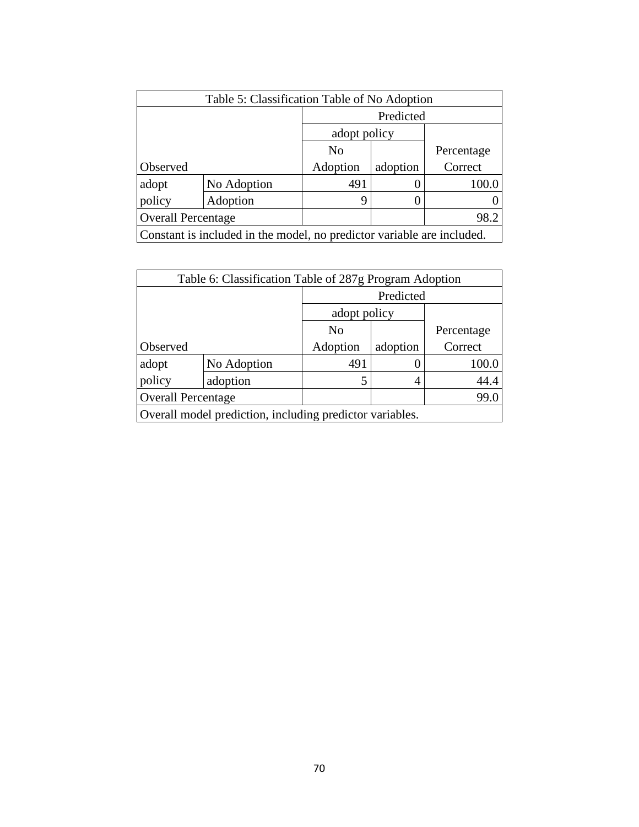| Table 5: Classification Table of No Adoption                           |             |          |              |            |  |
|------------------------------------------------------------------------|-------------|----------|--------------|------------|--|
|                                                                        |             |          | Predicted    |            |  |
|                                                                        |             |          | adopt policy |            |  |
|                                                                        |             | No       |              | Percentage |  |
| Observed                                                               |             | Adoption | adoption     | Correct    |  |
| adopt                                                                  | No Adoption | 491      |              | 100.0      |  |
| policy                                                                 | Adoption    | 9        |              |            |  |
| <b>Overall Percentage</b>                                              |             |          |              | 98.2       |  |
| Constant is included in the model, no predictor variable are included. |             |          |              |            |  |

| Table 6: Classification Table of 287g Program Adoption   |             |                |          |            |  |
|----------------------------------------------------------|-------------|----------------|----------|------------|--|
|                                                          |             | Predicted      |          |            |  |
|                                                          |             | adopt policy   |          |            |  |
|                                                          |             | N <sub>0</sub> |          | Percentage |  |
| Observed                                                 |             | Adoption       | adoption | Correct    |  |
| adopt                                                    | No Adoption | 491            |          | 100.0      |  |
| policy                                                   | adoption    | 5              |          | 44.4       |  |
| <b>Overall Percentage</b>                                |             |                |          | 99.0       |  |
| Overall model prediction, including predictor variables. |             |                |          |            |  |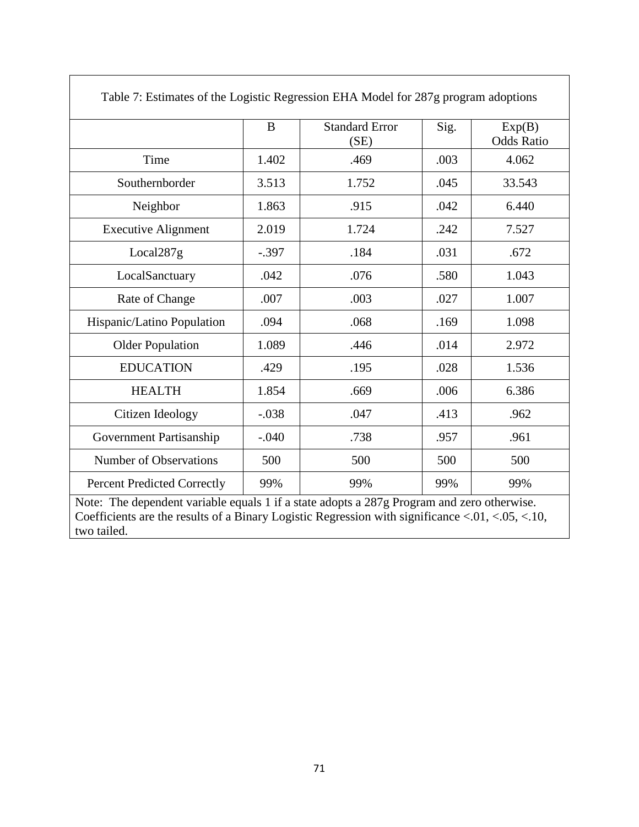| Table 7: Estimates of the Logistic Regression EHA Model for 287g program adoptions |         |                               |      |                             |  |
|------------------------------------------------------------------------------------|---------|-------------------------------|------|-----------------------------|--|
|                                                                                    | B       | <b>Standard Error</b><br>(SE) | Sig. | Exp(B)<br><b>Odds Ratio</b> |  |
| Time                                                                               | 1.402   | .469                          | .003 | 4.062                       |  |
| Southernborder                                                                     | 3.513   | 1.752                         | .045 | 33.543                      |  |
| Neighbor                                                                           | 1.863   | .915                          | .042 | 6.440                       |  |
| <b>Executive Alignment</b>                                                         | 2.019   | 1.724                         | .242 | 7.527                       |  |
| Local287g                                                                          | $-.397$ | .184                          | .031 | .672                        |  |
| LocalSanctuary                                                                     | .042    | .076                          | .580 | 1.043                       |  |
| Rate of Change                                                                     | .007    | .003                          | .027 | 1.007                       |  |
| Hispanic/Latino Population                                                         | .094    | .068                          | .169 | 1.098                       |  |
| <b>Older Population</b>                                                            | 1.089   | .446                          | .014 | 2.972                       |  |
| <b>EDUCATION</b>                                                                   | .429    | .195                          | .028 | 1.536                       |  |
| <b>HEALTH</b>                                                                      | 1.854   | .669                          | .006 | 6.386                       |  |
| Citizen Ideology                                                                   | $-.038$ | .047                          | .413 | .962                        |  |
| Government Partisanship                                                            | $-.040$ | .738                          | .957 | .961                        |  |
| <b>Number of Observations</b>                                                      | 500     | 500                           | 500  | 500                         |  |
| <b>Percent Predicted Correctly</b>                                                 | 99%     | 99%                           | 99%  | 99%                         |  |

٦

 $\Gamma$ 

Note: The dependent variable equals 1 if a state adopts a 287g Program and zero otherwise. Coefficients are the results of a Binary Logistic Regression with significance <.01, <.05, <.10, two tailed.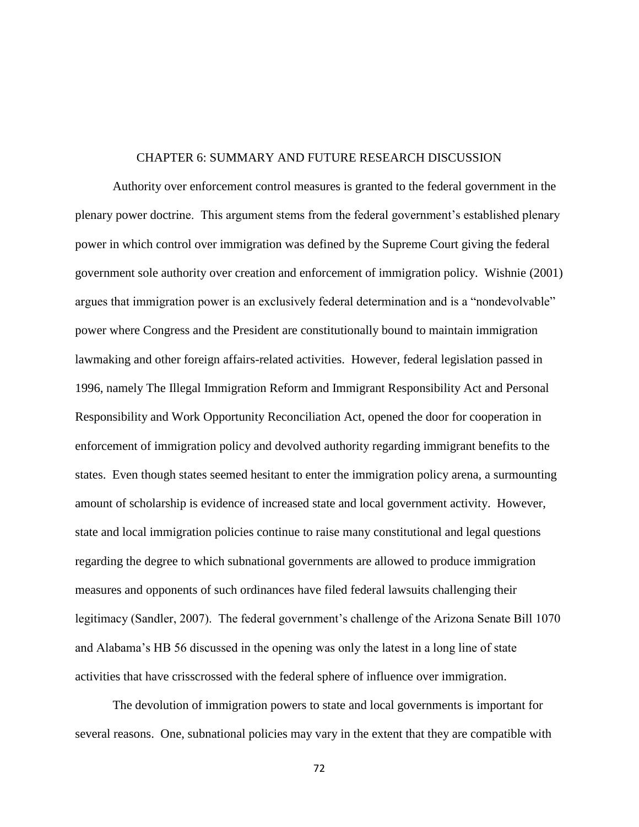## CHAPTER 6: SUMMARY AND FUTURE RESEARCH DISCUSSION

Authority over enforcement control measures is granted to the federal government in the plenary power doctrine. This argument stems from the federal government's established plenary power in which control over immigration was defined by the Supreme Court giving the federal government sole authority over creation and enforcement of immigration policy. Wishnie (2001) argues that immigration power is an exclusively federal determination and is a "nondevolvable" power where Congress and the President are constitutionally bound to maintain immigration lawmaking and other foreign affairs-related activities. However, federal legislation passed in 1996, namely The Illegal Immigration Reform and Immigrant Responsibility Act and Personal Responsibility and Work Opportunity Reconciliation Act, opened the door for cooperation in enforcement of immigration policy and devolved authority regarding immigrant benefits to the states. Even though states seemed hesitant to enter the immigration policy arena, a surmounting amount of scholarship is evidence of increased state and local government activity. However, state and local immigration policies continue to raise many constitutional and legal questions regarding the degree to which subnational governments are allowed to produce immigration measures and opponents of such ordinances have filed federal lawsuits challenging their legitimacy (Sandler, 2007). The federal government's challenge of the Arizona Senate Bill 1070 and Alabama's HB 56 discussed in the opening was only the latest in a long line of state activities that have crisscrossed with the federal sphere of influence over immigration.

The devolution of immigration powers to state and local governments is important for several reasons. One, subnational policies may vary in the extent that they are compatible with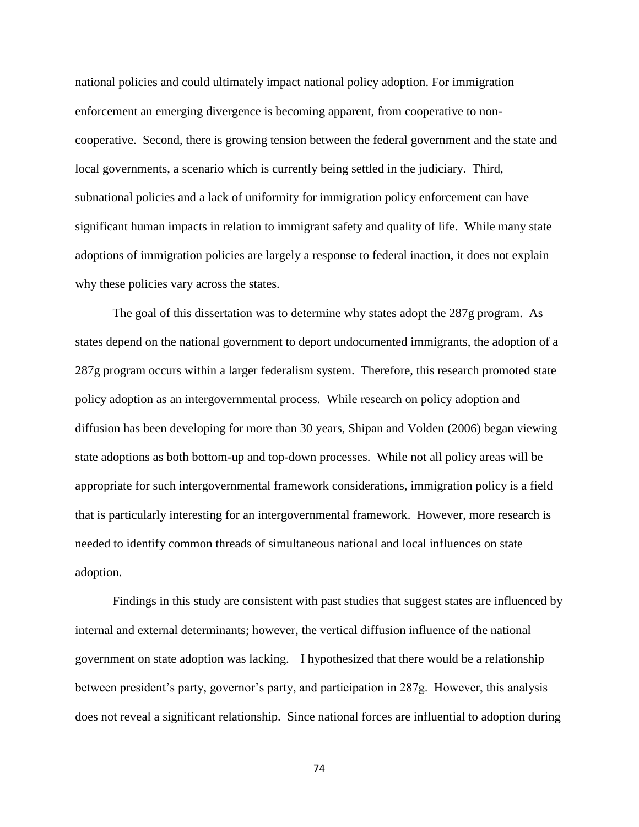national policies and could ultimately impact national policy adoption. For immigration enforcement an emerging divergence is becoming apparent, from cooperative to noncooperative. Second, there is growing tension between the federal government and the state and local governments, a scenario which is currently being settled in the judiciary. Third, subnational policies and a lack of uniformity for immigration policy enforcement can have significant human impacts in relation to immigrant safety and quality of life. While many state adoptions of immigration policies are largely a response to federal inaction, it does not explain why these policies vary across the states.

The goal of this dissertation was to determine why states adopt the 287g program. As states depend on the national government to deport undocumented immigrants, the adoption of a 287g program occurs within a larger federalism system. Therefore, this research promoted state policy adoption as an intergovernmental process. While research on policy adoption and diffusion has been developing for more than 30 years, Shipan and Volden (2006) began viewing state adoptions as both bottom-up and top-down processes. While not all policy areas will be appropriate for such intergovernmental framework considerations, immigration policy is a field that is particularly interesting for an intergovernmental framework. However, more research is needed to identify common threads of simultaneous national and local influences on state adoption.

Findings in this study are consistent with past studies that suggest states are influenced by internal and external determinants; however, the vertical diffusion influence of the national government on state adoption was lacking. I hypothesized that there would be a relationship between president's party, governor's party, and participation in 287g. However, this analysis does not reveal a significant relationship. Since national forces are influential to adoption during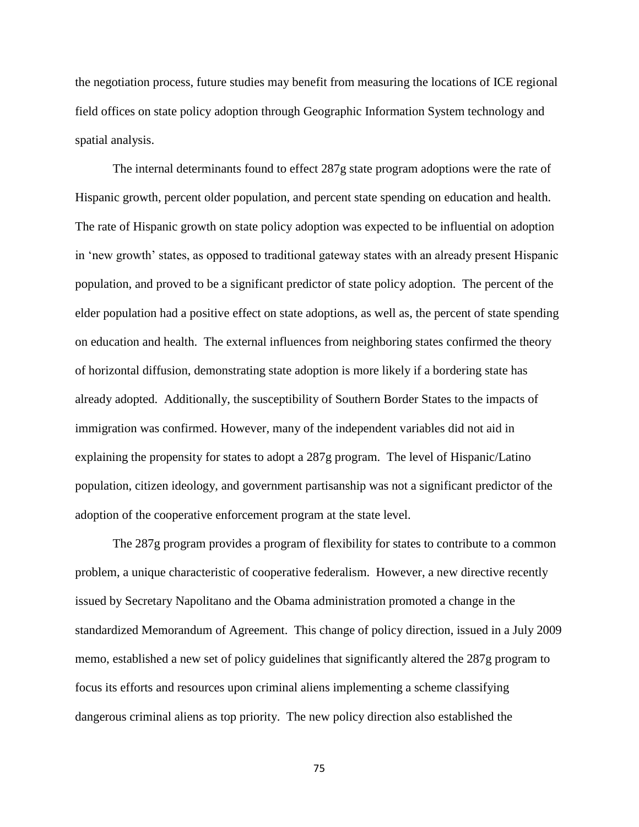the negotiation process, future studies may benefit from measuring the locations of ICE regional field offices on state policy adoption through Geographic Information System technology and spatial analysis.

The internal determinants found to effect 287g state program adoptions were the rate of Hispanic growth, percent older population, and percent state spending on education and health. The rate of Hispanic growth on state policy adoption was expected to be influential on adoption in 'new growth' states, as opposed to traditional gateway states with an already present Hispanic population, and proved to be a significant predictor of state policy adoption. The percent of the elder population had a positive effect on state adoptions, as well as, the percent of state spending on education and health. The external influences from neighboring states confirmed the theory of horizontal diffusion, demonstrating state adoption is more likely if a bordering state has already adopted. Additionally, the susceptibility of Southern Border States to the impacts of immigration was confirmed. However, many of the independent variables did not aid in explaining the propensity for states to adopt a 287g program. The level of Hispanic/Latino population, citizen ideology, and government partisanship was not a significant predictor of the adoption of the cooperative enforcement program at the state level.

The 287g program provides a program of flexibility for states to contribute to a common problem, a unique characteristic of cooperative federalism. However, a new directive recently issued by Secretary Napolitano and the Obama administration promoted a change in the standardized Memorandum of Agreement. This change of policy direction, issued in a July 2009 memo, established a new set of policy guidelines that significantly altered the 287g program to focus its efforts and resources upon criminal aliens implementing a scheme classifying dangerous criminal aliens as top priority. The new policy direction also established the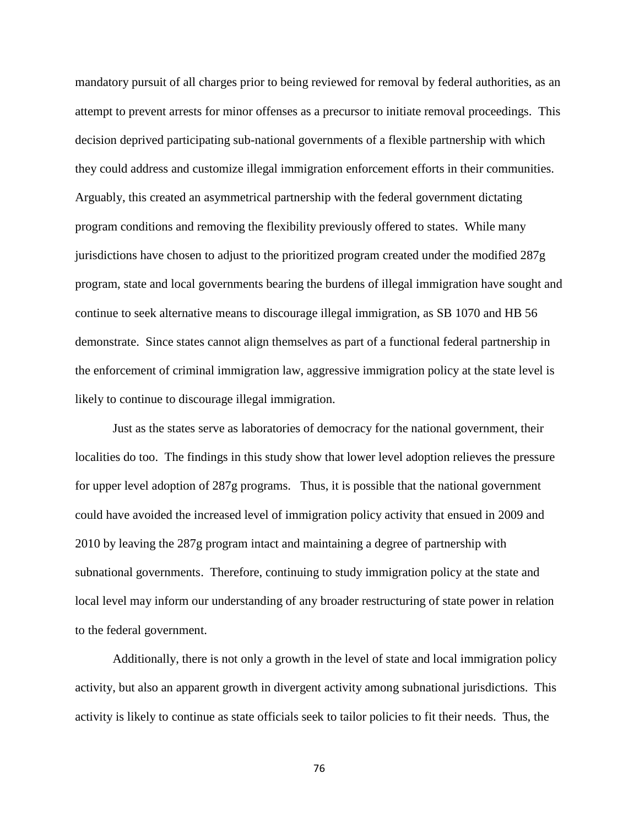mandatory pursuit of all charges prior to being reviewed for removal by federal authorities, as an attempt to prevent arrests for minor offenses as a precursor to initiate removal proceedings. This decision deprived participating sub-national governments of a flexible partnership with which they could address and customize illegal immigration enforcement efforts in their communities. Arguably, this created an asymmetrical partnership with the federal government dictating program conditions and removing the flexibility previously offered to states. While many jurisdictions have chosen to adjust to the prioritized program created under the modified 287g program, state and local governments bearing the burdens of illegal immigration have sought and continue to seek alternative means to discourage illegal immigration, as SB 1070 and HB 56 demonstrate. Since states cannot align themselves as part of a functional federal partnership in the enforcement of criminal immigration law, aggressive immigration policy at the state level is likely to continue to discourage illegal immigration.

Just as the states serve as laboratories of democracy for the national government, their localities do too. The findings in this study show that lower level adoption relieves the pressure for upper level adoption of 287g programs. Thus, it is possible that the national government could have avoided the increased level of immigration policy activity that ensued in 2009 and 2010 by leaving the 287g program intact and maintaining a degree of partnership with subnational governments. Therefore, continuing to study immigration policy at the state and local level may inform our understanding of any broader restructuring of state power in relation to the federal government.

Additionally, there is not only a growth in the level of state and local immigration policy activity, but also an apparent growth in divergent activity among subnational jurisdictions. This activity is likely to continue as state officials seek to tailor policies to fit their needs. Thus, the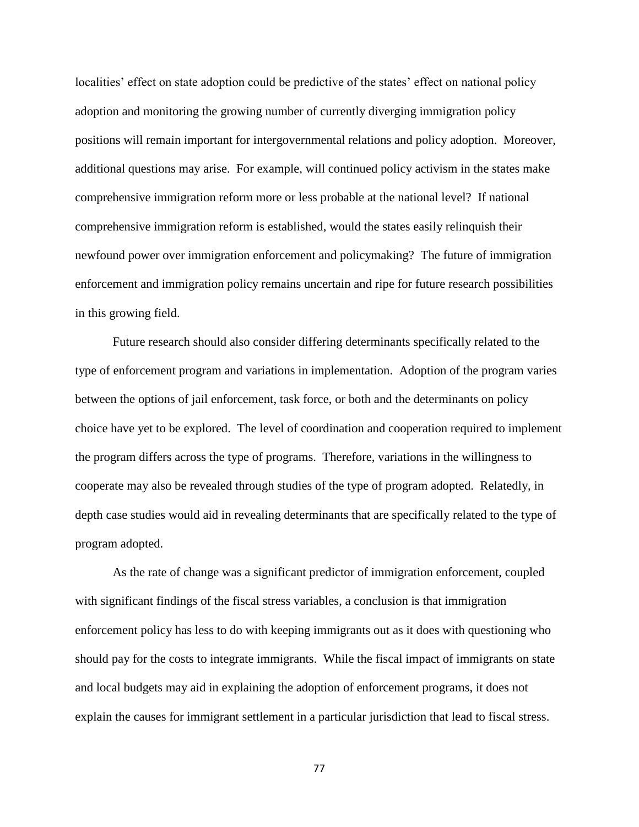localities' effect on state adoption could be predictive of the states' effect on national policy adoption and monitoring the growing number of currently diverging immigration policy positions will remain important for intergovernmental relations and policy adoption. Moreover, additional questions may arise. For example, will continued policy activism in the states make comprehensive immigration reform more or less probable at the national level? If national comprehensive immigration reform is established, would the states easily relinquish their newfound power over immigration enforcement and policymaking? The future of immigration enforcement and immigration policy remains uncertain and ripe for future research possibilities in this growing field.

Future research should also consider differing determinants specifically related to the type of enforcement program and variations in implementation. Adoption of the program varies between the options of jail enforcement, task force, or both and the determinants on policy choice have yet to be explored. The level of coordination and cooperation required to implement the program differs across the type of programs. Therefore, variations in the willingness to cooperate may also be revealed through studies of the type of program adopted. Relatedly, in depth case studies would aid in revealing determinants that are specifically related to the type of program adopted.

As the rate of change was a significant predictor of immigration enforcement, coupled with significant findings of the fiscal stress variables, a conclusion is that immigration enforcement policy has less to do with keeping immigrants out as it does with questioning who should pay for the costs to integrate immigrants. While the fiscal impact of immigrants on state and local budgets may aid in explaining the adoption of enforcement programs, it does not explain the causes for immigrant settlement in a particular jurisdiction that lead to fiscal stress.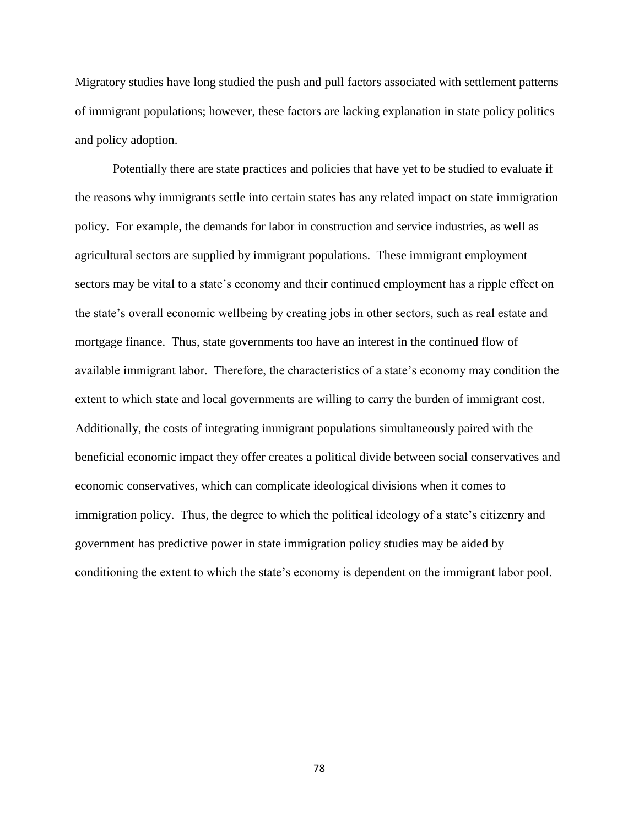Migratory studies have long studied the push and pull factors associated with settlement patterns of immigrant populations; however, these factors are lacking explanation in state policy politics and policy adoption.

Potentially there are state practices and policies that have yet to be studied to evaluate if the reasons why immigrants settle into certain states has any related impact on state immigration policy. For example, the demands for labor in construction and service industries, as well as agricultural sectors are supplied by immigrant populations. These immigrant employment sectors may be vital to a state's economy and their continued employment has a ripple effect on the state's overall economic wellbeing by creating jobs in other sectors, such as real estate and mortgage finance. Thus, state governments too have an interest in the continued flow of available immigrant labor. Therefore, the characteristics of a state's economy may condition the extent to which state and local governments are willing to carry the burden of immigrant cost. Additionally, the costs of integrating immigrant populations simultaneously paired with the beneficial economic impact they offer creates a political divide between social conservatives and economic conservatives, which can complicate ideological divisions when it comes to immigration policy. Thus, the degree to which the political ideology of a state's citizenry and government has predictive power in state immigration policy studies may be aided by conditioning the extent to which the state's economy is dependent on the immigrant labor pool.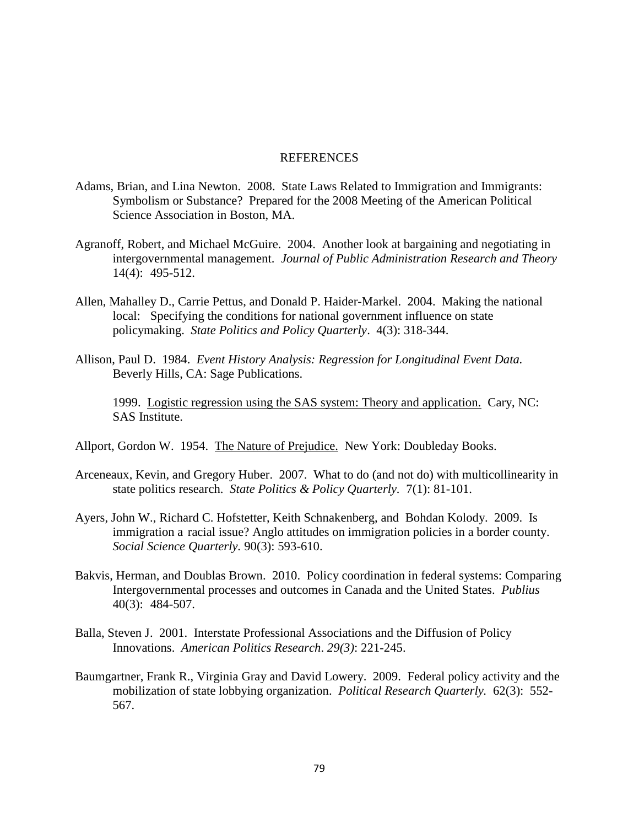## **REFERENCES**

- Adams, Brian, and Lina Newton. 2008. State Laws Related to Immigration and Immigrants: Symbolism or Substance? Prepared for the 2008 Meeting of the American Political Science Association in Boston, MA.
- Agranoff, Robert, and Michael McGuire. 2004. Another look at bargaining and negotiating in intergovernmental management. *Journal of Public Administration Research and Theory* 14(4): 495-512.
- Allen, Mahalley D., Carrie Pettus, and Donald P. Haider-Markel. 2004. Making the national local: Specifying the conditions for national government influence on state policymaking. *State Politics and Policy Quarterly*. 4(3): 318-344.
- Allison, Paul D. 1984. *Event History Analysis: Regression for Longitudinal Event Data.*  Beverly Hills, CA: Sage Publications.

1999. Logistic regression using the SAS system: Theory and application. Cary, NC: SAS Institute.

- Allport, Gordon W. 1954. The Nature of Prejudice. New York: Doubleday Books.
- Arceneaux, Kevin, and Gregory Huber. 2007. What to do (and not do) with multicollinearity in state politics research. *State Politics & Policy Quarterly.* 7(1): 81-101.
- Ayers, John W., Richard C. Hofstetter, Keith Schnakenberg, and Bohdan Kolody. 2009. Is immigration a racial issue? Anglo attitudes on immigration policies in a border county. *Social Science Quarterly.* 90(3): 593-610.
- Bakvis, Herman, and Doublas Brown. 2010. Policy coordination in federal systems: Comparing Intergovernmental processes and outcomes in Canada and the United States. *Publius* 40(3): 484-507.
- Balla, Steven J. 2001. Interstate Professional Associations and the Diffusion of Policy Innovations. *American Politics Research*. *29(3)*: 221-245.
- Baumgartner, Frank R., Virginia Gray and David Lowery. 2009. Federal policy activity and the mobilization of state lobbying organization. *Political Research Quarterly.* 62(3): 552- 567.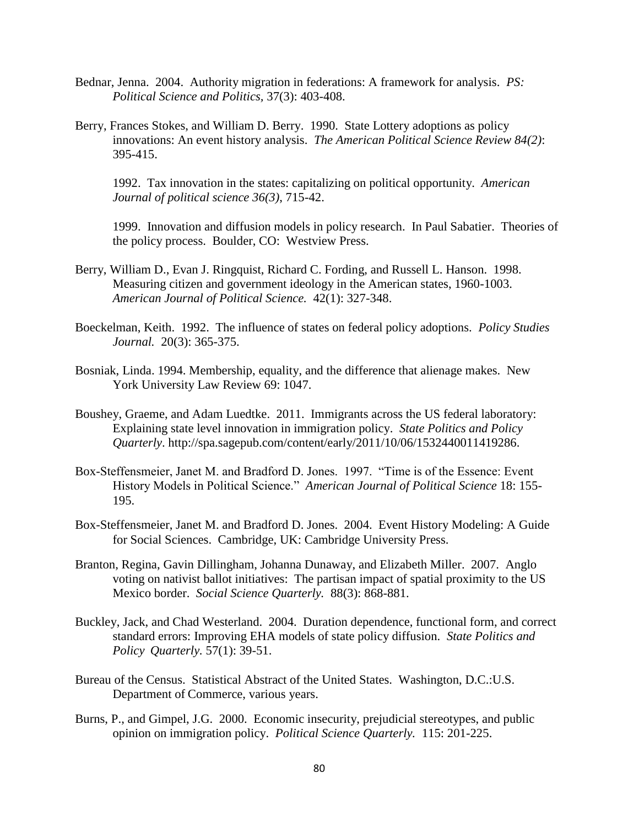- Bednar, Jenna. 2004. Authority migration in federations: A framework for analysis. *PS: Political Science and Politics,* 37(3): 403-408.
- Berry, Frances Stokes, and William D. Berry. 1990. State Lottery adoptions as policy innovations: An event history analysis. *The American Political Science Review 84(2)*: 395-415.

1992. Tax innovation in the states: capitalizing on political opportunity. *American Journal of political science 36(3)*, 715-42.

1999. Innovation and diffusion models in policy research. In Paul Sabatier. Theories of the policy process. Boulder, CO: Westview Press.

- Berry, William D., Evan J. Ringquist, Richard C. Fording, and Russell L. Hanson. 1998. Measuring citizen and government ideology in the American states, 1960-1003. *American Journal of Political Science.* 42(1): 327-348.
- Boeckelman, Keith. 1992. The influence of states on federal policy adoptions. *Policy Studies Journal.* 20(3): 365-375.
- Bosniak, Linda. 1994. Membership, equality, and the difference that alienage makes. New York University Law Review 69: 1047.
- Boushey, Graeme, and Adam Luedtke. 2011. Immigrants across the US federal laboratory: Explaining state level innovation in immigration policy. *State Politics and Policy Quarterly*. http://spa.sagepub.com/content/early/2011/10/06/1532440011419286.
- Box-Steffensmeier, Janet M. and Bradford D. Jones. 1997. "Time is of the Essence: Event History Models in Political Science." *American Journal of Political Science* 18: 155- 195.
- Box-Steffensmeier, Janet M. and Bradford D. Jones. 2004. Event History Modeling: A Guide for Social Sciences. Cambridge, UK: Cambridge University Press.
- Branton, Regina, Gavin Dillingham, Johanna Dunaway, and Elizabeth Miller. 2007. Anglo voting on nativist ballot initiatives: The partisan impact of spatial proximity to the US Mexico border. *Social Science Quarterly.* 88(3): 868-881.
- Buckley, Jack, and Chad Westerland. 2004. Duration dependence, functional form, and correct standard errors: Improving EHA models of state policy diffusion. *State Politics and Policy Quarterly.* 57(1): 39-51.
- Bureau of the Census. Statistical Abstract of the United States. Washington, D.C.:U.S. Department of Commerce, various years.
- Burns, P., and Gimpel, J.G. 2000. Economic insecurity, prejudicial stereotypes, and public opinion on immigration policy. *Political Science Quarterly.* 115: 201-225.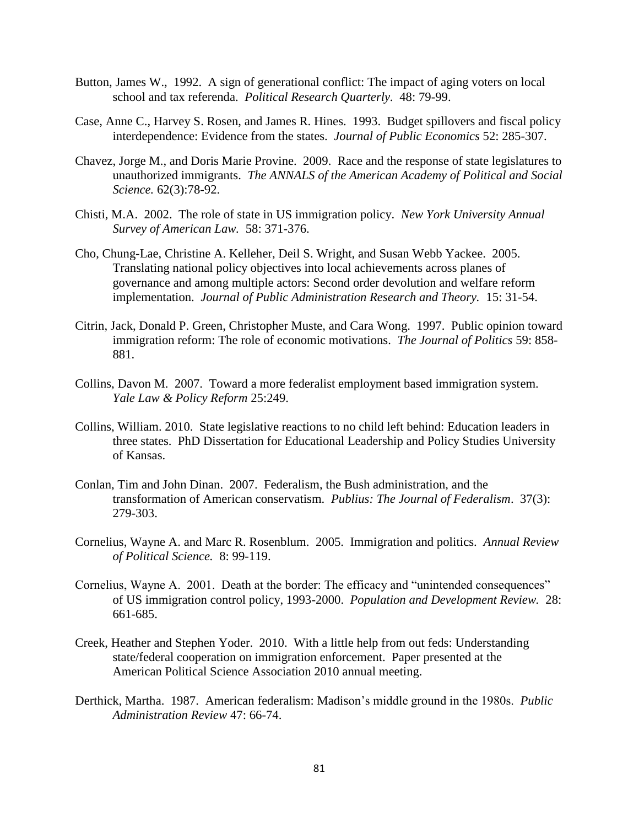- Button, James W., 1992. A sign of generational conflict: The impact of aging voters on local school and tax referenda. *Political Research Quarterly.* 48: 79-99.
- Case, Anne C., Harvey S. Rosen, and James R. Hines. 1993. Budget spillovers and fiscal policy interdependence: Evidence from the states. *Journal of Public Economics* 52: 285-307.
- Chavez, Jorge M., and Doris Marie Provine. 2009. Race and the response of state legislatures to unauthorized immigrants. *The ANNALS of the American Academy of Political and Social Science.* 62(3):78-92.
- Chisti, M.A. 2002. The role of state in US immigration policy. *New York University Annual Survey of American Law.* 58: 371-376.
- Cho, Chung-Lae, Christine A. Kelleher, Deil S. Wright, and Susan Webb Yackee. 2005. Translating national policy objectives into local achievements across planes of governance and among multiple actors: Second order devolution and welfare reform implementation. *Journal of Public Administration Research and Theory.* 15: 31-54.
- Citrin, Jack, Donald P. Green, Christopher Muste, and Cara Wong. 1997. Public opinion toward immigration reform: The role of economic motivations. *The Journal of Politics* 59: 858- 881.
- Collins, Davon M. 2007. Toward a more federalist employment based immigration system. *Yale Law & Policy Reform* 25:249.
- Collins, William. 2010. State legislative reactions to no child left behind: Education leaders in three states. PhD Dissertation for Educational Leadership and Policy Studies University of Kansas.
- Conlan, Tim and John Dinan. 2007. Federalism, the Bush administration, and the transformation of American conservatism. *Publius: The Journal of Federalism*. 37(3): 279-303.
- Cornelius, Wayne A. and Marc R. Rosenblum. 2005. Immigration and politics. *Annual Review of Political Science.* 8: 99-119.
- Cornelius, Wayne A. 2001. Death at the border: The efficacy and "unintended consequences" of US immigration control policy, 1993-2000. *Population and Development Review.* 28: 661-685.
- Creek, Heather and Stephen Yoder. 2010. With a little help from out feds: Understanding state/federal cooperation on immigration enforcement. Paper presented at the American Political Science Association 2010 annual meeting.
- Derthick, Martha. 1987. American federalism: Madison's middle ground in the 1980s. *Public Administration Review* 47: 66-74.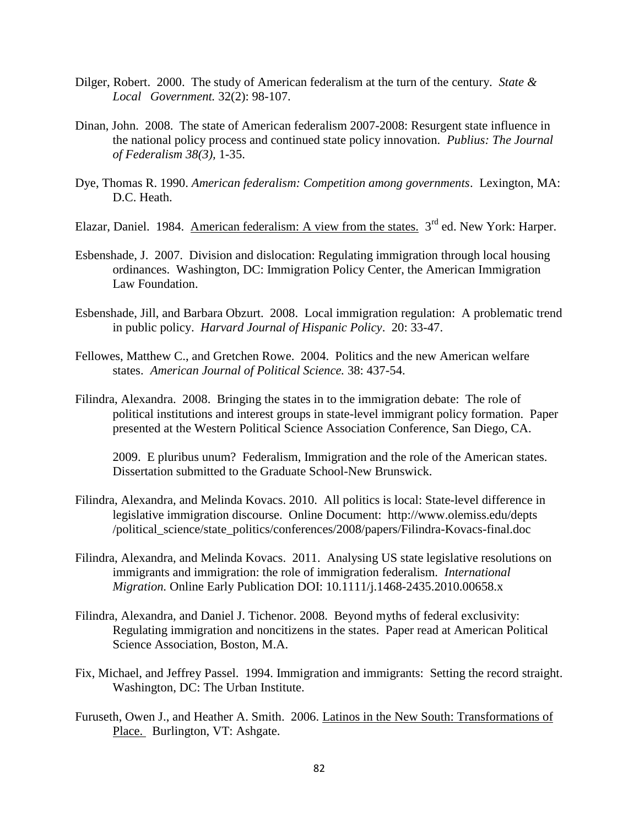- Dilger, Robert. 2000. The study of American federalism at the turn of the century. *State & Local Government.* 32(2): 98-107.
- Dinan, John. 2008. The state of American federalism 2007-2008: Resurgent state influence in the national policy process and continued state policy innovation. *Publius: The Journal of Federalism 38(3),* 1-35.
- Dye, Thomas R. 1990. *American federalism: Competition among governments*. Lexington, MA: D.C. Heath.
- Elazar, Daniel. 1984. American federalism: A view from the states. 3<sup>rd</sup> ed. New York: Harper.
- Esbenshade, J. 2007. Division and dislocation: Regulating immigration through local housing ordinances. Washington, DC: Immigration Policy Center, the American Immigration Law Foundation.
- Esbenshade, Jill, and Barbara Obzurt. 2008. Local immigration regulation: A problematic trend in public policy. *Harvard Journal of Hispanic Policy*. 20: 33-47.
- Fellowes, Matthew C., and Gretchen Rowe. 2004. Politics and the new American welfare states. *American Journal of Political Science.* 38: 437-54.
- Filindra, Alexandra. 2008. Bringing the states in to the immigration debate: The role of political institutions and interest groups in state-level immigrant policy formation. Paper presented at the Western Political Science Association Conference, San Diego, CA.

2009. E pluribus unum? Federalism, Immigration and the role of the American states. Dissertation submitted to the Graduate School-New Brunswick.

- Filindra, Alexandra, and Melinda Kovacs. 2010. All politics is local: State-level difference in legislative immigration discourse. Online Document: http://www.olemiss.edu/depts /political\_science/state\_politics/conferences/2008/papers/Filindra-Kovacs-final.doc
- Filindra, Alexandra, and Melinda Kovacs. 2011. Analysing US state legislative resolutions on immigrants and immigration: the role of immigration federalism. *International Migration.* Online Early Publication DOI: 10.1111/j.1468-2435.2010.00658.x
- Filindra, Alexandra, and Daniel J. Tichenor. 2008. Beyond myths of federal exclusivity: Regulating immigration and noncitizens in the states. Paper read at American Political Science Association, Boston, M.A.
- Fix, Michael, and Jeffrey Passel. 1994. Immigration and immigrants: Setting the record straight. Washington, DC: The Urban Institute.
- Furuseth, Owen J., and Heather A. Smith. 2006. Latinos in the New South: Transformations of Place. Burlington, VT: Ashgate.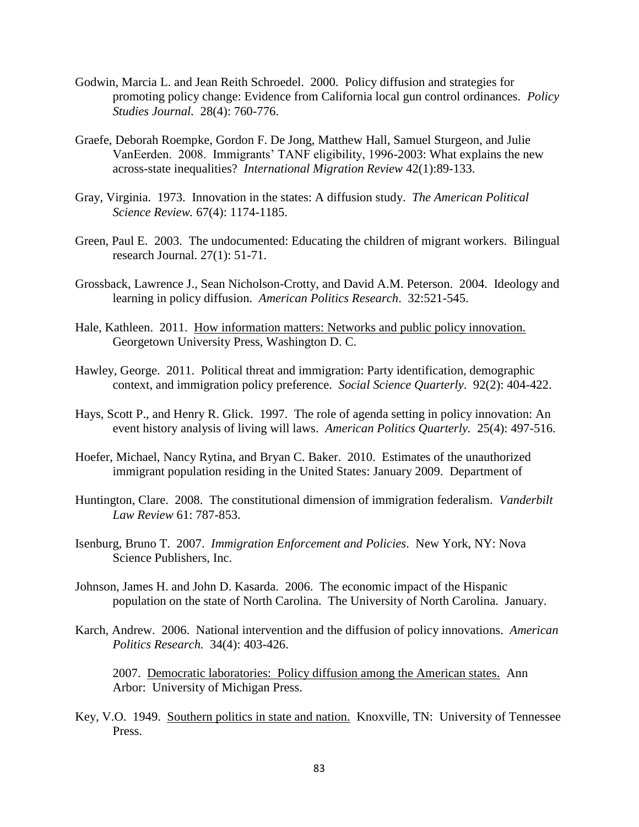- Godwin, Marcia L. and Jean Reith Schroedel. 2000. Policy diffusion and strategies for promoting policy change: Evidence from California local gun control ordinances. *Policy Studies Journal.* 28(4): 760-776.
- Graefe, Deborah Roempke, Gordon F. De Jong, Matthew Hall, Samuel Sturgeon, and Julie VanEerden. 2008. Immigrants' TANF eligibility, 1996-2003: What explains the new across-state inequalities? *International Migration Review* 42(1):89-133.
- Gray, Virginia. 1973. Innovation in the states: A diffusion study. *The American Political Science Review.* 67(4): 1174-1185.
- Green, Paul E. 2003. The undocumented: Educating the children of migrant workers. Bilingual research Journal. 27(1): 51-71.
- Grossback, Lawrence J., Sean Nicholson-Crotty, and David A.M. Peterson. 2004. Ideology and learning in policy diffusion. *American Politics Research*. 32:521-545.
- Hale, Kathleen. 2011. How information matters: Networks and public policy innovation. Georgetown University Press, Washington D. C.
- Hawley, George. 2011. Political threat and immigration: Party identification, demographic context, and immigration policy preference. *Social Science Quarterly*. 92(2): 404-422.
- Hays, Scott P., and Henry R. Glick. 1997. The role of agenda setting in policy innovation: An event history analysis of living will laws. *American Politics Quarterly.* 25(4): 497-516.
- Hoefer, Michael, Nancy Rytina, and Bryan C. Baker. 2010. Estimates of the unauthorized immigrant population residing in the United States: January 2009. Department of
- Huntington, Clare. 2008. The constitutional dimension of immigration federalism. *Vanderbilt Law Review* 61: 787-853.
- Isenburg, Bruno T. 2007. *Immigration Enforcement and Policies*. New York, NY: Nova Science Publishers, Inc.
- Johnson, James H. and John D. Kasarda. 2006. The economic impact of the Hispanic population on the state of North Carolina. The University of North Carolina. January.
- Karch, Andrew. 2006. National intervention and the diffusion of policy innovations. *American Politics Research.* 34(4): 403-426.

2007. Democratic laboratories: Policy diffusion among the American states. Ann Arbor: University of Michigan Press.

Key, V.O. 1949. Southern politics in state and nation. Knoxville, TN: University of Tennessee Press.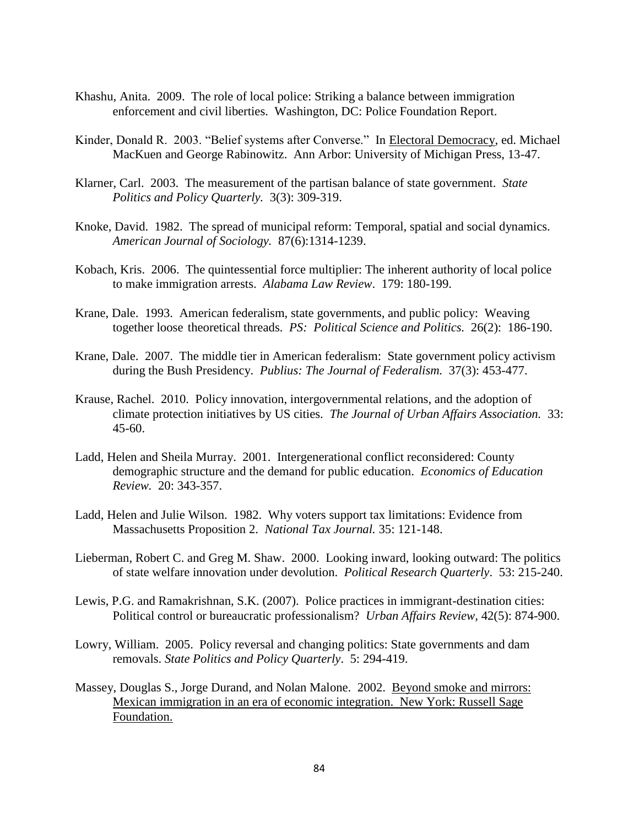- Khashu, Anita. 2009. The role of local police: Striking a balance between immigration enforcement and civil liberties. Washington, DC: Police Foundation Report.
- Kinder, Donald R. 2003. "Belief systems after Converse." In Electoral Democracy, ed. Michael MacKuen and George Rabinowitz. Ann Arbor: University of Michigan Press, 13-47.
- Klarner, Carl. 2003. The measurement of the partisan balance of state government. *State Politics and Policy Quarterly.* 3(3): 309-319.
- Knoke, David. 1982. The spread of municipal reform: Temporal, spatial and social dynamics. *American Journal of Sociology.* 87(6):1314-1239.
- Kobach, Kris. 2006. The quintessential force multiplier: The inherent authority of local police to make immigration arrests. *Alabama Law Review*. 179: 180-199.
- Krane, Dale. 1993. American federalism, state governments, and public policy: Weaving together loose theoretical threads. *PS: Political Science and Politics.* 26(2): 186-190.
- Krane, Dale. 2007. The middle tier in American federalism: State government policy activism during the Bush Presidency. *Publius: The Journal of Federalism.* 37(3): 453-477.
- Krause, Rachel. 2010. Policy innovation, intergovernmental relations, and the adoption of climate protection initiatives by US cities. *The Journal of Urban Affairs Association.* 33: 45-60.
- Ladd, Helen and Sheila Murray. 2001. Intergenerational conflict reconsidered: County demographic structure and the demand for public education. *Economics of Education Review.* 20: 343-357.
- Ladd, Helen and Julie Wilson. 1982. Why voters support tax limitations: Evidence from Massachusetts Proposition 2. *National Tax Journal.* 35: 121-148.
- Lieberman, Robert C. and Greg M. Shaw. 2000. Looking inward, looking outward: The politics of state welfare innovation under devolution. *Political Research Quarterly*. 53: 215-240.
- Lewis, P.G. and Ramakrishnan, S.K. (2007). Police practices in immigrant-destination cities: Political control or bureaucratic professionalism? *Urban Affairs Review,* 42(5): 874-900.
- Lowry, William. 2005. Policy reversal and changing politics: State governments and dam removals. *State Politics and Policy Quarterly*. 5: 294-419.
- Massey, Douglas S., Jorge Durand, and Nolan Malone. 2002. Beyond smoke and mirrors: Mexican immigration in an era of economic integration. New York: Russell Sage Foundation.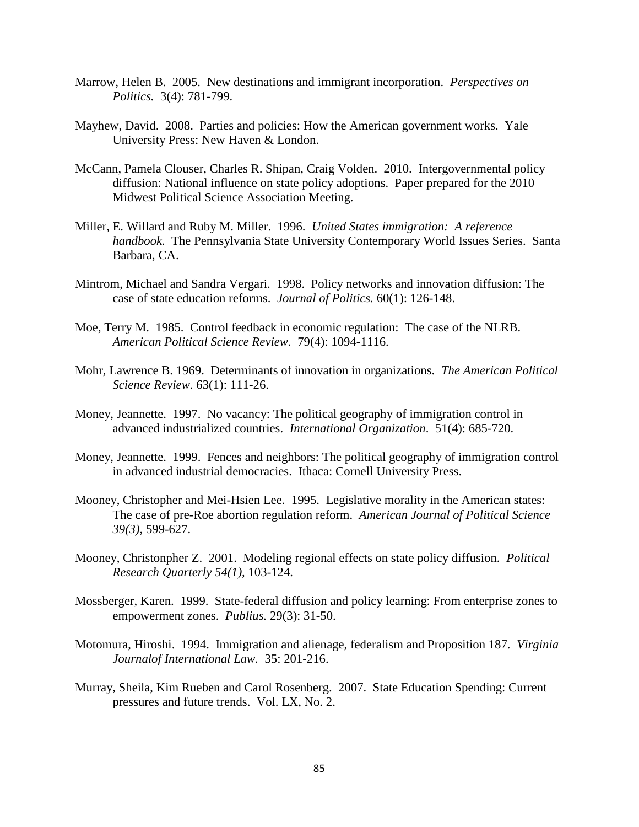- Marrow, Helen B. 2005. New destinations and immigrant incorporation. *Perspectives on Politics.* 3(4): 781-799.
- Mayhew, David. 2008. Parties and policies: How the American government works. Yale University Press: New Haven & London.
- McCann, Pamela Clouser, Charles R. Shipan, Craig Volden. 2010. Intergovernmental policy diffusion: National influence on state policy adoptions. Paper prepared for the 2010 Midwest Political Science Association Meeting.
- Miller, E. Willard and Ruby M. Miller. 1996. *United States immigration: A reference handbook.* The Pennsylvania State University Contemporary World Issues Series. Santa Barbara, CA.
- Mintrom, Michael and Sandra Vergari. 1998. Policy networks and innovation diffusion: The case of state education reforms. *Journal of Politics.* 60(1): 126-148.
- Moe, Terry M. 1985. Control feedback in economic regulation: The case of the NLRB. *American Political Science Review.* 79(4): 1094-1116.
- Mohr, Lawrence B. 1969. Determinants of innovation in organizations. *The American Political Science Review.* 63(1): 111-26.
- Money, Jeannette. 1997. No vacancy: The political geography of immigration control in advanced industrialized countries. *International Organization*. 51(4): 685-720.
- Money, Jeannette. 1999. Fences and neighbors: The political geography of immigration control in advanced industrial democracies. Ithaca: Cornell University Press.
- Mooney, Christopher and Mei-Hsien Lee. 1995. Legislative morality in the American states: The case of pre-Roe abortion regulation reform. *American Journal of Political Science 39(3)*, 599-627.
- Mooney, Christonpher Z. 2001. Modeling regional effects on state policy diffusion. *Political Research Quarterly 54(1),* 103-124.
- Mossberger, Karen. 1999. State-federal diffusion and policy learning: From enterprise zones to empowerment zones. *Publius.* 29(3): 31-50.
- Motomura, Hiroshi. 1994. Immigration and alienage, federalism and Proposition 187. *Virginia Journalof International Law.* 35: 201-216.
- Murray, Sheila, Kim Rueben and Carol Rosenberg. 2007. State Education Spending: Current pressures and future trends. Vol. LX, No. 2.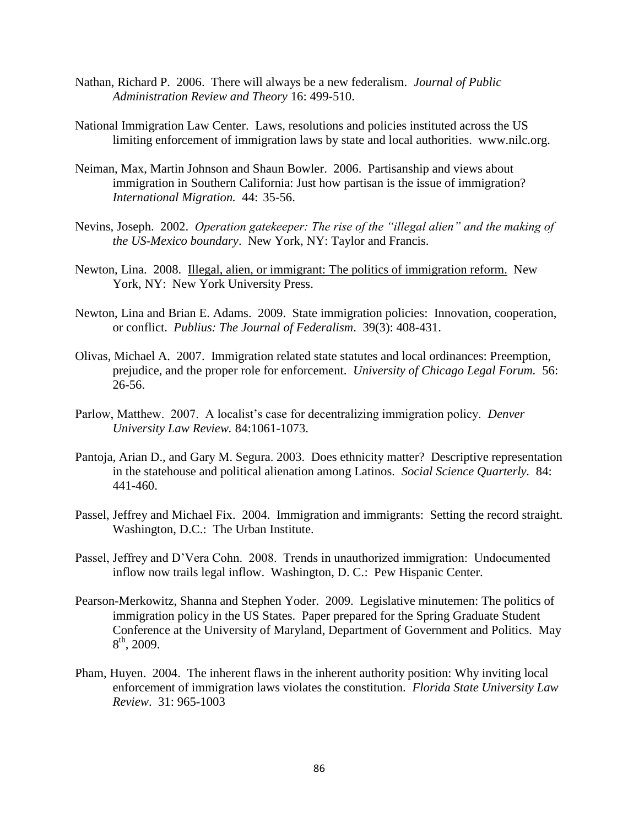- Nathan, Richard P. 2006. There will always be a new federalism. *Journal of Public Administration Review and Theory* 16: 499-510.
- National Immigration Law Center. Laws, resolutions and policies instituted across the US limiting enforcement of immigration laws by state and local authorities. www.nilc.org.
- Neiman, Max, Martin Johnson and Shaun Bowler. 2006. Partisanship and views about immigration in Southern California: Just how partisan is the issue of immigration? *International Migration.* 44: 35-56.
- Nevins, Joseph. 2002. *Operation gatekeeper: The rise of the "illegal alien" and the making of the US-Mexico boundary*. New York, NY: Taylor and Francis.
- Newton, Lina. 2008. Illegal, alien, or immigrant: The politics of immigration reform. New York, NY: New York University Press.
- Newton, Lina and Brian E. Adams. 2009. State immigration policies: Innovation, cooperation, or conflict. *Publius: The Journal of Federalism*. 39(3): 408-431.
- Olivas, Michael A. 2007. Immigration related state statutes and local ordinances: Preemption, prejudice, and the proper role for enforcement. *University of Chicago Legal Forum.* 56: 26-56.
- Parlow, Matthew. 2007. A localist's case for decentralizing immigration policy. *Denver University Law Review.* 84:1061-1073.
- Pantoja, Arian D., and Gary M. Segura. 2003. Does ethnicity matter? Descriptive representation in the statehouse and political alienation among Latinos. *Social Science Quarterly.* 84: 441-460.
- Passel, Jeffrey and Michael Fix. 2004. Immigration and immigrants: Setting the record straight. Washington, D.C.: The Urban Institute.
- Passel, Jeffrey and D'Vera Cohn. 2008. Trends in unauthorized immigration: Undocumented inflow now trails legal inflow. Washington, D. C.: Pew Hispanic Center.
- Pearson-Merkowitz, Shanna and Stephen Yoder. 2009. Legislative minutemen: The politics of immigration policy in the US States. Paper prepared for the Spring Graduate Student Conference at the University of Maryland, Department of Government and Politics. May  $8^{\text{th}}$ , 2009.
- Pham, Huyen. 2004. The inherent flaws in the inherent authority position: Why inviting local enforcement of immigration laws violates the constitution. *Florida State University Law Review*. 31: 965-1003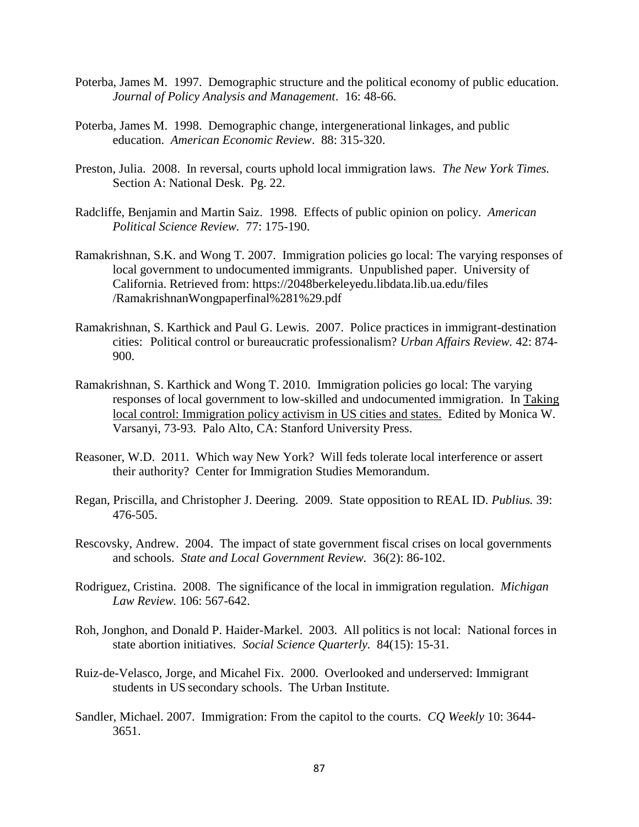- Poterba, James M. 1997. Demographic structure and the political economy of public education. *Journal of Policy Analysis and Management*. 16: 48-66.
- Poterba, James M. 1998. Demographic change, intergenerational linkages, and public education. *American Economic Review*. 88: 315-320.
- Preston, Julia. 2008. In reversal, courts uphold local immigration laws. *The New York Times.* Section A: National Desk. Pg. 22.
- Radcliffe, Benjamin and Martin Saiz. 1998. Effects of public opinion on policy. *American Political Science Review.* 77: 175-190.
- Ramakrishnan, S.K. and Wong T. 2007. Immigration policies go local: The varying responses of local government to undocumented immigrants. Unpublished paper. University of California. Retrieved from: https://2048berkeleyedu.libdata.lib.ua.edu/files /RamakrishnanWongpaperfinal%281%29.pdf
- Ramakrishnan, S. Karthick and Paul G. Lewis. 2007. Police practices in immigrant-destination cities: Political control or bureaucratic professionalism? *Urban Affairs Review.* 42: 874- 900.
- Ramakrishnan, S. Karthick and Wong T. 2010. Immigration policies go local: The varying responses of local government to low-skilled and undocumented immigration. In Taking local control: Immigration policy activism in US cities and states. Edited by Monica W. Varsanyi, 73-93. Palo Alto, CA: Stanford University Press.
- Reasoner, W.D. 2011. Which way New York? Will feds tolerate local interference or assert their authority? Center for Immigration Studies Memorandum.
- Regan, Priscilla, and Christopher J. Deering. 2009. State opposition to REAL ID. *Publius.* 39: 476-505.
- Rescovsky, Andrew. 2004. The impact of state government fiscal crises on local governments and schools. *State and Local Government Review.* 36(2): 86-102.
- Rodriguez, Cristina. 2008. The significance of the local in immigration regulation. *Michigan Law Review.* 106: 567-642.
- Roh, Jonghon, and Donald P. Haider-Markel. 2003. All politics is not local: National forces in state abortion initiatives. *Social Science Quarterly.* 84(15): 15-31.
- Ruiz-de-Velasco, Jorge, and Micahel Fix. 2000. Overlooked and underserved: Immigrant students in US secondary schools. The Urban Institute.
- Sandler, Michael. 2007. Immigration: From the capitol to the courts. *CQ Weekly* 10: 3644- 3651.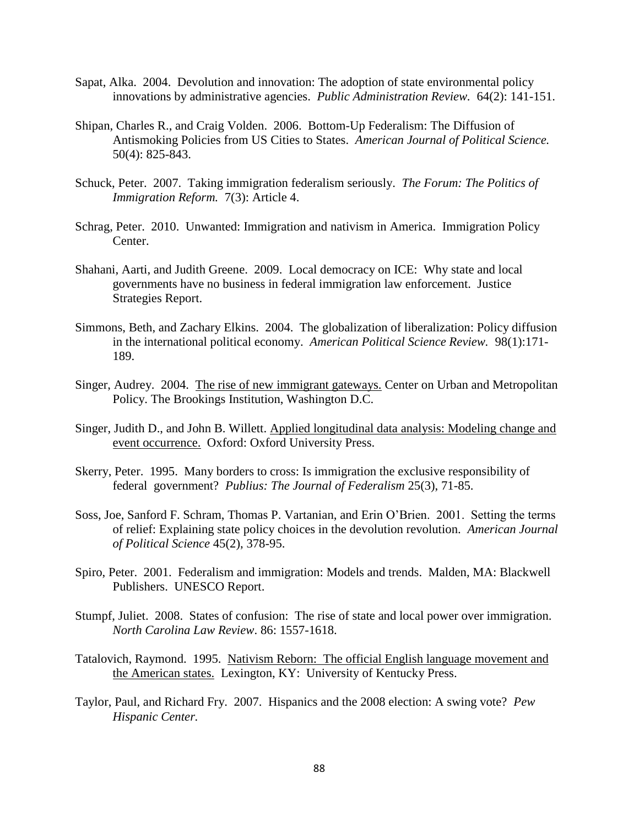- Sapat, Alka. 2004. Devolution and innovation: The adoption of state environmental policy innovations by administrative agencies. *Public Administration Review.* 64(2): 141-151.
- Shipan, Charles R., and Craig Volden. 2006. Bottom-Up Federalism: The Diffusion of Antismoking Policies from US Cities to States. *American Journal of Political Science.* 50(4): 825-843.
- Schuck, Peter. 2007. Taking immigration federalism seriously. *The Forum: The Politics of Immigration Reform.* 7(3): Article 4.
- Schrag, Peter. 2010. Unwanted: Immigration and nativism in America. Immigration Policy Center.
- Shahani, Aarti, and Judith Greene. 2009. Local democracy on ICE: Why state and local governments have no business in federal immigration law enforcement. Justice Strategies Report.
- Simmons, Beth, and Zachary Elkins. 2004. The globalization of liberalization: Policy diffusion in the international political economy. *American Political Science Review.* 98(1):171- 189.
- Singer, Audrey. 2004. The rise of new immigrant gateways. Center on Urban and Metropolitan Policy. The Brookings Institution, Washington D.C.
- Singer, Judith D., and John B. Willett. Applied longitudinal data analysis: Modeling change and event occurrence. Oxford: Oxford University Press.
- Skerry, Peter. 1995. Many borders to cross: Is immigration the exclusive responsibility of federal government? *Publius: The Journal of Federalism* 25(3), 71-85.
- Soss, Joe, Sanford F. Schram, Thomas P. Vartanian, and Erin O'Brien. 2001. Setting the terms of relief: Explaining state policy choices in the devolution revolution. *American Journal of Political Science* 45(2), 378-95.
- Spiro, Peter. 2001. Federalism and immigration: Models and trends. Malden, MA: Blackwell Publishers. UNESCO Report.
- Stumpf, Juliet. 2008. States of confusion: The rise of state and local power over immigration. *North Carolina Law Review*. 86: 1557-1618.
- Tatalovich, Raymond. 1995. Nativism Reborn: The official English language movement and the American states. Lexington, KY: University of Kentucky Press.
- Taylor, Paul, and Richard Fry. 2007. Hispanics and the 2008 election: A swing vote? *Pew Hispanic Center.*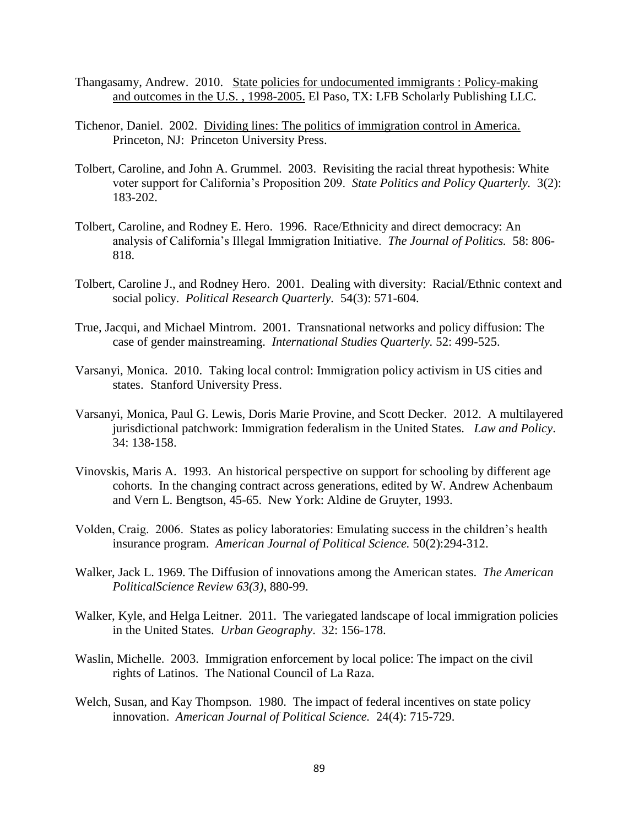- Thangasamy, Andrew. 2010. State policies for undocumented immigrants : Policy-making and outcomes in the U.S. , 1998-2005. El Paso, TX: LFB Scholarly Publishing LLC.
- Tichenor, Daniel. 2002. Dividing lines: The politics of immigration control in America. Princeton, NJ: Princeton University Press.
- Tolbert, Caroline, and John A. Grummel. 2003. Revisiting the racial threat hypothesis: White voter support for California's Proposition 209. *State Politics and Policy Quarterly.* 3(2): 183-202.
- Tolbert, Caroline, and Rodney E. Hero. 1996. Race/Ethnicity and direct democracy: An analysis of California's Illegal Immigration Initiative. *The Journal of Politics.* 58: 806- 818.
- Tolbert, Caroline J., and Rodney Hero. 2001. Dealing with diversity: Racial/Ethnic context and social policy. *Political Research Quarterly.* 54(3): 571-604.
- True, Jacqui, and Michael Mintrom. 2001. Transnational networks and policy diffusion: The case of gender mainstreaming. *International Studies Quarterly.* 52: 499-525.
- Varsanyi, Monica. 2010. Taking local control: Immigration policy activism in US cities and states. Stanford University Press.
- Varsanyi, Monica, Paul G. Lewis, Doris Marie Provine, and Scott Decker. 2012. A multilayered jurisdictional patchwork: Immigration federalism in the United States. *Law and Policy*. 34: 138-158.
- Vinovskis, Maris A. 1993. An historical perspective on support for schooling by different age cohorts. In the changing contract across generations, edited by W. Andrew Achenbaum and Vern L. Bengtson, 45-65. New York: Aldine de Gruyter, 1993.
- Volden, Craig. 2006. States as policy laboratories: Emulating success in the children's health insurance program. *American Journal of Political Science.* 50(2):294-312.
- Walker, Jack L. 1969. The Diffusion of innovations among the American states. *The American PoliticalScience Review 63(3)*, 880-99.
- Walker, Kyle, and Helga Leitner. 2011. The variegated landscape of local immigration policies in the United States. *Urban Geography*. 32: 156-178.
- Waslin, Michelle. 2003. Immigration enforcement by local police: The impact on the civil rights of Latinos. The National Council of La Raza.
- Welch, Susan, and Kay Thompson. 1980. The impact of federal incentives on state policy innovation. *American Journal of Political Science.* 24(4): 715-729.